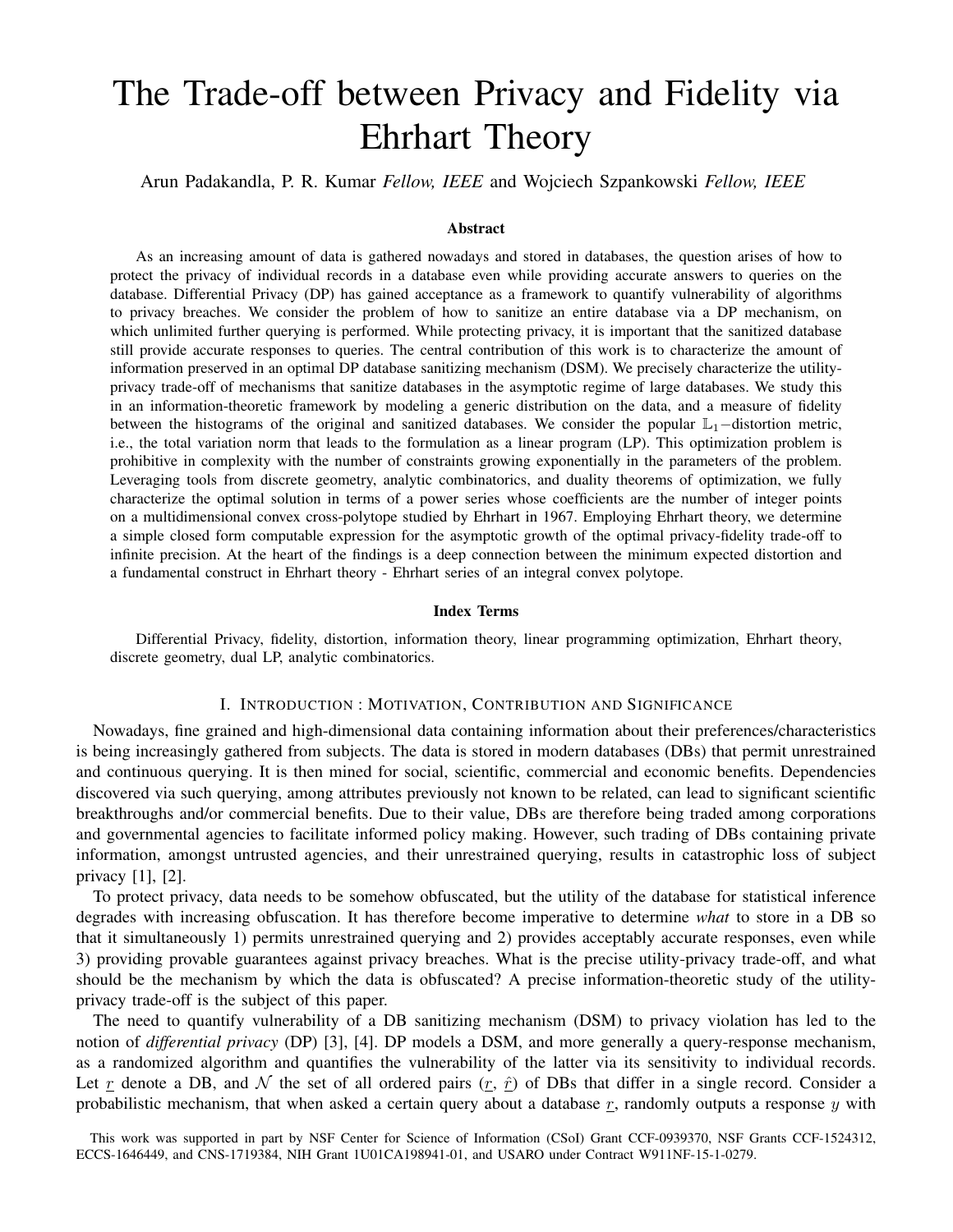# The Trade-off between Privacy and Fidelity via Ehrhart Theory

Arun Padakandla, P. R. Kumar *Fellow, IEEE* and Wojciech Szpankowski *Fellow, IEEE*

## Abstract

As an increasing amount of data is gathered nowadays and stored in databases, the question arises of how to protect the privacy of individual records in a database even while providing accurate answers to queries on the database. Differential Privacy (DP) has gained acceptance as a framework to quantify vulnerability of algorithms to privacy breaches. We consider the problem of how to sanitize an entire database via a DP mechanism, on which unlimited further querying is performed. While protecting privacy, it is important that the sanitized database still provide accurate responses to queries. The central contribution of this work is to characterize the amount of information preserved in an optimal DP database sanitizing mechanism (DSM). We precisely characterize the utilityprivacy trade-off of mechanisms that sanitize databases in the asymptotic regime of large databases. We study this in an information-theoretic framework by modeling a generic distribution on the data, and a measure of fidelity between the histograms of the original and sanitized databases. We consider the popular L<sub>1</sub>−distortion metric, i.e., the total variation norm that leads to the formulation as a linear program (LP). This optimization problem is prohibitive in complexity with the number of constraints growing exponentially in the parameters of the problem. Leveraging tools from discrete geometry, analytic combinatorics, and duality theorems of optimization, we fully characterize the optimal solution in terms of a power series whose coefficients are the number of integer points on a multidimensional convex cross-polytope studied by Ehrhart in 1967. Employing Ehrhart theory, we determine a simple closed form computable expression for the asymptotic growth of the optimal privacy-fidelity trade-off to infinite precision. At the heart of the findings is a deep connection between the minimum expected distortion and a fundamental construct in Ehrhart theory - Ehrhart series of an integral convex polytope.

#### Index Terms

Differential Privacy, fidelity, distortion, information theory, linear programming optimization, Ehrhart theory, discrete geometry, dual LP, analytic combinatorics.

## I. INTRODUCTION : MOTIVATION, CONTRIBUTION AND SIGNIFICANCE

Nowadays, fine grained and high-dimensional data containing information about their preferences/characteristics is being increasingly gathered from subjects. The data is stored in modern databases (DBs) that permit unrestrained and continuous querying. It is then mined for social, scientific, commercial and economic benefits. Dependencies discovered via such querying, among attributes previously not known to be related, can lead to significant scientific breakthroughs and/or commercial benefits. Due to their value, DBs are therefore being traded among corporations and governmental agencies to facilitate informed policy making. However, such trading of DBs containing private information, amongst untrusted agencies, and their unrestrained querying, results in catastrophic loss of subject privacy [1], [2].

To protect privacy, data needs to be somehow obfuscated, but the utility of the database for statistical inference degrades with increasing obfuscation. It has therefore become imperative to determine *what* to store in a DB so that it simultaneously 1) permits unrestrained querying and 2) provides acceptably accurate responses, even while 3) providing provable guarantees against privacy breaches. What is the precise utility-privacy trade-off, and what should be the mechanism by which the data is obfuscated? A precise information-theoretic study of the utilityprivacy trade-off is the subject of this paper.

The need to quantify vulnerability of a DB sanitizing mechanism (DSM) to privacy violation has led to the notion of *differential privacy* (DP) [3], [4]. DP models a DSM, and more generally a query-response mechanism, as a randomized algorithm and quantifies the vulnerability of the latter via its sensitivity to individual records. Let r denote a DB, and N the set of all ordered pairs  $(r, \hat{r})$  of DBs that differ in a single record. Consider a probabilistic mechanism, that when asked a certain query about a database  $r$ , randomly outputs a response  $y$  with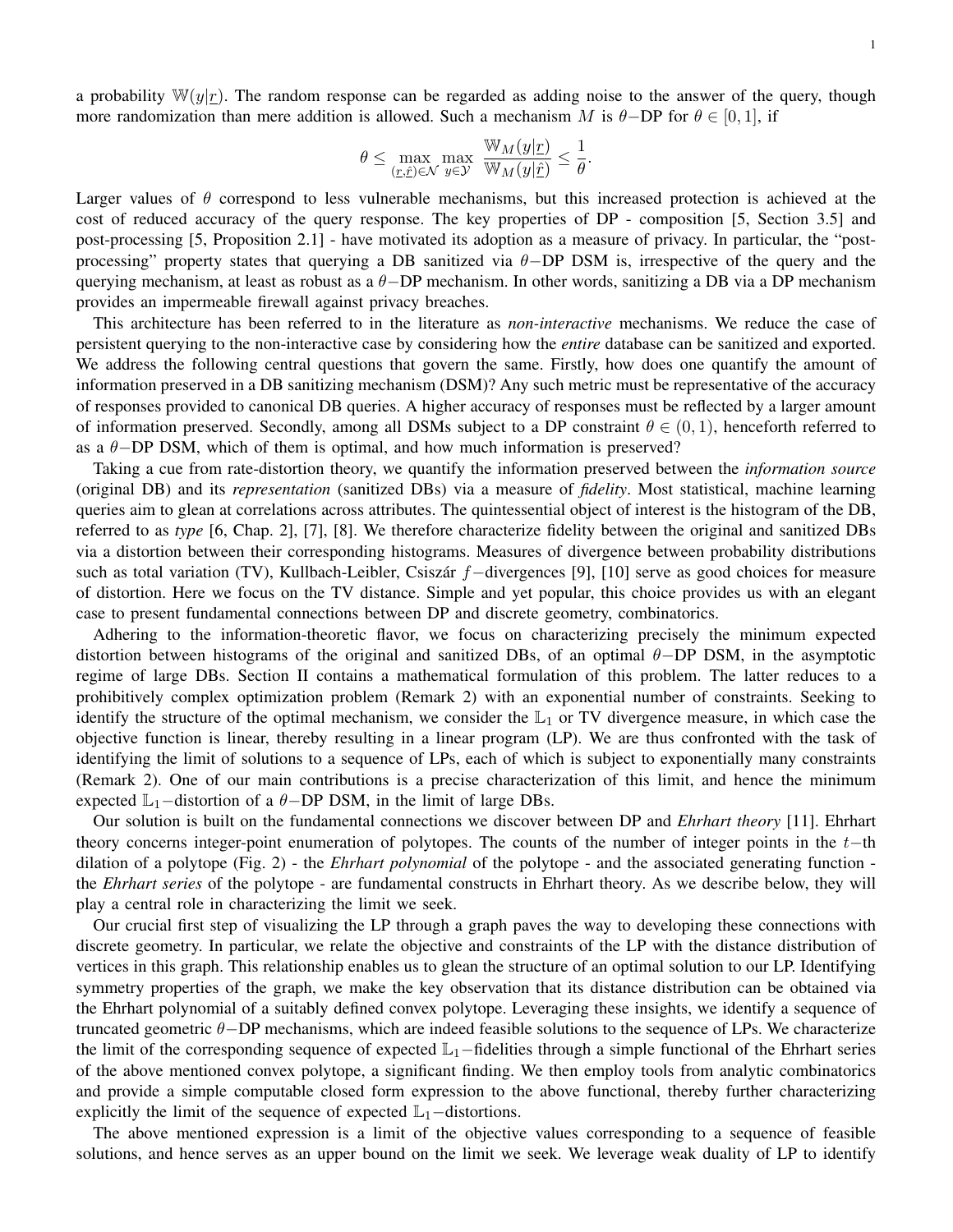a probability  $\mathbb{W}(y|r)$ . The random response can be regarded as adding noise to the answer of the query, though more randomization than mere addition is allowed. Such a mechanism M is  $\theta$ -DP for  $\theta \in [0, 1]$ , if

$$
\theta \leq \max_{(\underline{r}, \underline{\hat{r}}) \in \mathcal{N}} \max_{y \in \mathcal{Y}} \frac{\mathbb{W}_M(y|\underline{r})}{\mathbb{W}_M(y|\underline{\hat{r}})} \leq \frac{1}{\theta}.
$$

Larger values of  $\theta$  correspond to less vulnerable mechanisms, but this increased protection is achieved at the cost of reduced accuracy of the query response. The key properties of DP - composition [5, Section 3.5] and post-processing [5, Proposition 2.1] - have motivated its adoption as a measure of privacy. In particular, the "postprocessing" property states that querying a DB sanitized via  $\theta$ -DP DSM is, irrespective of the query and the querying mechanism, at least as robust as a θ−DP mechanism. In other words, sanitizing a DB via a DP mechanism provides an impermeable firewall against privacy breaches.

This architecture has been referred to in the literature as *non-interactive* mechanisms. We reduce the case of persistent querying to the non-interactive case by considering how the *entire* database can be sanitized and exported. We address the following central questions that govern the same. Firstly, how does one quantify the amount of information preserved in a DB sanitizing mechanism (DSM)? Any such metric must be representative of the accuracy of responses provided to canonical DB queries. A higher accuracy of responses must be reflected by a larger amount of information preserved. Secondly, among all DSMs subject to a DP constraint  $\theta \in (0, 1)$ , henceforth referred to as a  $\theta$ −DP DSM, which of them is optimal, and how much information is preserved?

Taking a cue from rate-distortion theory, we quantify the information preserved between the *information source* (original DB) and its *representation* (sanitized DBs) via a measure of *fidelity*. Most statistical, machine learning queries aim to glean at correlations across attributes. The quintessential object of interest is the histogram of the DB, referred to as *type* [6, Chap. 2], [7], [8]. We therefore characterize fidelity between the original and sanitized DBs via a distortion between their corresponding histograms. Measures of divergence between probability distributions such as total variation (TV), Kullbach-Leibler, Csiszár f−divergences [9], [10] serve as good choices for measure of distortion. Here we focus on the TV distance. Simple and yet popular, this choice provides us with an elegant case to present fundamental connections between DP and discrete geometry, combinatorics.

Adhering to the information-theoretic flavor, we focus on characterizing precisely the minimum expected distortion between histograms of the original and sanitized DBs, of an optimal  $\theta$ −DP DSM, in the asymptotic regime of large DBs. Section II contains a mathematical formulation of this problem. The latter reduces to a prohibitively complex optimization problem (Remark 2) with an exponential number of constraints. Seeking to identify the structure of the optimal mechanism, we consider the  $\mathbb{L}_1$  or TV divergence measure, in which case the objective function is linear, thereby resulting in a linear program (LP). We are thus confronted with the task of identifying the limit of solutions to a sequence of LPs, each of which is subject to exponentially many constraints (Remark 2). One of our main contributions is a precise characterization of this limit, and hence the minimum expected  $\mathbb{L}_1$ –distortion of a  $\theta$ –DP DSM, in the limit of large DBs.

Our solution is built on the fundamental connections we discover between DP and *Ehrhart theory* [11]. Ehrhart theory concerns integer-point enumeration of polytopes. The counts of the number of integer points in the t−th dilation of a polytope (Fig. 2) - the *Ehrhart polynomial* of the polytope - and the associated generating function the *Ehrhart series* of the polytope - are fundamental constructs in Ehrhart theory. As we describe below, they will play a central role in characterizing the limit we seek.

Our crucial first step of visualizing the LP through a graph paves the way to developing these connections with discrete geometry. In particular, we relate the objective and constraints of the LP with the distance distribution of vertices in this graph. This relationship enables us to glean the structure of an optimal solution to our LP. Identifying symmetry properties of the graph, we make the key observation that its distance distribution can be obtained via the Ehrhart polynomial of a suitably defined convex polytope. Leveraging these insights, we identify a sequence of truncated geometric θ−DP mechanisms, which are indeed feasible solutions to the sequence of LPs. We characterize the limit of the corresponding sequence of expected  $\mathbb{L}_1$ –fidelities through a simple functional of the Ehrhart series of the above mentioned convex polytope, a significant finding. We then employ tools from analytic combinatorics and provide a simple computable closed form expression to the above functional, thereby further characterizing explicitly the limit of the sequence of expected  $\mathbb{L}_1$ –distortions.

The above mentioned expression is a limit of the objective values corresponding to a sequence of feasible solutions, and hence serves as an upper bound on the limit we seek. We leverage weak duality of LP to identify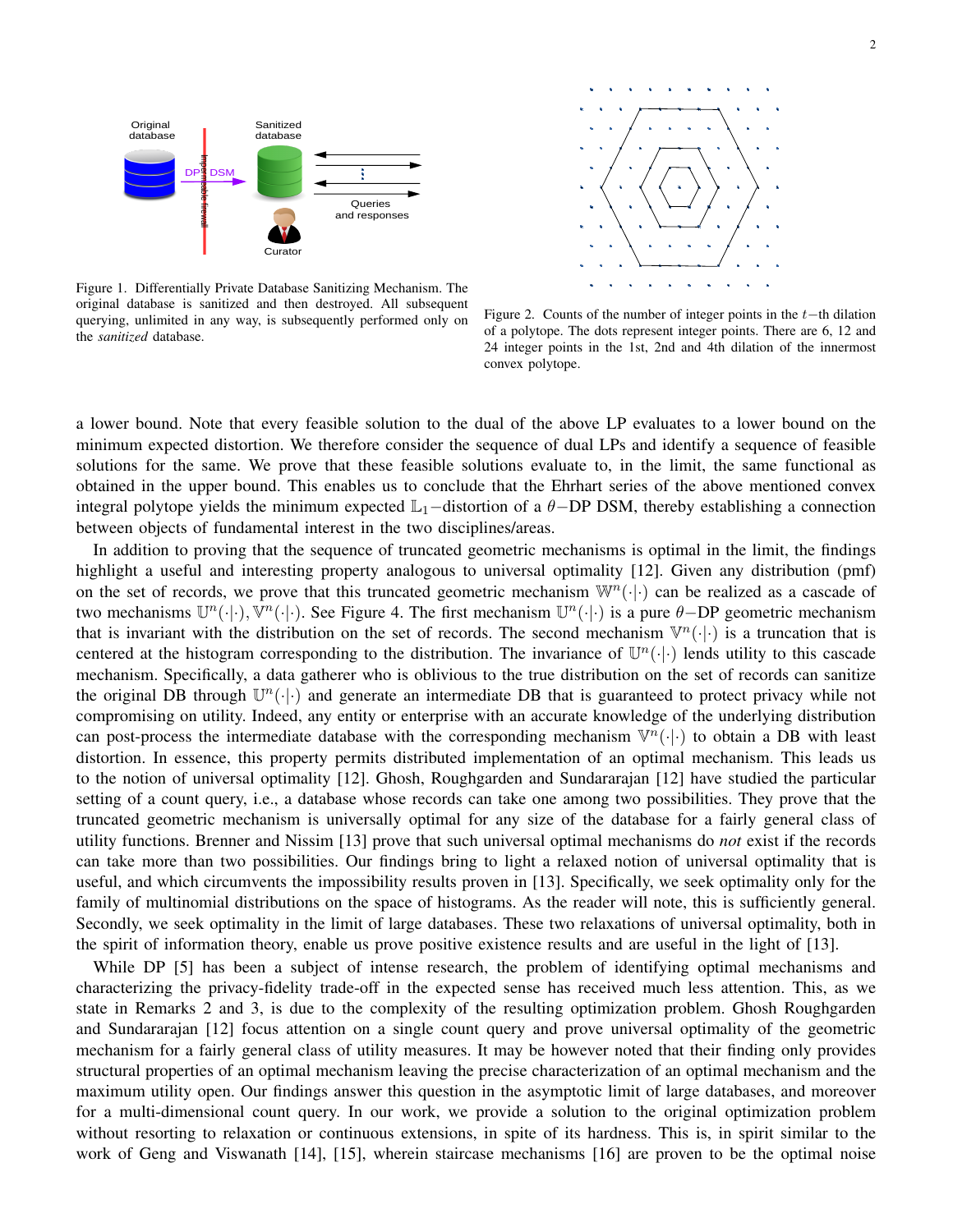



Figure 1. Differentially Private Database Sanitizing Mechanism. The original database is sanitized and then destroyed. All subsequent querying, unlimited in any way, is subsequently performed only on the *sanitized* database.

Figure 2. Counts of the number of integer points in the  $t$ −th dilation of a polytope. The dots represent integer points. There are 6, 12 and 24 integer points in the 1st, 2nd and 4th dilation of the innermost convex polytope.

a lower bound. Note that every feasible solution to the dual of the above LP evaluates to a lower bound on the minimum expected distortion. We therefore consider the sequence of dual LPs and identify a sequence of feasible solutions for the same. We prove that these feasible solutions evaluate to, in the limit, the same functional as obtained in the upper bound. This enables us to conclude that the Ehrhart series of the above mentioned convex integral polytope yields the minimum expected  $\mathbb{L}_1$ –distortion of a  $\theta$ –DP DSM, thereby establishing a connection between objects of fundamental interest in the two disciplines/areas.

In addition to proving that the sequence of truncated geometric mechanisms is optimal in the limit, the findings highlight a useful and interesting property analogous to universal optimality [12]. Given any distribution (pmf) on the set of records, we prove that this truncated geometric mechanism  $\mathbb{W}^n(\cdot|\cdot)$  can be realized as a cascade of two mechanisms  $\mathbb{U}^n(\cdot|\cdot)$ ,  $\mathbb{V}^n(\cdot|\cdot)$ . See Figure 4. The first mechanism  $\mathbb{U}^n(\cdot|\cdot)$  is a pure  $\theta$ -DP geometric mechanism that is invariant with the distribution on the set of records. The second mechanism  $\mathbb{V}^n(\cdot|\cdot)$  is a truncation that is centered at the histogram corresponding to the distribution. The invariance of  $\mathbb{U}^n(\cdot|\cdot)$  lends utility to this cascade mechanism. Specifically, a data gatherer who is oblivious to the true distribution on the set of records can sanitize the original DB through  $\mathbb{U}^n(\cdot|\cdot)$  and generate an intermediate DB that is guaranteed to protect privacy while not compromising on utility. Indeed, any entity or enterprise with an accurate knowledge of the underlying distribution can post-process the intermediate database with the corresponding mechanism  $\mathbb{V}^n(\cdot|\cdot)$  to obtain a DB with least distortion. In essence, this property permits distributed implementation of an optimal mechanism. This leads us to the notion of universal optimality [12]. Ghosh, Roughgarden and Sundararajan [12] have studied the particular setting of a count query, i.e., a database whose records can take one among two possibilities. They prove that the truncated geometric mechanism is universally optimal for any size of the database for a fairly general class of utility functions. Brenner and Nissim [13] prove that such universal optimal mechanisms do *not* exist if the records can take more than two possibilities. Our findings bring to light a relaxed notion of universal optimality that is useful, and which circumvents the impossibility results proven in [13]. Specifically, we seek optimality only for the family of multinomial distributions on the space of histograms. As the reader will note, this is sufficiently general. Secondly, we seek optimality in the limit of large databases. These two relaxations of universal optimality, both in the spirit of information theory, enable us prove positive existence results and are useful in the light of [13].

While DP [5] has been a subject of intense research, the problem of identifying optimal mechanisms and characterizing the privacy-fidelity trade-off in the expected sense has received much less attention. This, as we state in Remarks 2 and 3, is due to the complexity of the resulting optimization problem. Ghosh Roughgarden and Sundararajan [12] focus attention on a single count query and prove universal optimality of the geometric mechanism for a fairly general class of utility measures. It may be however noted that their finding only provides structural properties of an optimal mechanism leaving the precise characterization of an optimal mechanism and the maximum utility open. Our findings answer this question in the asymptotic limit of large databases, and moreover for a multi-dimensional count query. In our work, we provide a solution to the original optimization problem without resorting to relaxation or continuous extensions, in spite of its hardness. This is, in spirit similar to the work of Geng and Viswanath [14], [15], wherein staircase mechanisms [16] are proven to be the optimal noise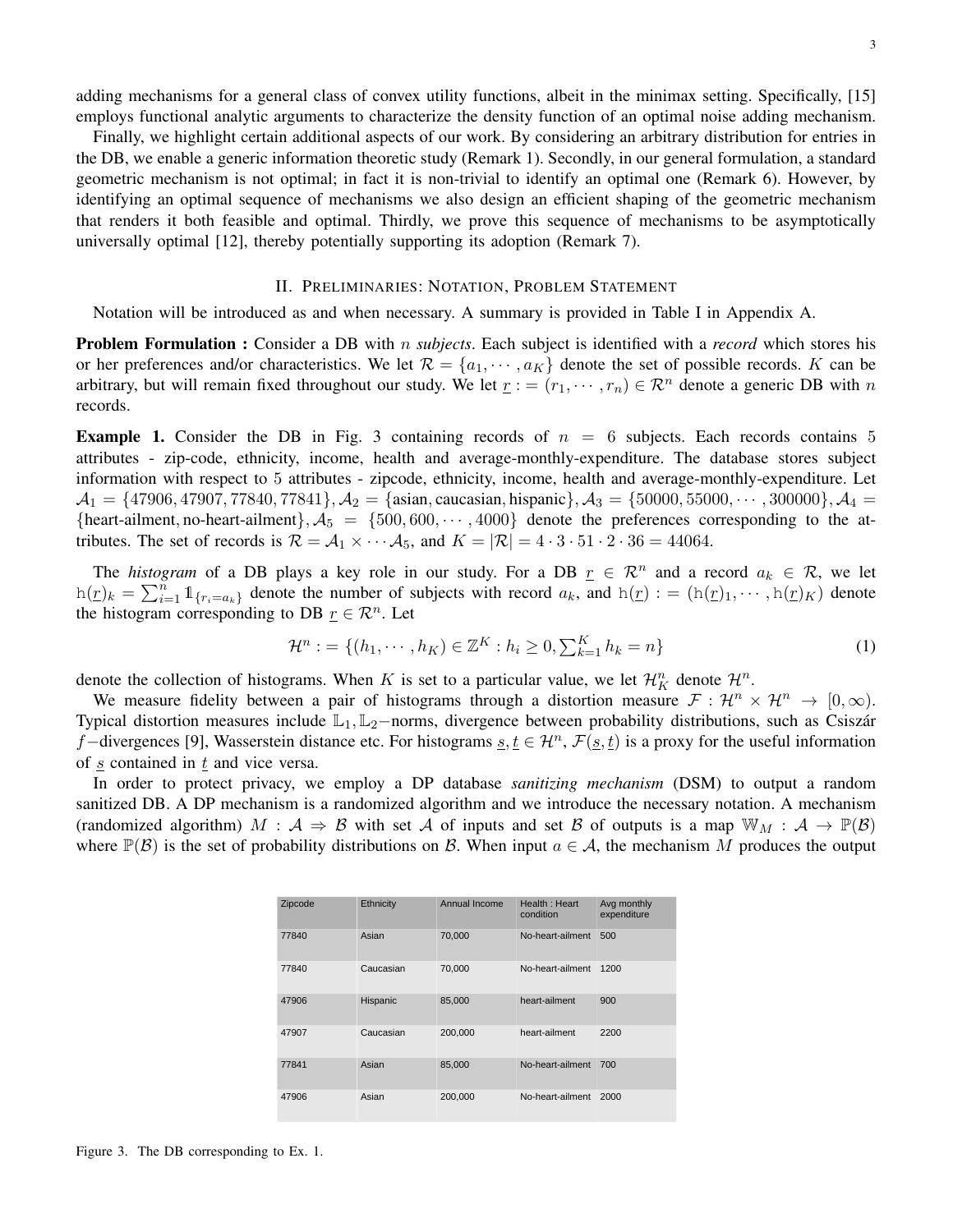adding mechanisms for a general class of convex utility functions, albeit in the minimax setting. Specifically, [15] employs functional analytic arguments to characterize the density function of an optimal noise adding mechanism.

Finally, we highlight certain additional aspects of our work. By considering an arbitrary distribution for entries in the DB, we enable a generic information theoretic study (Remark 1). Secondly, in our general formulation, a standard geometric mechanism is not optimal; in fact it is non-trivial to identify an optimal one (Remark 6). However, by identifying an optimal sequence of mechanisms we also design an efficient shaping of the geometric mechanism that renders it both feasible and optimal. Thirdly, we prove this sequence of mechanisms to be asymptotically universally optimal [12], thereby potentially supporting its adoption (Remark 7).

## II. PRELIMINARIES: NOTATION, PROBLEM STATEMENT

Notation will be introduced as and when necessary. A summary is provided in Table I in Appendix A.

Problem Formulation : Consider a DB with n *subjects*. Each subject is identified with a *record* which stores his or her preferences and/or characteristics. We let  $\mathcal{R} = \{a_1, \dots, a_K\}$  denote the set of possible records. K can be arbitrary, but will remain fixed throughout our study. We let  $r := (r_1, \dots, r_n) \in \mathbb{R}^n$  denote a generic DB with n records.

**Example 1.** Consider the DB in Fig. 3 containing records of  $n = 6$  subjects. Each records contains 5 attributes - zip-code, ethnicity, income, health and average-monthly-expenditure. The database stores subject information with respect to 5 attributes - zipcode, ethnicity, income, health and average-monthly-expenditure. Let  $A_1 = \{47906, 47907, 77840, 77841\}, \ A_2 = \{$ asian, caucasian, hispanic $\}, \ A_3 = \{50000, 55000, \cdots, 300000\}, \ A_4 =$ {heart-ailment, no-heart-ailment},  $A_5 = \{500, 600, \dots, 4000\}$  denote the preferences corresponding to the attributes. The set of records is  $\mathcal{R} = \mathcal{A}_1 \times \cdots \mathcal{A}_5$ , and  $K = |\mathcal{R}| = 4 \cdot 3 \cdot 51 \cdot 2 \cdot 36 = 44064$ .

The *histogram* of a DB plays a key role in our study. For a DB  $r \in \mathbb{R}^n$  and a record  $a_k \in \mathbb{R}$ , we let  $h(\underline{r})_k = \sum_{i=1}^n 1\!\!1_{\{r_i = a_k\}}$  denote the number of subjects with record  $a_k$ , and  $h(\underline{r}) := (h(\underline{r})_1, \cdots, h(\underline{r})_K)$  denote the histogram corresponding to DB  $\underline{r} \in \mathbb{R}^n$ . Let

$$
\mathcal{H}^n := \{ (h_1, \cdots, h_K) \in \mathbb{Z}^K : h_i \ge 0, \sum_{k=1}^K h_k = n \}
$$
 (1)

denote the collection of histograms. When K is set to a particular value, we let  $\mathcal{H}_K^n$  denote  $\mathcal{H}^n$ .

We measure fidelity between a pair of histograms through a distortion measure  $\mathcal{F}: \mathcal{H}^n \times \mathcal{H}^n \to [0,\infty)$ . Typical distortion measures include L<sub>1</sub>, L<sub>2</sub>−norms, divergence between probability distributions, such as Csiszár f–divergences [9], Wasserstein distance etc. For histograms  $s, t \in \mathcal{H}^n$ ,  $\mathcal{F}(\underline{s}, t)$  is a proxy for the useful information of  $s$  contained in  $t$  and vice versa.

In order to protect privacy, we employ a DP database *sanitizing mechanism* (DSM) to output a random sanitized DB. A DP mechanism is a randomized algorithm and we introduce the necessary notation. A mechanism (randomized algorithm)  $M : A \Rightarrow B$  with set A of inputs and set B of outputs is a map  $\mathbb{W}_M : A \to \mathbb{P}(\mathcal{B})$ where  $\mathbb{P}(\mathcal{B})$  is the set of probability distributions on B. When input  $a \in \mathcal{A}$ , the mechanism M produces the output

| Zipcode | Ethnicity | Annual Income | Health: Heart<br>condition | Avg monthly<br>expenditure |
|---------|-----------|---------------|----------------------------|----------------------------|
| 77840   | Asian     | 70.000        | No-heart-ailment           | 500                        |
| 77840   | Caucasian | 70.000        | No-heart-ailment           | 1200                       |
| 47906   | Hispanic  | 85.000        | heart-ailment              | 900                        |
| 47907   | Caucasian | 200,000       | heart-ailment              | 2200                       |
| 77841   | Asian     | 85.000        | No-heart-ailment           | 700                        |
| 47906   | Asian     | 200.000       | No-heart-ailment           | 2000                       |

Figure 3. The DB corresponding to Ex. 1.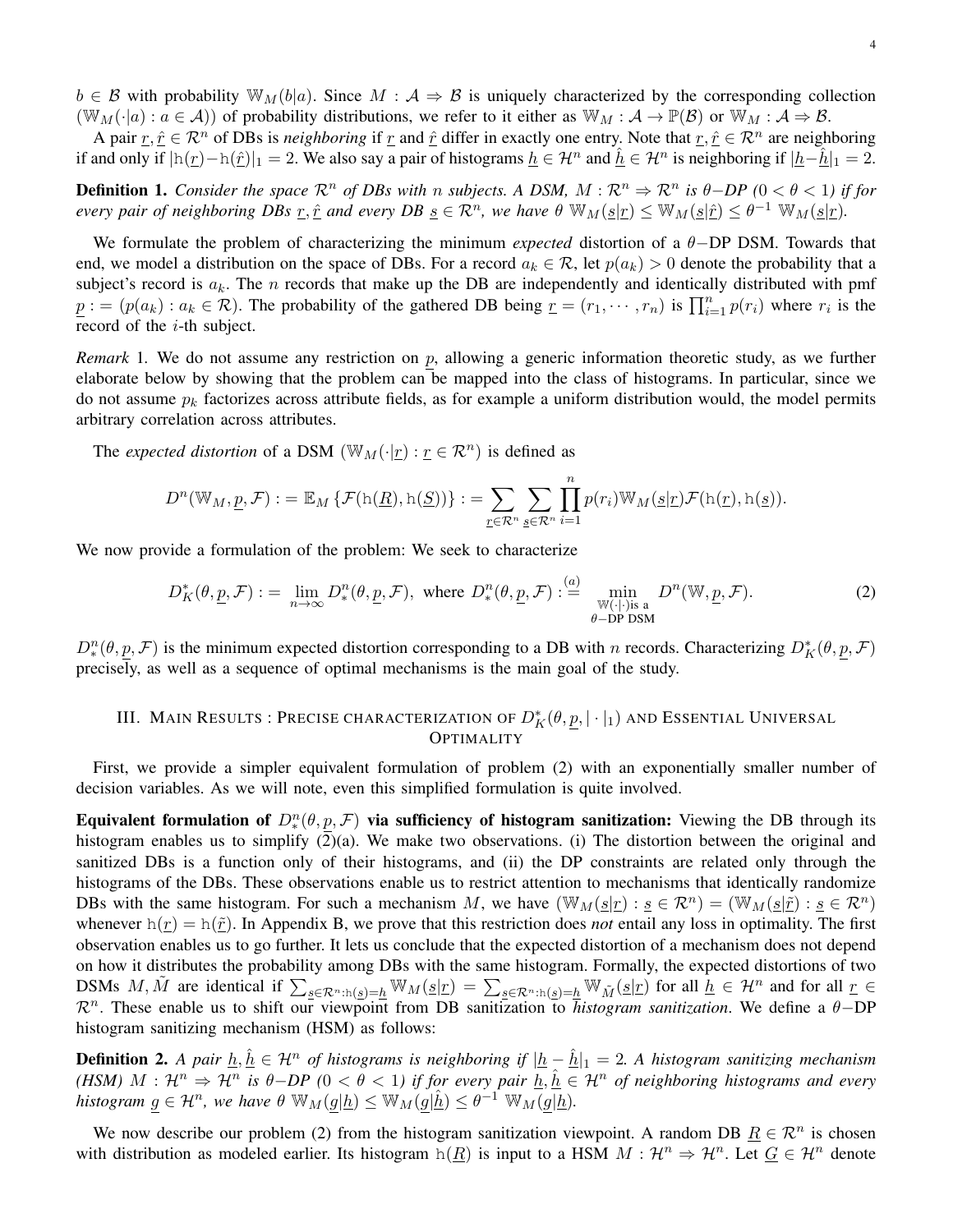$b \in \mathcal{B}$  with probability  $\mathbb{W}_M(b|a)$ . Since  $M : \mathcal{A} \Rightarrow \mathcal{B}$  is uniquely characterized by the corresponding collection  $(\mathbb{W}_M(\cdot|a) : a \in \mathcal{A})$  of probability distributions, we refer to it either as  $\mathbb{W}_M : \mathcal{A} \to \mathbb{P}(\mathcal{B})$  or  $\mathbb{W}_M : \mathcal{A} \to \mathcal{B}$ .

A pair  $\underline{r}, \hat{\underline{r}} \in \mathbb{R}^n$  of DBs is *neighboring* if  $\underline{r}$  and  $\hat{\underline{r}}$  differ in exactly one entry. Note that  $\underline{r}, \hat{\underline{r}} \in \mathbb{R}^n$  are neighboring if and only if  $|h(\underline{r}) - h(\hat{r})|_1 = 2$ . We also say a pair of histograms  $\underline{h} \in \mathcal{H}^n$  and  $\underline{\hat{h}} \in \mathcal{H}^n$  is neighboring if  $|\underline{h} - \underline{\hat{h}}|_1 = 2$ .

**Definition 1.** *Consider the space*  $\mathbb{R}^n$  *of DBs with* n *subjects.* A DSM,  $M : \mathbb{R}^n \Rightarrow \mathbb{R}^n$  *is*  $\theta$ -*DP* ( $0 < \theta < 1$ ) *if for every pair of neighboring DBs*  $\underline{r}, \hat{\underline{r}}$  *and every DB*  $\underline{s} \in \mathcal{R}^n$ , we have  $\theta \mathbb{W}_M(\underline{s}|\underline{r}) \leq \mathbb{W}_M(\underline{s}|\hat{\underline{r}}) \leq \theta^{-1} \mathbb{W}_M(\underline{s}|\underline{r})$ .

We formulate the problem of characterizing the minimum *expected* distortion of a θ−DP DSM. Towards that end, we model a distribution on the space of DBs. For a record  $a_k \in \mathcal{R}$ , let  $p(a_k) > 0$  denote the probability that a subject's record is  $a_k$ . The n records that make up the DB are independently and identically distributed with pmf  $\underline{p}$ : =  $(p(a_k) : a_k \in \mathcal{R})$ . The probability of the gathered DB being  $\underline{r} = (r_1, \dots, r_n)$  is  $\prod_{i=1}^n p(r_i)$  where  $r_i$  is the record of the  $i$ -th subject.

*Remark* 1. We do not assume any restriction on p, allowing a generic information theoretic study, as we further elaborate below by showing that the problem can be mapped into the class of histograms. In particular, since we do not assume  $p_k$  factorizes across attribute fields, as for example a uniform distribution would, the model permits arbitrary correlation across attributes.

The *expected distortion* of a DSM  $(\mathbb{W}_M(\cdot|\underline{r}) : \underline{r} \in \mathcal{R}^n)$  is defined as

$$
D^{n}(\mathbb{W}_{M},\underline{p},\mathcal{F}) := \mathbb{E}_{M}\left\{\mathcal{F}(\mathbf{h}(\underline{R}),\mathbf{h}(\underline{S}))\right\} := \sum_{\underline{r}\in\mathcal{R}^{n}}\sum_{\underline{s}\in\mathcal{R}^{n}}\prod_{i=1}^{n}p(r_{i})\mathbb{W}_{M}(\underline{s}|\underline{r})\mathcal{F}(\mathbf{h}(\underline{r}),\mathbf{h}(\underline{s})).
$$

We now provide a formulation of the problem: We seek to characterize

$$
D_K^*(\theta, \underline{p}, \mathcal{F}) := \lim_{n \to \infty} D_*^n(\theta, \underline{p}, \mathcal{F}), \text{ where } D_*^n(\theta, \underline{p}, \mathcal{F}) := \min_{\substack{\mathbb{W}(\cdot|\cdot)\text{is a} \\ \theta \text{-DP DSM}}} D^n(\mathbb{W}, \underline{p}, \mathcal{F}).
$$
 (2)

 $D_*^n(\theta, \underline{p}, \mathcal{F})$  is the minimum expected distortion corresponding to a DB with *n* records. Characterizing  $D_K^*(\theta, \underline{p}, \mathcal{F})$ precisely, as well as a sequence of optimal mechanisms is the main goal of the study.

# III. MAIN RESULTS : PRECISE CHARACTERIZATION OF  $D_K^*(\theta,\underline{p},|\cdot|_1)$  and Essential Universal OPTIMALITY

First, we provide a simpler equivalent formulation of problem (2) with an exponentially smaller number of decision variables. As we will note, even this simplified formulation is quite involved.

Equivalent formulation of  $D_*^n(\theta, p, \mathcal{F})$  via sufficiency of histogram sanitization: Viewing the DB through its histogram enables us to simplify (2)(a). We make two observations. (i) The distortion between the original and sanitized DBs is a function only of their histograms, and (ii) the DP constraints are related only through the histograms of the DBs. These observations enable us to restrict attention to mechanisms that identically randomize DBs with the same histogram. For such a mechanism M, we have  $(\mathbb{W}_M(\underline{s}|r) : \underline{s} \in \mathcal{R}^n) = (\mathbb{W}_M(\underline{s}|\tilde{r}) : \underline{s} \in \mathcal{R}^n)$ whenever  $h(r) = h(\tilde{r})$ . In Appendix B, we prove that this restriction does *not* entail any loss in optimality. The first observation enables us to go further. It lets us conclude that the expected distortion of a mechanism does not depend on how it distributes the probability among DBs with the same histogram. Formally, the expected distortions of two DSMs M,  $\tilde{M}$  are identical if  $\sum_{s \in \mathcal{R}^n : h(s) = h} \mathbb{W}_M(s|r) = \sum_{s \in \mathcal{R}^n : h(s) = h} \mathbb{W}_{\tilde{M}}(s|r)$  for all  $\tilde{h} \in \mathcal{H}^n$  and for all  $r \in \mathcal{R}^n$ R<sup>n</sup> . These enable us to shift our viewpoint from DB sanitization to *histogram sanitization*. We define a θ−DP histogram sanitizing mechanism (HSM) as follows:

**Definition 2.** A pair  $\underline{h}, \hat{\underline{h}} \in \mathcal{H}^n$  of histograms is neighboring if  $|\underline{h} - \hat{\underline{h}}|_1 = 2$ . A histogram sanitizing mechanism *(HSM)*  $M : \mathcal{H}^n \Rightarrow \mathcal{H}^n$  is  $\theta$ -*DP*  $(0 < \theta < 1)$  if for every pair  $\underline{h}, \hat{h} \in \mathcal{H}^n$  of neighboring histograms and every  $h$ istogram  $g \in \mathcal{H}^n$ , we have  $\theta \le_M(g|\underline{h}) \le \mathbb{W}_M(g|\underline{\hat{h}}) \le \theta^{-1} \le_M(g|\underline{h})$ .

We now describe our problem (2) from the histogram sanitization viewpoint. A random DB  $\underline{R} \in \mathbb{R}^n$  is chosen with distribution as modeled earlier. Its histogram  $h(\underline{R})$  is input to a HSM  $M : \mathcal{H}^n \Rightarrow \mathcal{H}^n$ . Let  $\underline{G} \in \mathcal{H}^n$  denote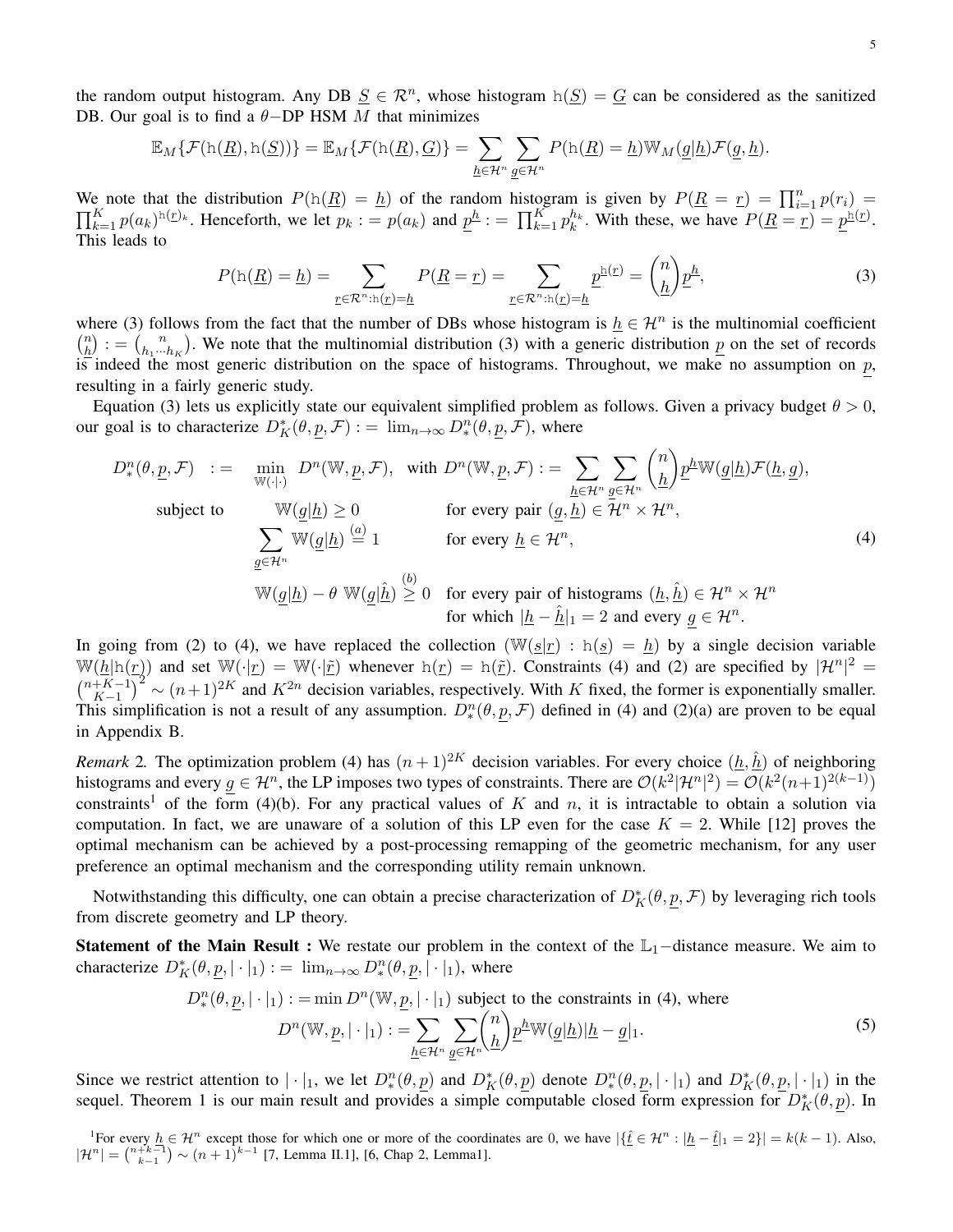the random output histogram. Any DB  $S \in \mathbb{R}^n$ , whose histogram  $h(S) = G$  can be considered as the sanitized DB. Our goal is to find a  $\theta$ -DP HSM M that minimizes

$$
\mathbb{E}_M\{\mathcal{F}(\mathrm{h}(\underline{R}),\mathrm{h}(\underline{S}))\} = \mathbb{E}_M\{\mathcal{F}(\mathrm{h}(\underline{R}),\underline{G})\} = \sum_{\underline{h}\in\mathcal{H}^n} \sum_{\underline{g}\in\mathcal{H}^n} P(\mathrm{h}(\underline{R})=\underline{h}) \mathbb{W}_M(\underline{g}|\underline{h}) \mathcal{F}(\underline{g},\underline{h}).
$$

We note that the distribution  $P(h(\underline{R}) = \underline{h})$  of the random histogram is given by  $P(\underline{R} = \underline{r}) = \prod_{i=1}^{n} p(r_i)$  $\prod_{k=1}^K p(a_k)^{h(\underline{r})_k}$ . Henceforth, we let  $p_k := p(a_k)$  and  $\underline{p}^{\underline{h}} := \prod_{k=1}^K p_k^{h_k}$ . With these, we have  $P(\underline{R} = \underline{r}) = \underline{p}^{h(\underline{r})}$ . This leads to

$$
P(\mathbf{h}(\underline{R}) = \underline{h}) = \sum_{\underline{r} \in \mathcal{R}^n : \mathbf{h}(\underline{r}) = \underline{h}} P(\underline{R} = \underline{r}) = \sum_{\underline{r} \in \mathcal{R}^n : \mathbf{h}(\underline{r}) = \underline{h}} \underline{p}^{\underline{\mathbf{h}}(\underline{r})} = \binom{n}{\underline{h}} \underline{p}^{\underline{h}},\tag{3}
$$

where (3) follows from the fact that the number of DBs whose histogram is  $h \in \mathcal{H}^n$  is the multinomial coefficient  $\binom{n}{b}$  $\binom{n}{\underline{h}}$  : =  $\binom{n}{h_1...}$  $\binom{n}{h_1\cdots h_K}$ . We note that the multinomial distribution (3) with a generic distribution  $\underline{p}$  on the set of records is indeed the most generic distribution on the space of histograms. Throughout, we make no assumption on  $p$ , resulting in a fairly generic study.

Equation (3) lets us explicitly state our equivalent simplified problem as follows. Given a privacy budget  $\theta > 0$ , our goal is to characterize  $D_K^*(\theta, \underline{p}, \mathcal{F}) := \lim_{n \to \infty} D_*^n(\theta, \underline{p}, \mathcal{F})$ , where

$$
D_{*}^{n}(\theta, \underline{p}, \mathcal{F}) := \min_{\mathbb{W}(\cdot|\cdot)} D^{n}(\mathbb{W}, \underline{p}, \mathcal{F}), \text{ with } D^{n}(\mathbb{W}, \underline{p}, \mathcal{F}) := \sum_{\underline{h} \in \mathcal{H}^{n}} \sum_{\underline{g} \in \mathcal{H}^{n}} {n \choose \underline{h}} \underline{p}^{\underline{h}} \mathbb{W}(\underline{g} | \underline{h}) \mathcal{F}(\underline{h}, \underline{g}),
$$
  
\nsubject to  
\n
$$
\mathbb{W}(\underline{g} | \underline{h}) \geq 0 \qquad \text{for every pair } (\underline{g}, \underline{h}) \in \mathcal{H}^{n} \times \mathcal{H}^{n},
$$
  
\n
$$
\sum_{\underline{g} \in \mathcal{H}^{n}} \mathbb{W}(\underline{g} | \underline{h}) \stackrel{(a)}{=} 1 \qquad \text{for every } \underline{h} \in \mathcal{H}^{n},
$$
  
\n
$$
\mathbb{W}(\underline{g} | \underline{h}) - \theta \mathbb{W}(\underline{g} | \underline{\hat{h}}) \geq 0 \qquad \text{for every pair of histograms } (\underline{h}, \underline{\hat{h}}) \in \mathcal{H}^{n} \times \mathcal{H}^{n}
$$
  
\nfor which  $|\underline{h} - \underline{\hat{h}}|_{1} = 2$  and every  $g \in \mathcal{H}^{n}$ .

In going from (2) to (4), we have replaced the collection  $(\mathbb{W}(\underline{s}|r) : h(\underline{s}) = h)$  by a single decision variable  $W(h|h(r))$  and set  $W(\cdot|\underline{r}) = W(\cdot|\tilde{r})$  whenever  $h(\underline{r}) = h(\tilde{r})$ . Constraints (4) and (2) are specified by  $|\mathcal{H}^n|^2 =$  $\binom{n+K-1}{K-1}$  $\frac{K}{K-1}$  $\left(\frac{K-1}{K-1}\right)^2$  ~  $(n+1)^{2K}$  and  $K^{2n}$  decision variables, respectively. With K fixed, the former is exponentially smaller. This simplification is not a result of any assumption.  $D_*^n(\theta, p, \mathcal{F})$  defined in (4) and (2)(a) are proven to be equal in Appendix B.

*Remark* 2. The optimization problem (4) has  $(n+1)^{2K}$  decision variables. For every choice  $(\underline{h}, \hat{\underline{h}})$  of neighboring histograms and every  $g \in \mathcal{H}^n$ , the LP imposes two types of constraints. There are  $\mathcal{O}(k^2|\mathcal{H}^n|^2) = \mathcal{O}(k^2(n+1)^{2(k-1)})$ constraints<sup>1</sup> of the form (4)(b). For any practical values of K and n, it is intractable to obtain a solution via computation. In fact, we are unaware of a solution of this LP even for the case  $K = 2$ . While [12] proves the optimal mechanism can be achieved by a post-processing remapping of the geometric mechanism, for any user preference an optimal mechanism and the corresponding utility remain unknown.

Notwithstanding this difficulty, one can obtain a precise characterization of  $D_K^*(\theta, \underline{p}, \mathcal{F})$  by leveraging rich tools from discrete geometry and LP theory.

**Statement of the Main Result :** We restate our problem in the context of the  $\mathbb{L}_1$ –distance measure. We aim to characterize  $D_K^*(\theta, \underline{p}, |\cdot|_1) := \lim_{n \to \infty} D_*^n(\theta, \underline{p}, |\cdot|_1)$ , where

$$
D_*^n(\theta, \underline{p}, |\cdot|_1) := \min D^n(\mathbb{W}, \underline{p}, |\cdot|_1) \text{ subject to the constraints in (4), where}
$$

$$
D^n(\mathbb{W}, \underline{p}, |\cdot|_1) := \sum_{\underline{h} \in \mathcal{H}^n} \sum_{\underline{g} \in \mathcal{H}^n} {n \choose \underline{h}} \underline{p}^{\underline{h}} \mathbb{W}(\underline{g}|\underline{h}) |\underline{h} - \underline{g}|_1.
$$
 (5)

Since we restrict attention to  $|\cdot|_1$ , we let  $D_*^n(\theta, \underline{p})$  and  $D_K^*(\theta, \underline{p})$  denote  $D_*^n(\theta, \underline{p}, |\cdot|_1)$  and  $D_K^*(\theta, \underline{p}, |\cdot|_1)$  in the sequel. Theorem 1 is our main result and provides a simple computable closed form expression for  $D_K^*(\theta, \underline{p})$ . In

<sup>1</sup>For every  $\underline{h} \in \mathcal{H}^n$  except those for which one or more of the coordinates are 0, we have  $|\{\underline{\hat{t}} \in \mathcal{H}^n : |\underline{h} - \underline{\hat{t}}|_1 = 2\}| = k(k-1)$ . Also,  $|\mathcal{H}^n| = \binom{n+k-1}{k-1} \sim (n+1)^{k-1}$  [7, Lemma II.1], [6, Chap 2, Lemma1].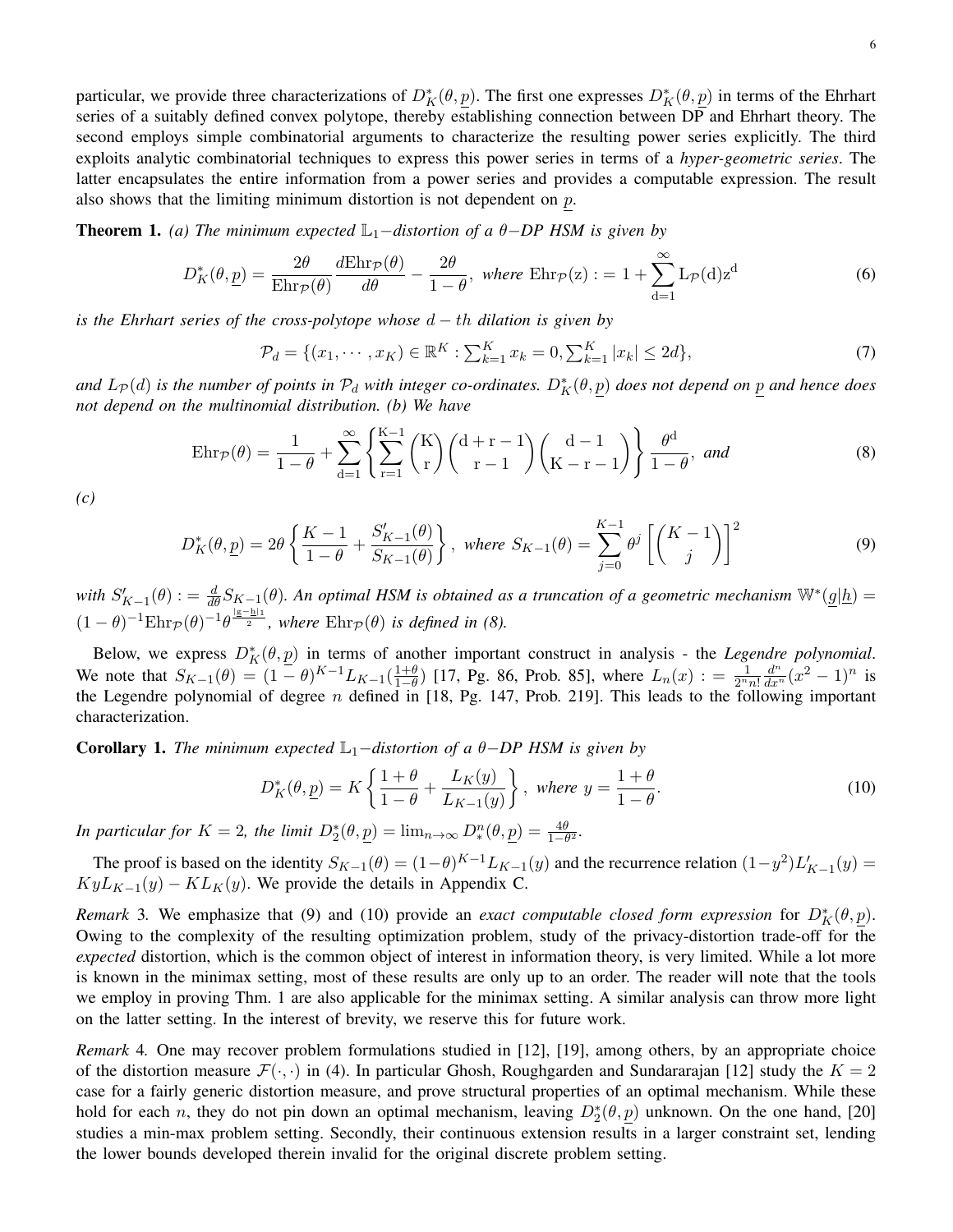particular, we provide three characterizations of  $D_K^*(\theta, \underline{p})$ . The first one expresses  $D_K^*(\theta, \underline{p})$  in terms of the Ehrhart series of a suitably defined convex polytope, thereby establishing connection between DP and Ehrhart theory. The second employs simple combinatorial arguments to characterize the resulting power series explicitly. The third exploits analytic combinatorial techniques to express this power series in terms of a *hyper-geometric series*. The latter encapsulates the entire information from a power series and provides a computable expression. The result also shows that the limiting minimum distortion is not dependent on  $p$ .

Theorem 1. *(a)* The minimum expected  $\mathbb{L}_1$ −distortion of a  $\theta$ −DP HSM is given by

$$
D_K^*(\theta, \underline{p}) = \frac{2\theta}{\mathrm{Ehr}_{\mathcal{P}}(\theta)} \frac{d\mathrm{Ehr}_{\mathcal{P}}(\theta)}{d\theta} - \frac{2\theta}{1-\theta}, \text{ where } \mathrm{Ehr}_{\mathcal{P}}(z) := 1 + \sum_{d=1}^{\infty} L_{\mathcal{P}}(d) z^d
$$
 (6)

*is the Ehrhart series of the cross-polytope whose* d − th *dilation is given by*

$$
\mathcal{P}_d = \{ (x_1, \cdots, x_K) \in \mathbb{R}^K : \sum_{k=1}^K x_k = 0, \sum_{k=1}^K |x_k| \le 2d \},\tag{7}
$$

and  $L_{\cal P}(d)$  is the number of points in  ${\cal P}_d$  with integer co-ordinates.  $D^*_K(\theta,p)$  does not depend on  $\underline{p}$  and hence does *not depend on the multinomial distribution. (b) We have*

$$
\operatorname{Ehr}_{\mathcal{P}}(\theta) = \frac{1}{1-\theta} + \sum_{d=1}^{\infty} \left\{ \sum_{r=1}^{K-1} {K \choose r} {d+r-1 \choose r-1} {d-1 \choose K-r-1} \right\} \frac{\theta^d}{1-\theta}, \text{ and}
$$
(8)

*(c)*

$$
D_K^*(\theta, \underline{p}) = 2\theta \left\{ \frac{K-1}{1-\theta} + \frac{S'_{K-1}(\theta)}{S_{K-1}(\theta)} \right\}, \text{ where } S_{K-1}(\theta) = \sum_{j=0}^{K-1} \theta^j \left[ \binom{K-1}{j} \right]^2 \tag{9}
$$

with  $S'_{K-1}(\theta) := \frac{d}{d\theta}S_{K-1}(\theta)$ . An optimal HSM is obtained as a truncation of a geometric mechanism  $\mathbb{W}^*(\underline{g}|\underline{h})$  $(1-\theta)^{-1} \text{Ehr}_{\mathcal{P}}(\theta)^{-1} \theta^{\frac{|\mathbf{g}-\mathbf{h}|_1}{2}}$ , where  $\text{Ehr}_{\mathcal{P}}(\theta)$  is defined in (8).

Below, we express  $D_K^*(\theta, \underline{p})$  in terms of another important construct in analysis - the *Legendre polynomial*. We note that  $S_{K-1}(\theta) = (1 - \theta)^{K-1} L_{K-1}(\frac{1+\theta}{1-\theta})$  [17, Pg. 86, Prob. 85], where  $L_n(x) = \frac{1}{2^n n!}$  $\frac{d^n}{dx^n}(x^2-1)^n$  is the Legendre polynomial of degree n defined in [18, Pg. 147, Prob. 219]. This leads to the following important characterization.

**Corollary 1.** *The minimum expected*  $\mathbb{L}_1$ −*distortion of a*  $\theta$ −*DP HSM is given by* 

$$
D_K^*(\theta, \underline{p}) = K \left\{ \frac{1+\theta}{1-\theta} + \frac{L_K(y)}{L_{K-1}(y)} \right\}, \text{ where } y = \frac{1+\theta}{1-\theta}.
$$
 (10)

*In particular for*  $K = 2$ , the limit  $D_2^*(\theta, \underline{p}) = \lim_{n \to \infty} D_*^n(\theta, \underline{p}) = \frac{4\theta}{1-\theta^2}$ .

The proof is based on the identity  $S_{K-1}(\theta) = (1-\theta)^{K-1} L_{K-1}(y)$  and the recurrence relation  $(1-y^2) L'_{K-1}(y) =$  $KyL_{K-1}(y) - KL_{K}(y)$ . We provide the details in Appendix C.

*Remark* 3. We emphasize that (9) and (10) provide an *exact computable closed form expression* for  $D_K^*(\theta, \underline{p})$ . Owing to the complexity of the resulting optimization problem, study of the privacy-distortion trade-off for the *expected* distortion, which is the common object of interest in information theory, is very limited. While a lot more is known in the minimax setting, most of these results are only up to an order. The reader will note that the tools we employ in proving Thm. 1 are also applicable for the minimax setting. A similar analysis can throw more light on the latter setting. In the interest of brevity, we reserve this for future work.

*Remark* 4*.* One may recover problem formulations studied in [12], [19], among others, by an appropriate choice of the distortion measure  $\mathcal{F}(\cdot, \cdot)$  in (4). In particular Ghosh, Roughgarden and Sundararajan [12] study the  $K = 2$ case for a fairly generic distortion measure, and prove structural properties of an optimal mechanism. While these hold for each *n*, they do not pin down an optimal mechanism, leaving  $D_2^*(\theta, p)$  unknown. On the one hand, [20] studies a min-max problem setting. Secondly, their continuous extension results in a larger constraint set, lending the lower bounds developed therein invalid for the original discrete problem setting.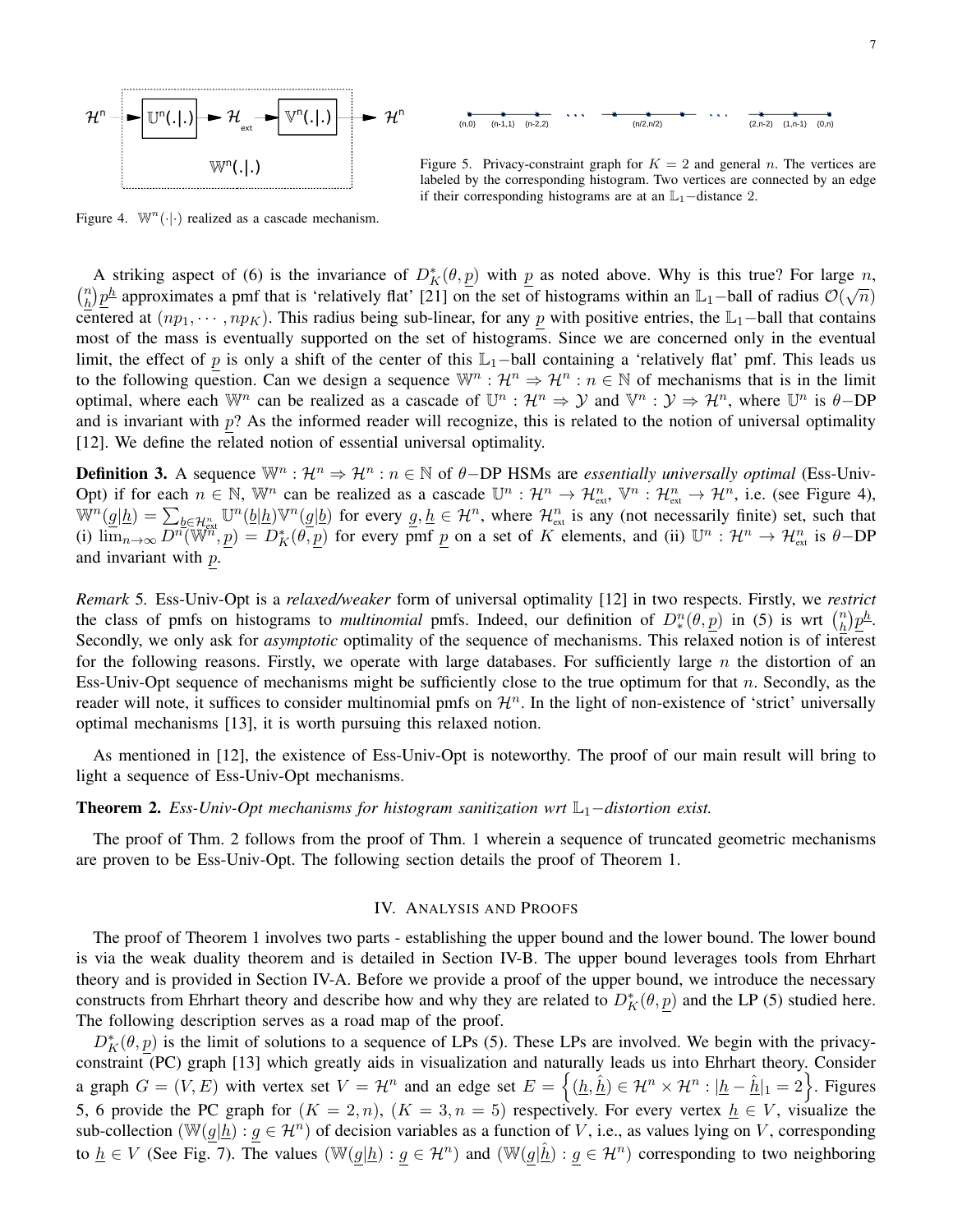



Figure 5. Privacy-constraint graph for  $K = 2$  and general n. The vertices are labeled by the corresponding histogram. Two vertices are connected by an edge if their corresponding histograms are at an  $\mathbb{L}_1$ -distance 2.

Figure 4.  $\mathbb{W}^n(\cdot|\cdot)$  realized as a cascade mechanism.

A striking aspect of (6) is the invariance of  $D_K^*(\theta, \underline{p})$  with  $\underline{p}$  as noted above. Why is this true? For large  $n$ ,  $\binom{n}{k}$  $\frac{n}{h}$ ) $\frac{p^h}{p^h}$  approximates a pmf that is 'relatively flat' [21] on the set of histograms within an  $\mathbb{L}_1$ -ball of radius  $\mathcal{O}(\sqrt{n})$ centered at  $(np_1, \dots, np_K)$ . This radius being sub-linear, for any p with positive entries, the L<sub>1</sub>−ball that contains most of the mass is eventually supported on the set of histograms. Since we are concerned only in the eventual limit, the effect of p is only a shift of the center of this  $\mathbb{L}_1$ −ball containing a 'relatively flat' pmf. This leads us to the following question. Can we design a sequence  $\mathbb{W}^n : \mathcal{H}^n \Rightarrow \mathcal{H}^n : n \in \mathbb{N}$  of mechanisms that is in the limit optimal, where each  $\mathbb{W}^n$  can be realized as a cascade of  $\mathbb{U}^n : \mathcal{H}^n \Rightarrow \mathcal{Y}$  and  $\mathbb{V}^n : \mathcal{Y} \Rightarrow \mathcal{H}^n$ , where  $\mathbb{U}^n$  is  $\theta$ -DP and is invariant with  $p$ ? As the informed reader will recognize, this is related to the notion of universal optimality [12]. We define the related notion of essential universal optimality.

**Definition 3.** A sequence  $\mathbb{W}^n : \mathcal{H}^n \Rightarrow \mathcal{H}^n : n \in \mathbb{N}$  of  $\theta$ -DP HSMs are *essentially universally optimal* (Ess-Univ-Opt) if for each  $n \in \mathbb{N}$ ,  $\mathbb{W}^n$  can be realized as a cascade  $\mathbb{U}^n : \mathcal{H}^n \to \mathcal{H}^n_{\text{ext}}$ ,  $\mathbb{V}^n : \mathcal{H}^n_{\text{ext}} \to \mathcal{H}^n$ , i.e. (see Figure 4),  $\mathbb{W}^n(\underline{g}|\underline{h}) = \sum_{b \in \mathcal{H}_{ext}^n} \mathbb{U}^n(\underline{b}|\underline{h}) \mathbb{V}^n(\underline{g}|\underline{b})$  for every  $\underline{g}, \underline{h} \in \mathcal{H}^n$ , where  $\mathcal{H}_{ext}^n$  is any (not necessarily finite) set, such that (i)  $\lim_{n\to\infty} \overline{D^n}(\mathbb{W}^n, p) = D_K^*(\theta, p)$  for every pmf p on a set of K elements, and (ii)  $\mathbb{U}^n : \mathcal{H}^n \to \mathcal{H}_{ext}^n$  is  $\theta$ -DP and invariant with p.

*Remark* 5*.* Ess-Univ-Opt is a *relaxed/weaker* form of universal optimality [12] in two respects. Firstly, we *restrict* the class of pmfs on histograms to *multinomial* pmfs. Indeed, our definition of  $D_*^n(\theta, p)$  in (5) is wrt  $\binom{n}{h}$  $\frac{n}{h}$ ) $\underline{p^h}.$ Secondly, we only ask for *asymptotic* optimality of the sequence of mechanisms. This relaxed notion is of interest for the following reasons. Firstly, we operate with large databases. For sufficiently large  $n$  the distortion of an Ess-Univ-Opt sequence of mechanisms might be sufficiently close to the true optimum for that n. Secondly, as the reader will note, it suffices to consider multinomial pmfs on  $\mathcal{H}^n$ . In the light of non-existence of 'strict' universally optimal mechanisms [13], it is worth pursuing this relaxed notion.

As mentioned in [12], the existence of Ess-Univ-Opt is noteworthy. The proof of our main result will bring to light a sequence of Ess-Univ-Opt mechanisms.

## Theorem 2. *Ess-Univ-Opt mechanisms for histogram sanitization wrt* L<sub>1</sub>−*distortion exist.*

The proof of Thm. 2 follows from the proof of Thm. 1 wherein a sequence of truncated geometric mechanisms are proven to be Ess-Univ-Opt. The following section details the proof of Theorem 1.

## IV. ANALYSIS AND PROOFS

The proof of Theorem 1 involves two parts - establishing the upper bound and the lower bound. The lower bound is via the weak duality theorem and is detailed in Section IV-B. The upper bound leverages tools from Ehrhart theory and is provided in Section IV-A. Before we provide a proof of the upper bound, we introduce the necessary constructs from Ehrhart theory and describe how and why they are related to  $D_K^*(\theta, p)$  and the LP (5) studied here. The following description serves as a road map of the proof.

 $D_K^*(\theta, \underline{p})$  is the limit of solutions to a sequence of LPs (5). These LPs are involved. We begin with the privacyconstraint (PC) graph [13] which greatly aids in visualization and naturally leads us into Ehrhart theory. Consider a graph  $G = (V, E)$  with vertex set  $V = H^n$  and an edge set  $E = \{(\underline{h}, \hat{\underline{h}}) \in \mathcal{H}^n \times \mathcal{H}^n : |\underline{h} - \hat{\underline{h}}|_1 = 2\}$ . Figures 5, 6 provide the PC graph for  $(K = 2, n)$ ,  $(K = 3, n = 5)$  respectively. For every vertex  $h \in V$ , visualize the sub-collection  $(\mathbb{W}(g|\underline{h}) : g \in \mathcal{H}^n)$  of decision variables as a function of V, i.e., as values lying on V, corresponding to  $\underline{h} \in V$  (See Fig. 7). The values  $(\mathbb{W}(g|\underline{h}): g \in \mathcal{H}^n)$  and  $(\mathbb{W}(g|\underline{\hat{h}}): g \in \mathcal{H}^n)$  corresponding to two neighboring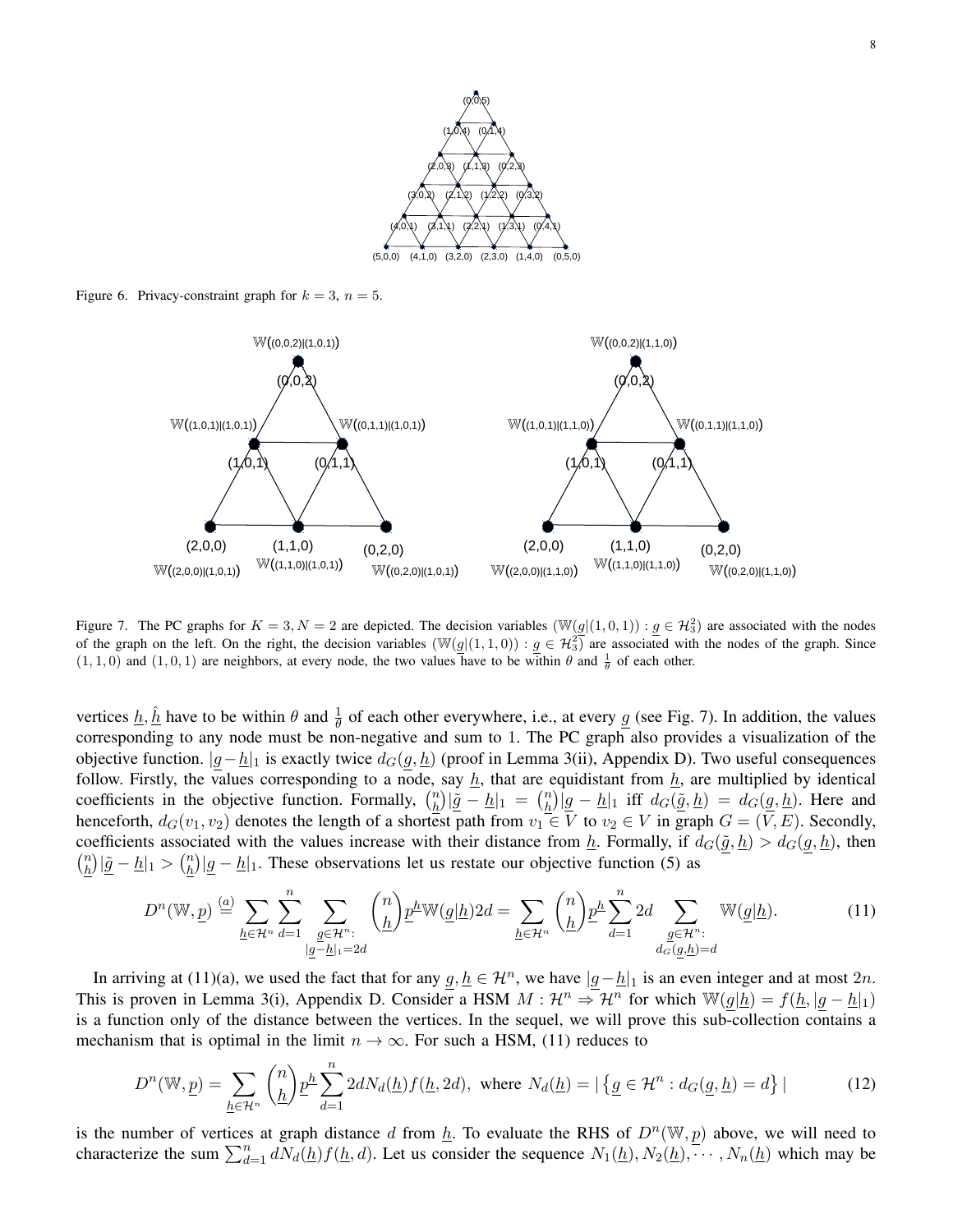

Figure 6. Privacy-constraint graph for  $k = 3$ ,  $n = 5$ .



Figure 7. The PC graphs for  $K = 3, N = 2$  are depicted. The decision variables  $(\mathbb{W}(g|(1,0,1)) : g \in \mathcal{H}_3^2)$  are associated with the nodes of the graph on the left. On the right, the decision variables  $(\mathbb{W}(g|(1,1,0)) : g \in \mathcal{H}_3^2)$  are associated with the nodes of the graph. Since  $(1, 1, 0)$  and  $(1, 0, 1)$  are neighbors, at every node, the two values have to be within  $\theta$  and  $\frac{1}{\theta}$  of each other.

vertices  $\underline{h}, \underline{\hat{h}}$  have to be within  $\theta$  and  $\frac{1}{\theta}$  of each other everywhere, i.e., at every  $\underline{g}$  (see Fig. 7). In addition, the values corresponding to any node must be non-negative and sum to 1. The PC graph also provides a visualization of the objective function.  $|g-\underline{h}|_1$  is exactly twice  $d_G(g,\underline{h})$  (proof in Lemma 3(ii), Appendix D). Two useful consequences follow. Firstly, the values corresponding to a node, say  $\underline{h}$ , that are equidistant from  $\underline{h}$ , are multiplied by identical coefficients in the objective function. Formally,  $\binom{n}{h}$  $\left(\frac{n}{\underline{h}}\right)\left|\underline{\tilde{g}}\right|-\underline{h}\left|1\right|=\left(\frac{n}{\underline{h}}\right)$  $\frac{n}{\hbar}$ )  $|\underline{g} - \underline{h}|_1$  iff  $d_G(\underline{\tilde{g}}, \underline{h}) = d_G(\underline{g}, \underline{h})$ . Here and henceforth,  $d_G(v_1, v_2)$  denotes the length of a shortest path from  $v_1 \in V$  to  $v_2 \in V$  in graph  $G = (V, E)$ . Secondly, coefficients associated with the values increase with their distance from  $\underline{h}$ . Formally, if  $d_G(\tilde{g}, \underline{h}) > d_G(g, \underline{h})$ , then  $\binom{n}{k}$  $\binom{n}{\underline{h}}$ | $\underline{\tilde{g}} - \underline{h}|_1 > \binom{n}{\underline{h}}$  $\frac{n}{\hbar}$ )  $|g - h|$ 1. These observations let us restate our objective function (5) as

$$
D^{n}(\mathbb{W}, \underline{p}) \stackrel{(a)}{=} \sum_{\underline{h} \in \mathcal{H}^{n}} \sum_{d=1}^{n} \sum_{\substack{\underline{g} \in \mathcal{H}^{n}: \\ |\underline{g}-\underline{h}|_{1}=2d}} {n \choose \underline{h}} \underline{p}^{\underline{h}} \mathbb{W}(\underline{g}|\underline{h}) 2d = \sum_{\underline{h} \in \mathcal{H}^{n}} {n \choose \underline{h}} \underline{p}^{\underline{h}} \sum_{d=1}^{n} 2d \sum_{\substack{\underline{g} \in \mathcal{H}^{n}: \\ d_{G}(\underline{g}, \underline{h})=d}} \mathbb{W}(\underline{g}|\underline{h}).
$$
 (11)

In arriving at (11)(a), we used the fact that for any  $g, \underline{h} \in \mathcal{H}^n$ , we have  $|g-\underline{h}|_1$  is an even integer and at most  $2n$ . This is proven in Lemma 3(i), Appendix D. Consider a HSM  $M : \mathcal{H}^n \to \mathcal{H}^n$  for which  $\mathbb{W}(g|\underline{h}) = f(\underline{h}, |g - \underline{h}|_1)$ is a function only of the distance between the vertices. In the sequel, we will prove this sub-collection contains a mechanism that is optimal in the limit  $n \to \infty$ . For such a HSM, (11) reduces to

$$
D^{n}(\mathbb{W}, \underline{p}) = \sum_{\underline{h} \in \mathcal{H}^{n}} {n \choose \underline{h}} \underline{p}^{\underline{h}} \sum_{d=1}^{n} 2dN_{d}(\underline{h}) f(\underline{h}, 2d), \text{ where } N_{d}(\underline{h}) = |\{ \underline{g} \in \mathcal{H}^{n} : d_{G}(\underline{g}, \underline{h}) = d \}| \tag{12}
$$

is the number of vertices at graph distance d from  $\underline{h}$ . To evaluate the RHS of  $D^n(\mathbb{W}, p)$  above, we will need to characterize the sum  $\sum_{d=1}^{n} dN_d(\underline{h})f(\underline{h}, d)$ . Let us consider the sequence  $N_1(\underline{h}), N_2(\underline{h}), \cdots, N_n(\underline{h})$  which may be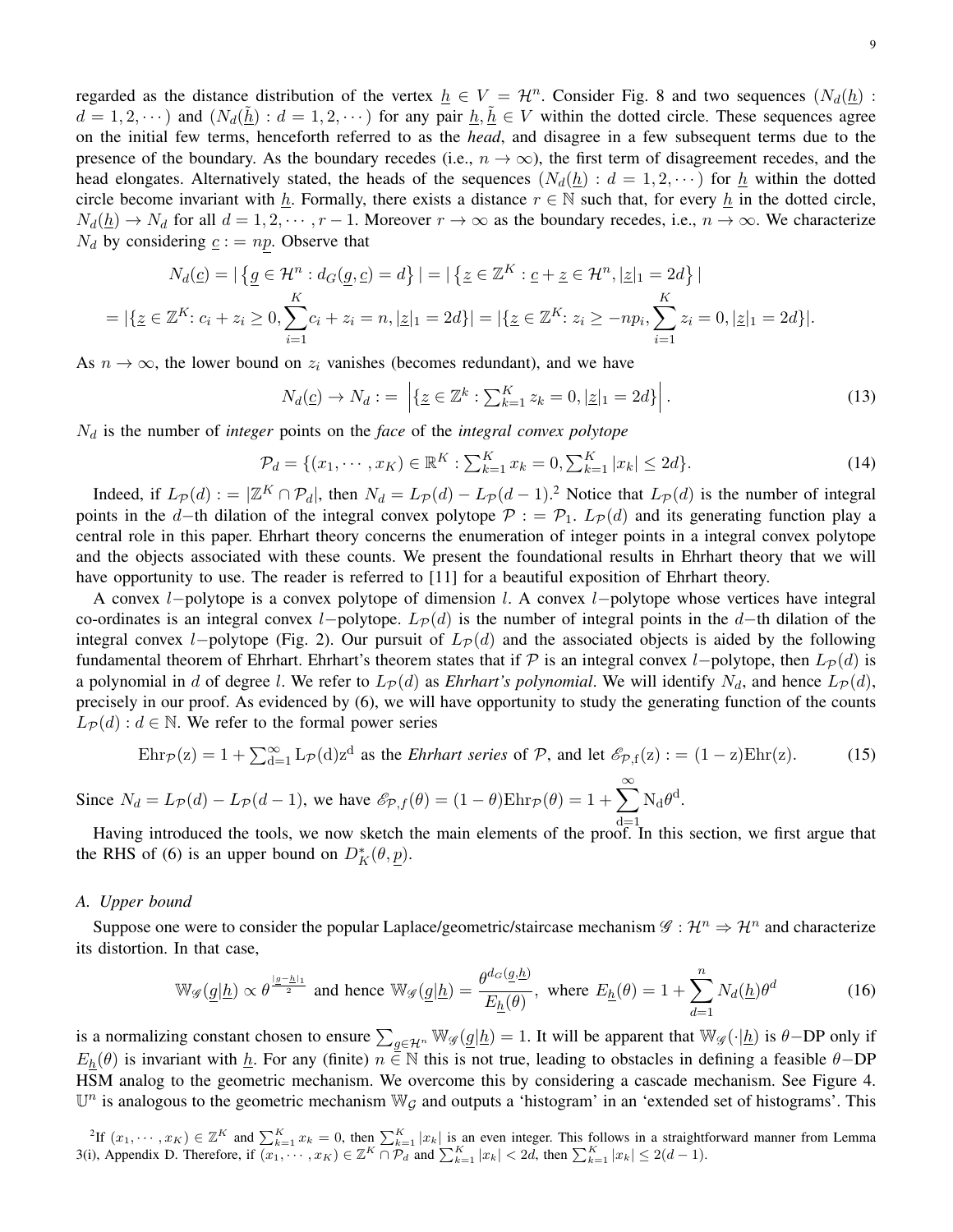regarded as the distance distribution of the vertex  $h \in V = H^n$ . Consider Fig. 8 and two sequences  $(N_d(h))$ :  $d = 1, 2, \dots$ ) and  $(N_d(\underline{h}) : d = 1, 2, \dots)$  for any pair  $\underline{h}, \underline{h} \in V$  within the dotted circle. These sequences agree on the initial few terms, henceforth referred to as the *head*, and disagree in a few subsequent terms due to the presence of the boundary. As the boundary recedes (i.e.,  $n \to \infty$ ), the first term of disagreement recedes, and the head elongates. Alternatively stated, the heads of the sequences  $(N_d(\underline{h}) : d = 1, 2, \dots)$  for  $\underline{h}$  within the dotted circle become invariant with h. Formally, there exists a distance  $r \in \mathbb{N}$  such that, for every h in the dotted circle,  $N_d(\underline{h}) \to N_d$  for all  $d = 1, 2, \cdots, r - 1$ . Moreover  $r \to \infty$  as the boundary recedes, i.e.,  $n \to \infty$ . We characterize  $N_d$  by considering  $c := np$ . Observe that

$$
N_d(\underline{c}) = |\{ \underline{g} \in \mathcal{H}^n : d_G(\underline{g}, \underline{c}) = d \}| = |\{ \underline{z} \in \mathbb{Z}^K : \underline{c} + \underline{z} \in \mathcal{H}^n, |\underline{z}|_1 = 2d \}|
$$
  
= |\{ \underline{z} \in \mathbb{Z}^K : c\_i + z\_i \ge 0, \sum\_{i=1}^K c\_i + z\_i = n, |\underline{z}|\_1 = 2d \}| = |\{ \underline{z} \in \mathbb{Z}^K : z\_i \ge -np\_i, \sum\_{i=1}^K z\_i = 0, |\underline{z}|\_1 = 2d \}|.

As  $n \to \infty$ , the lower bound on  $z_i$  vanishes (becomes redundant), and we have

$$
N_d(\underline{c}) \to N_d := \left| \{ \underline{z} \in \mathbb{Z}^k : \sum_{k=1}^K z_k = 0, |\underline{z}|_1 = 2d \} \right|.
$$
 (13)

 $N_d$  is the number of *integer* points on the *face* of the *integral convex polytope* 

$$
\mathcal{P}_d = \{(x_1, \dots, x_K) \in \mathbb{R}^K : \sum_{k=1}^K x_k = 0, \sum_{k=1}^K |x_k| \le 2d\}.
$$
 (14)

Indeed, if  $L_{\mathcal{P}}(d) := |\mathbb{Z}^K \cap \mathcal{P}_d|$ , then  $N_d = L_{\mathcal{P}}(d) - L_{\mathcal{P}}(d-1)$ .<sup>2</sup> Notice that  $L_{\mathcal{P}}(d)$  is the number of integral points in the d−th dilation of the integral convex polytope  $\mathcal{P}$  : =  $\mathcal{P}_1$ .  $L_{\mathcal{P}}(d)$  and its generating function play a central role in this paper. Ehrhart theory concerns the enumeration of integer points in a integral convex polytope and the objects associated with these counts. We present the foundational results in Ehrhart theory that we will have opportunity to use. The reader is referred to [11] for a beautiful exposition of Ehrhart theory.

A convex l−polytope is a convex polytope of dimension l. A convex l−polytope whose vertices have integral co-ordinates is an integral convex l−polytope.  $L_{\mathcal{P}}(d)$  is the number of integral points in the d–th dilation of the integral convex l−polytope (Fig. 2). Our pursuit of  $L_{\mathcal{P}}(d)$  and the associated objects is aided by the following fundamental theorem of Ehrhart. Ehrhart's theorem states that if P is an integral convex l−polytope, then  $L_{\mathcal{P}}(d)$  is a polynomial in d of degree l. We refer to  $L_P(d)$  as *Ehrhart's polynomial*. We will identify  $N_d$ , and hence  $L_P(d)$ , precisely in our proof. As evidenced by (6), we will have opportunity to study the generating function of the counts  $L_{\mathcal{P}}(d)$ :  $d \in \mathbb{N}$ . We refer to the formal power series

$$
Ehr_{\mathcal{P}}(z) = 1 + \sum_{d=1}^{\infty} L_{\mathcal{P}}(d) z^{d}
$$
 as the *Ehrhart series* of  $\mathcal{P}$ , and let  $\mathcal{E}_{\mathcal{P},f}(z) := (1 - z)Ehr(z)$ . (15)

Since  $N_d = L_{\mathcal{P}}(d) - L_{\mathcal{P}}(d-1)$ , we have  $\mathscr{E}_{\mathcal{P},f}(\theta) = (1 - \theta) \text{Ehr}_{\mathcal{P}}(\theta) = 1 + \sum_{k=1}^{\infty} N_d \theta^d$ .

Having introduced the tools, we now sketch the main elements of the proof. In this section, we first argue that the RHS of (6) is an upper bound on  $D_K^*(\theta, \underline{p})$ .

## *A. Upper bound*

Suppose one were to consider the popular Laplace/geometric/staircase mechanism  $\mathscr{G}: \mathcal{H}^n \to \mathcal{H}^n$  and characterize its distortion. In that case,

$$
\mathbb{W}_{\mathscr{G}}(\underline{g}|\underline{h}) \propto \theta^{\frac{|g-\underline{h}|_1}{2}} \text{ and hence } \mathbb{W}_{\mathscr{G}}(\underline{g}|\underline{h}) = \frac{\theta^{d_G}(\underline{g},\underline{h})}{E_{\underline{h}}(\theta)}, \text{ where } E_{\underline{h}}(\theta) = 1 + \sum_{d=1}^{n} N_d(\underline{h})\theta^d \tag{16}
$$

is a normalizing constant chosen to ensure  $\sum_{g \in \mathcal{H}^n} \mathbb{W}_{\mathscr{G}}(\underline{g}|\underline{h}) = 1$ . It will be apparent that  $\mathbb{W}_{\mathscr{G}}(\cdot|\underline{h})$  is  $\theta$ -DP only if  $E_h(\theta)$  is invariant with  $\underline{h}$ . For any (finite)  $n \in \mathbb{N}$  this is not true, leading to obstacles in defining a feasible  $\theta$ -DP HSM analog to the geometric mechanism. We overcome this by considering a cascade mechanism. See Figure 4.  $\mathbb{U}^n$  is analogous to the geometric mechanism  $\mathbb{W}_{\mathcal{G}}$  and outputs a 'histogram' in an 'extended set of histograms'. This

<sup>2</sup>If  $(x_1, \dots, x_K) \in \mathbb{Z}^K$  and  $\sum_{k=1}^K x_k = 0$ , then  $\sum_{k=1}^K |x_k|$  is an even integer. This follows in a straightforward manner from Lemma 3(i), Appendix D. Therefore, if  $\overline{(x_1, \dots, x_K)} \in \mathbb{Z}^K \cap \mathcal{P}_d$  and  $\sum_{k=1}^K |x_k| < 2d$ , then  $\sum_{k=1}^K |x_k| \leq 2(d-1)$ .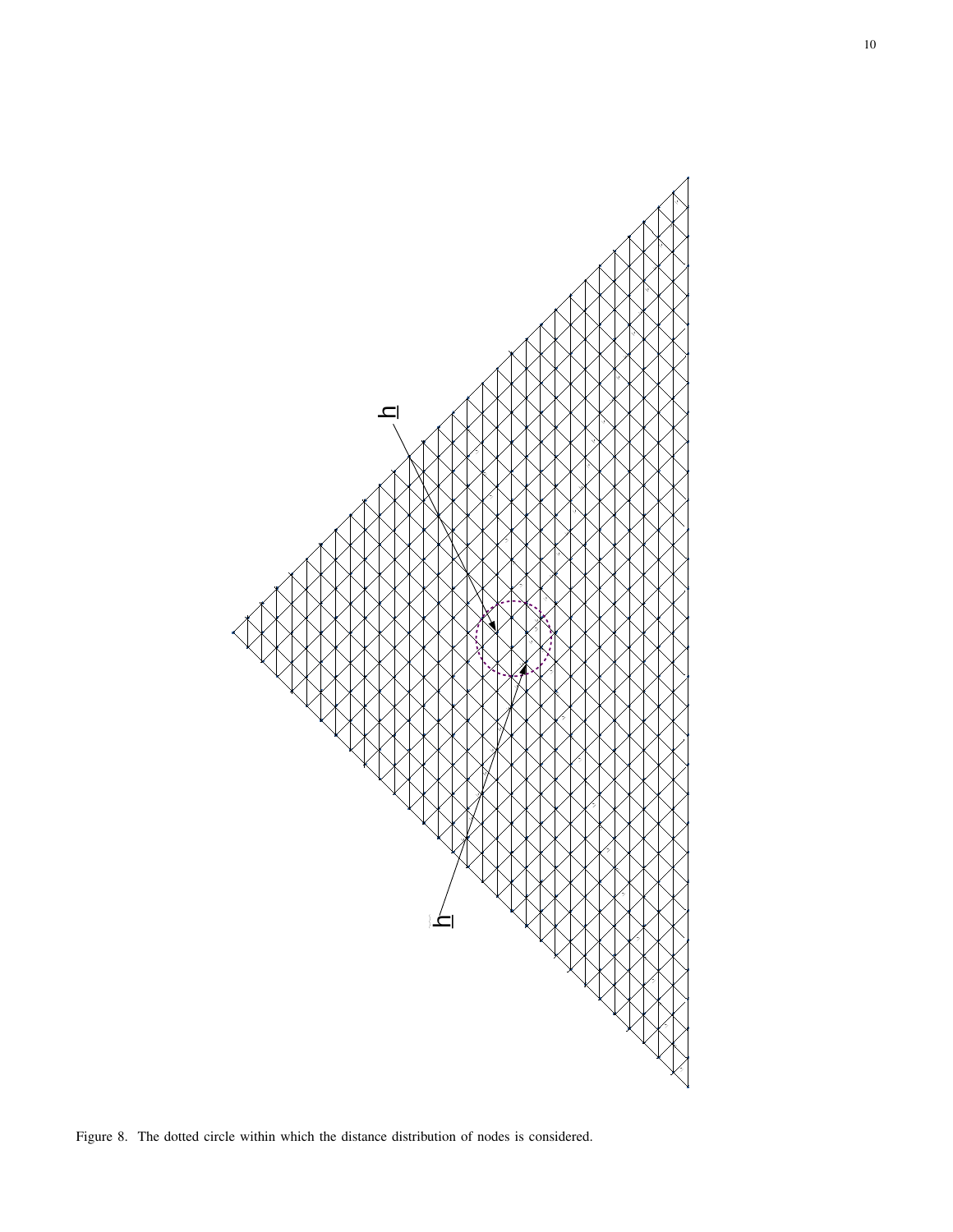

Figure 8. The dotted circle within which the distance distribution of nodes is considered.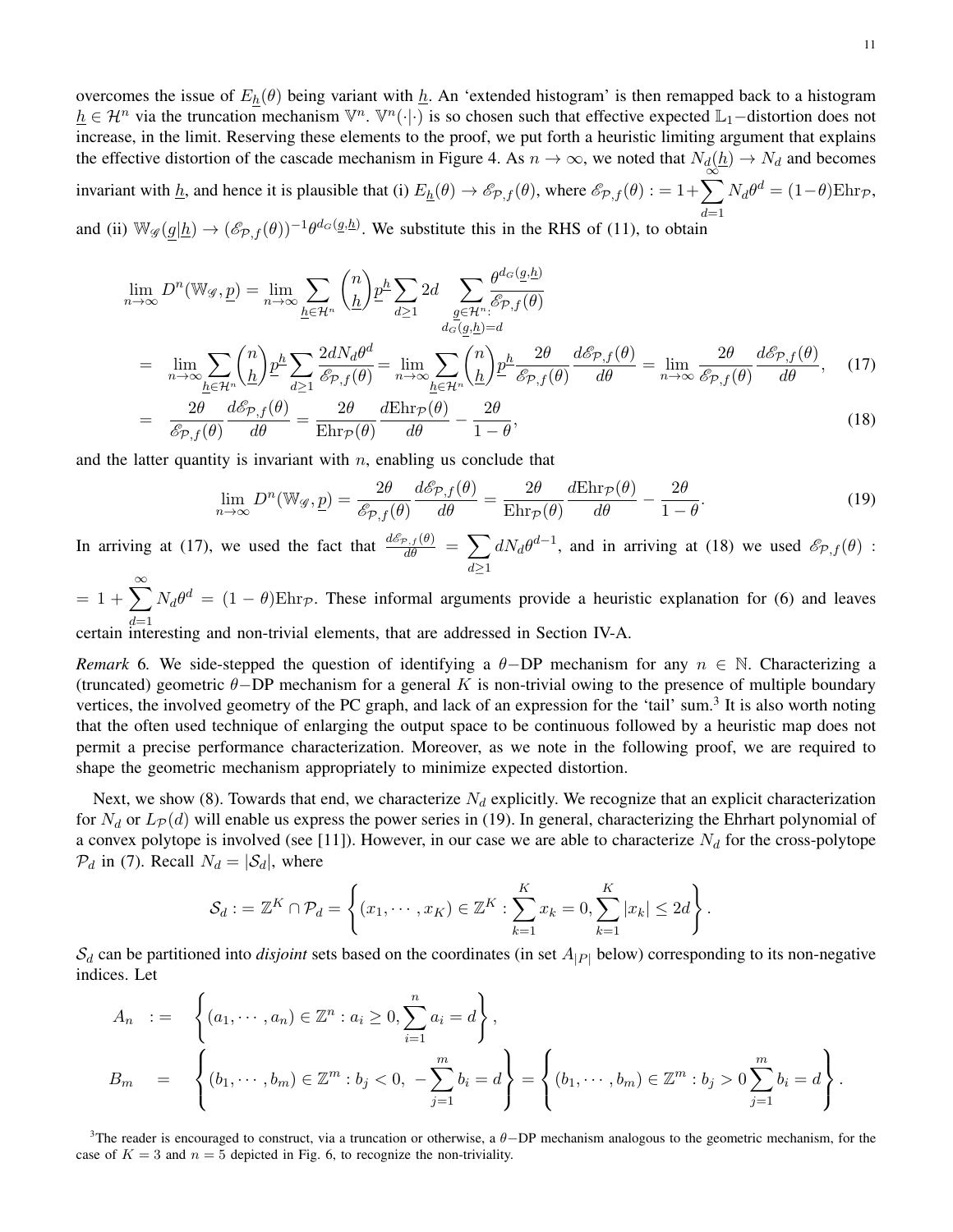overcomes the issue of  $E_h(\theta)$  being variant with h. An 'extended histogram' is then remapped back to a histogram  $h \in \mathcal{H}^n$  via the truncation mechanism  $\mathbb{V}^n$ .  $\mathbb{V}^n(\cdot|\cdot)$  is so chosen such that effective expected  $\mathbb{L}_1$ -distortion does not increase, in the limit. Reserving these elements to the proof, we put forth a heuristic limiting argument that explains the effective distortion of the cascade mechanism in Figure 4. As  $n \to \infty$ , we noted that  $N_d(\underline{h}) \to N_d$  and becomes invariant with  $\underline{h}$ , and hence it is plausible that (i)  $E_{\underline{h}}(\theta) \to \mathscr{E}_{\mathcal{P},f}(\theta)$ , where  $\mathscr{E}_{\mathcal{P},f}(\theta) := 1 + \sum_{\infty}^{\infty}$ 

 $d=1$  $N_d\theta^d = (1-\theta)\text{Ehr}_{\mathcal{P}},$ 

and (ii)  $\mathbb{W}_{\mathscr{G}}(\underline{g}|\underline{h}) \to (\mathscr{E}_{\mathcal{P},f}(\theta))^{-1}\theta^{d_G(\underline{g},\underline{h})}$ . We substitute this in the RHS of (11), to obtain

$$
\lim_{n \to \infty} D^{n}(\mathbb{W}_{\mathscr{G}}, \underline{p}) = \lim_{n \to \infty} \sum_{\underline{h} \in \mathcal{H}^{n}} {n \choose \underline{h}} \underline{p}^{\underline{h}} \sum_{d \ge 1} 2d \sum_{\underline{g} \in \mathcal{H}^{n}} \frac{\theta^{d_G}(\underline{g}, \underline{h})}{\mathscr{E}_{p,f}(\theta)}
$$
\n
$$
= \lim_{n \to \infty} \sum_{\underline{h} \in \mathcal{H}^{n}} {n \choose \underline{h}} \underline{p}^{\underline{h}} \sum_{d \ge 1} \frac{2dN_d\theta^d}{\mathscr{E}_{p,f}(\theta)} = \lim_{n \to \infty} \sum_{\underline{h} \in \mathcal{H}^{n}} {n \choose \underline{h}} \underline{p}^{\underline{h}} \frac{2\theta}{\mathscr{E}_{p,f}(\theta)} \frac{d\mathscr{E}_{p,f}(\theta)}{d\theta} = \lim_{n \to \infty} \frac{2\theta}{\mathscr{E}_{p,f}(\theta)} \frac{d\mathscr{E}_{p,f}(\theta)}{d\theta}, \quad (17)
$$
\n
$$
= \frac{2\theta}{\mathscr{E}_{p,f}(\theta)} \frac{d\mathscr{E}_{p,f}(\theta)}{d\theta} = \frac{2\theta}{\text{Ehr}_{p}(\theta)} \frac{d\text{Ehr}_{p}(\theta)}{d\theta} - \frac{2\theta}{1 - \theta}, \quad (18)
$$

and the latter quantity is invariant with  $n$ , enabling us conclude that

$$
\lim_{n \to \infty} D^n(\mathbb{W}_{\mathscr{G}}, \underline{p}) = \frac{2\theta}{\mathscr{E}_{\mathcal{P},f}(\theta)} \frac{d\mathscr{E}_{\mathcal{P},f}(\theta)}{d\theta} = \frac{2\theta}{\mathrm{Ehr}_{\mathcal{P}}(\theta)} \frac{d\mathrm{Ehr}_{\mathcal{P}}(\theta)}{d\theta} - \frac{2\theta}{1-\theta}.
$$
\n(19)

In arriving at (17), we used the fact that  $\frac{d\mathcal{E}_{P,f}(\theta)}{d\theta} = \sum$  $d \geq 1$  $dN_d\theta^{d-1}$ , and in arriving at (18) we used  $\mathscr{E}_{\mathcal{P},f}(\theta)$ :

 $= 1 + \sum_{n=0}^{\infty} N_d \theta^d = (1 - \theta) \text{Ehr}_{\mathcal{P}}$ . These informal arguments provide a heuristic explanation for (6) and leaves certain interesting and non-trivial elements, that are addressed in Section IV-A.

*Remark* 6*.* We side-stepped the question of identifying a  $\theta$ −DP mechanism for any  $n \in \mathbb{N}$ . Characterizing a (truncated) geometric  $\theta$ −DP mechanism for a general K is non-trivial owing to the presence of multiple boundary vertices, the involved geometry of the PC graph, and lack of an expression for the 'tail' sum.<sup>3</sup> It is also worth noting that the often used technique of enlarging the output space to be continuous followed by a heuristic map does not permit a precise performance characterization. Moreover, as we note in the following proof, we are required to shape the geometric mechanism appropriately to minimize expected distortion.

Next, we show (8). Towards that end, we characterize  $N_d$  explicitly. We recognize that an explicit characterization for  $N_d$  or  $L_P(d)$  will enable us express the power series in (19). In general, characterizing the Ehrhart polynomial of a convex polytope is involved (see [11]). However, in our case we are able to characterize  $N_d$  for the cross-polytope  $P_d$  in (7). Recall  $N_d = |\mathcal{S}_d|$ , where

$$
\mathcal{S}_d := \mathbb{Z}^K \cap \mathcal{P}_d = \left\{ (x_1, \dots, x_K) \in \mathbb{Z}^K : \sum_{k=1}^K x_k = 0, \sum_{k=1}^K |x_k| \leq 2d \right\}.
$$

 $S_d$  can be partitioned into *disjoint* sets based on the coordinates (in set  $A_{|P|}$  below) corresponding to its non-negative indices. Let

$$
A_n := \left\{ (a_1, \dots, a_n) \in \mathbb{Z}^n : a_i \ge 0, \sum_{i=1}^n a_i = d \right\},
$$
  
\n
$$
B_m = \left\{ (b_1, \dots, b_m) \in \mathbb{Z}^m : b_j < 0, -\sum_{j=1}^m b_j = d \right\} = \left\{ (b_1, \dots, b_m) \in \mathbb{Z}^m : b_j > 0 \sum_{j=1}^m b_j = d \right\}.
$$

<sup>3</sup>The reader is encouraged to construct, via a truncation or otherwise, a  $\theta$ -DP mechanism analogous to the geometric mechanism, for the case of  $K = 3$  and  $n = 5$  depicted in Fig. 6, to recognize the non-triviality.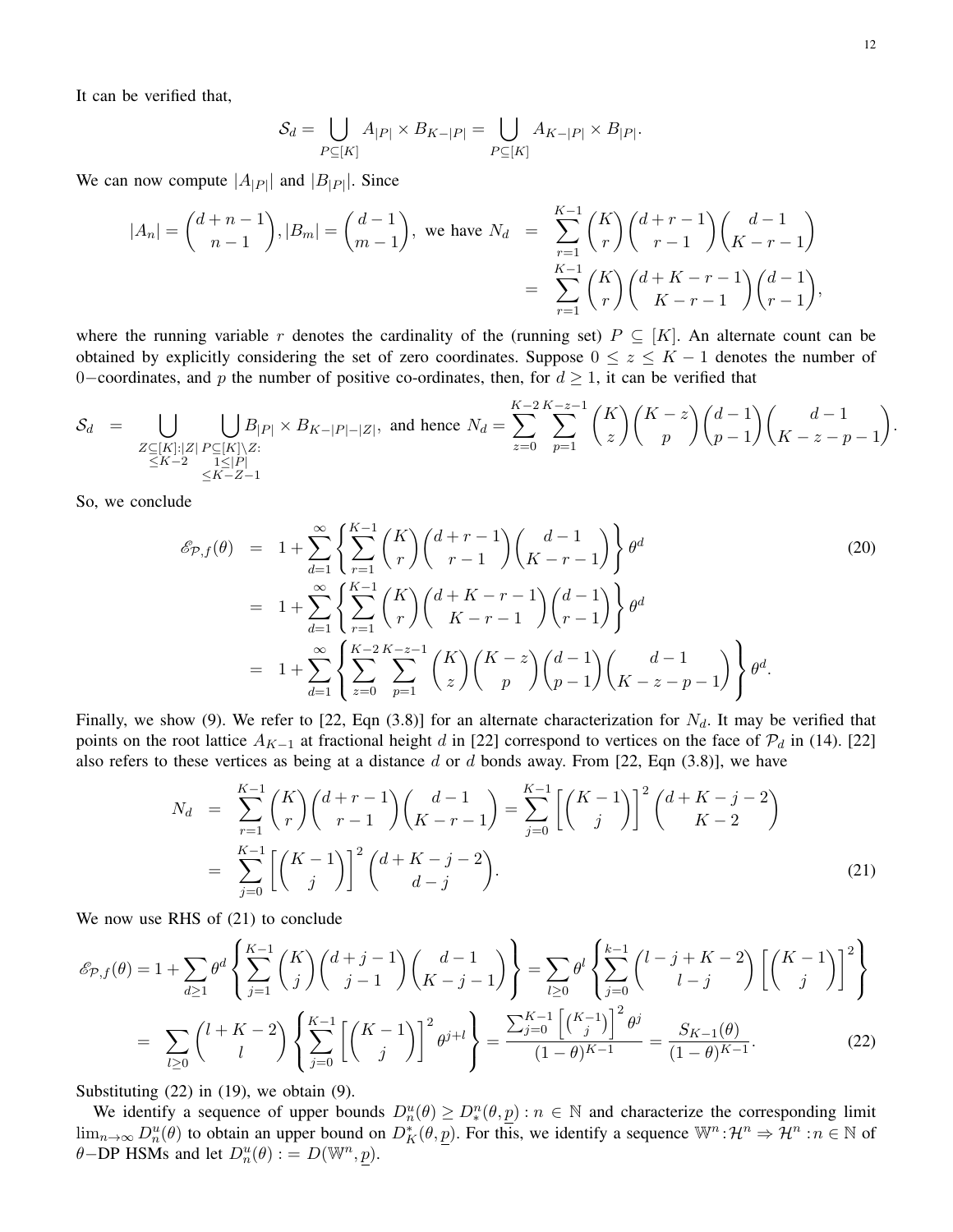It can be verified that,

$$
\mathcal{S}_d = \bigcup_{P \subseteq [K]} A_{|P|} \times B_{K-|P|} = \bigcup_{P \subseteq [K]} A_{K-|P|} \times B_{|P|}.
$$

We can now compute  $|A_{|P|}$  and  $|B_{|P|}$ . Since

$$
|A_n| = {d+n-1 \choose n-1}, |B_m| = {d-1 \choose m-1}, \text{ we have } N_d = \sum_{r=1}^{K-1} {K \choose r} {d+r-1 \choose r-1} {d-1 \choose K-r-1}
$$
  
= 
$$
\sum_{r=1}^{K-1} {K \choose r} {d+K-r-1 \choose K-r-1} {d-1 \choose r-1},
$$

where the running variable r denotes the cardinality of the (running set)  $P \subseteq [K]$ . An alternate count can be obtained by explicitly considering the set of zero coordinates. Suppose  $0 \le z \le K - 1$  denotes the number of 0–coordinates, and p the number of positive co-ordinates, then, for  $d \ge 1$ , it can be verified that

$$
\mathcal{S}_d = \bigcup_{\substack{Z \subseteq [K]: |Z| \\ \leq K-2}} \bigcup_{\substack{P \subseteq [K] \setminus Z:\\1 \leq |P| \\ \leq K-Z-1}} B_{|P|} \times B_{K-|P|-|Z|}, \text{ and hence } N_d = \sum_{z=0}^{K-2} \sum_{p=1}^{K-z-1} \binom{K}{z} \binom{K-z}{p} \binom{d-1}{p-1} \binom{d-1}{K-z-p-1}
$$

So, we conclude

$$
\mathcal{E}_{\mathcal{P},f}(\theta) = 1 + \sum_{d=1}^{\infty} \left\{ \sum_{r=1}^{K-1} {K \choose r} {d+r-1 \choose r-1} {d-1 \choose K-r-1} \right\} \theta^d
$$
\n
$$
= 1 + \sum_{d=1}^{\infty} \left\{ \sum_{r=1}^{K-1} {K \choose r} {d+K-r-1 \choose K-r-1} {d-1 \choose r-1} \right\} \theta^d
$$
\n
$$
= 1 + \sum_{d=1}^{\infty} \left\{ \sum_{z=0}^{K-2} \sum_{p=1}^{K-z-1} {K \choose z} {K-z \choose p} {d-1 \choose p-1} {d-1 \choose K-z-p-1} \right\} \theta^d.
$$
\n(20)

Finally, we show (9). We refer to [22, Eqn (3.8)] for an alternate characterization for  $N_d$ . It may be verified that points on the root lattice  $A_{K-1}$  at fractional height d in [22] correspond to vertices on the face of  $\mathcal{P}_d$  in (14). [22] also refers to these vertices as being at a distance  $d$  or  $d$  bonds away. From [22, Eqn (3.8)], we have

$$
N_d = \sum_{r=1}^{K-1} {K \choose r} {d+r-1 \choose r-1} {d-1 \choose K-r-1} = \sum_{j=0}^{K-1} \left[ {K-1 \choose j} \right]^2 {d+K-j-2 \choose K-2}
$$
  

$$
= \sum_{j=0}^{K-1} \left[ {K-1 \choose j} \right]^2 {d+K-j-2 \choose d-j}.
$$
 (21)

We now use RHS of (21) to conclude

$$
\mathcal{E}_{\mathcal{P},f}(\theta) = 1 + \sum_{d \ge 1} \theta^d \left\{ \sum_{j=1}^{K-1} {K \choose j} {d+j-1 \choose j-1} {d-1 \choose K-j-1} \right\} = \sum_{l \ge 0} \theta^l \left\{ \sum_{j=0}^{k-1} {l-j+K-2 \choose l-j} \left[ {K-1 \choose j} \right]^2 \right\}
$$

$$
= \sum_{l \ge 0} {l+K-2 \choose l} \left\{ \sum_{j=0}^{K-1} \left[ {K-1 \choose j} \right]^2 \theta^{j+l} \right\} = \frac{\sum_{j=0}^{K-1} {K-1 \choose j}^2 \theta^j}{(1-\theta)^{K-1}} = \frac{S_{K-1}(\theta)}{(1-\theta)^{K-1}}.
$$
(22)

Substituting (22) in (19), we obtain (9).

We identify a sequence of upper bounds  $D_n^u(\theta) \geq D_*^n(\theta, \underline{p}) : n \in \mathbb{N}$  and characterize the corresponding limit  $\lim_{n\to\infty} D_n^u(\theta)$  to obtain an upper bound on  $D_K^*(\theta, \underline{p})$ . For this, we identify a sequence  $\mathbb{W}^n : \mathcal{H}^n \Rightarrow \mathcal{H}^n : n \in \mathbb{N}$  of  $\theta$ -DP HSMs and let  $D_n^u(\theta) := D(\mathbb{W}^n, \underline{p}).$ 

.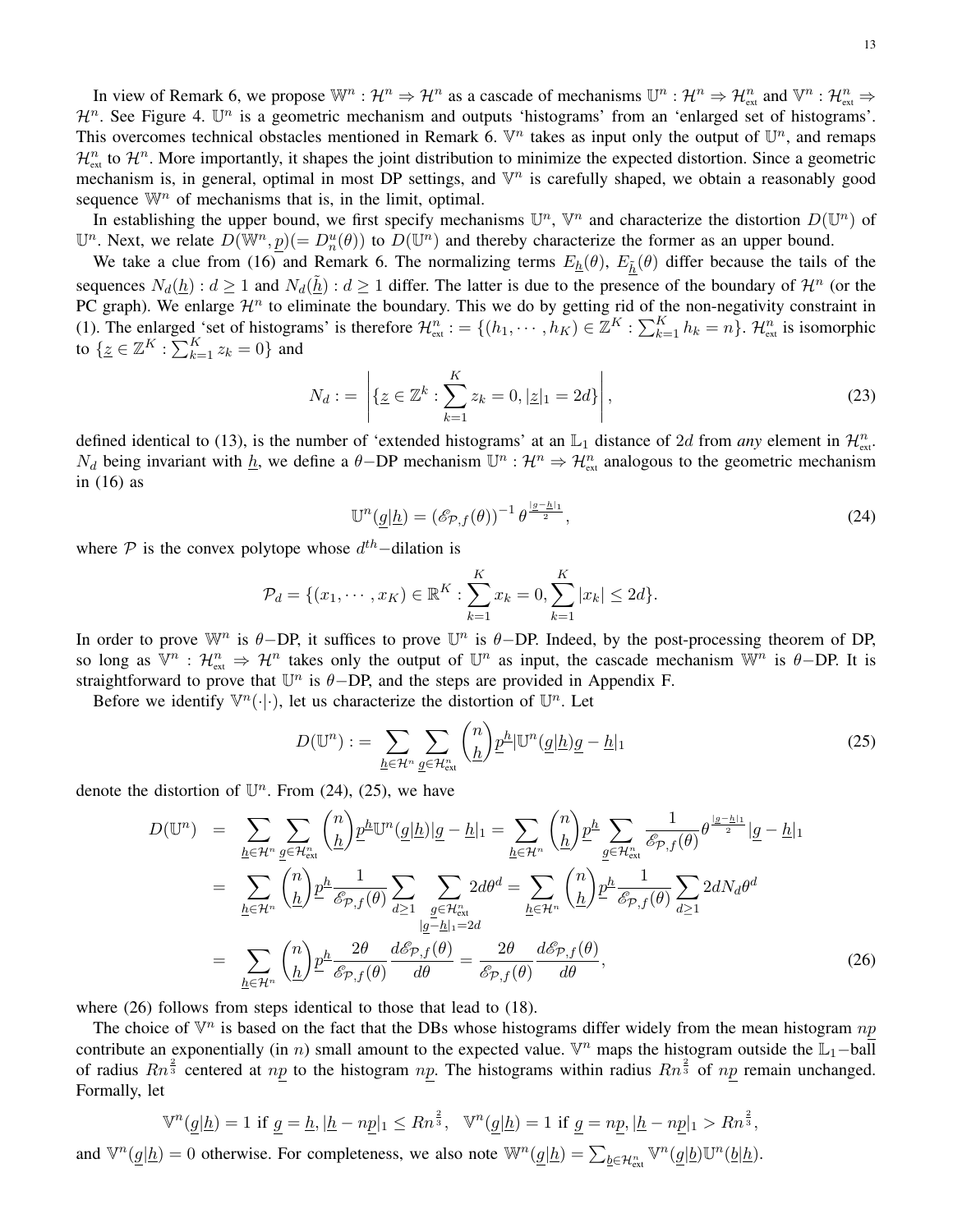In view of Remark 6, we propose  $\mathbb{W}^n : \mathcal{H}^n \Rightarrow \mathcal{H}^n$  as a cascade of mechanisms  $\mathbb{U}^n : \mathcal{H}^n \Rightarrow \mathcal{H}^n_{\text{ext}}$  and  $\mathbb{V}^n : \mathcal{H}^n_{\text{ext}} \Rightarrow$  $\mathcal{H}^n$ . See Figure 4.  $\mathbb{U}^n$  is a geometric mechanism and outputs 'histograms' from an 'enlarged set of histograms'. This overcomes technical obstacles mentioned in Remark 6.  $\mathbb{V}^n$  takes as input only the output of  $\mathbb{U}^n$ , and remaps  $\mathcal{H}_{\text{ext}}^n$  to  $\mathcal{H}^n$ . More importantly, it shapes the joint distribution to minimize the expected distortion. Since a geometric mechanism is, in general, optimal in most DP settings, and  $\mathbb{V}^n$  is carefully shaped, we obtain a reasonably good sequence  $\mathbb{W}^n$  of mechanisms that is, in the limit, optimal.

In establishing the upper bound, we first specify mechanisms  $\mathbb{U}^n$ ,  $\mathbb{V}^n$  and characterize the distortion  $D(\mathbb{U}^n)$  of  $\mathbb{U}^n$ . Next, we relate  $D(\overline{\mathbb{W}}^n, \underline{p}) (= D_n^u(\theta))$  to  $D(\mathbb{U}^n)$  and thereby characterize the former as an upper bound.

We take a clue from (16) and Remark 6. The normalizing terms  $E_h(\theta)$ ,  $E_h(\theta)$  differ because the tails of the sequences  $N_d(\underline{h})$ :  $d \ge 1$  and  $N_d(\underline{\tilde{h}})$ :  $d \ge 1$  differ. The latter is due to the presence of the boundary of  $\mathcal{H}^n$  (or the PC graph). We enlarge  $\mathcal{H}^n$  to eliminate the boundary. This we do by getting rid of the non-negativity constraint in (1). The enlarged 'set of histograms' is therefore  $\mathcal{H}_{ext}^n := \{(h_1, \dots, h_K) \in \mathbb{Z}^K : \sum_{k=1}^K h_k = n\}$ .  $\mathcal{H}_{ext}^n$  is isomorphic to  $\{ \underline{z} \in \mathbb{Z}^K : \sum_{k=1}^K z_k = 0 \}$  and

$$
N_d := \left| \{ \underline{z} \in \mathbb{Z}^k : \sum_{k=1}^K z_k = 0, |\underline{z}|_1 = 2d \} \right|,
$$
\n(23)

defined identical to (13), is the number of 'extended histograms' at an  $\mathbb{L}_1$  distance of 2d from *any* element in  $\mathcal{H}_{ext}^n$ .  $N_d$  being invariant with  $\underline{h}$ , we define a  $\theta$ -DP mechanism  $\mathbb{U}^n : \mathcal{H}^n \Rightarrow \mathcal{H}^n_{\text{ext}}$  analogous to the geometric mechanism in (16) as

$$
\mathbb{U}^n(\underline{g}|\underline{h}) = \left(\mathscr{E}_{\mathcal{P},f}(\theta)\right)^{-1} \theta^{\frac{|g-\underline{h}|_1}{2}},\tag{24}
$$

where  $P$  is the convex polytope whose  $d^{th}$ -dilation is

$$
\mathcal{P}_d = \{(x_1, \dots, x_K) \in \mathbb{R}^K : \sum_{k=1}^K x_k = 0, \sum_{k=1}^K |x_k| \le 2d\}.
$$

In order to prove  $\mathbb{W}^n$  is  $\theta$ -DP, it suffices to prove  $\mathbb{U}^n$  is  $\theta$ -DP. Indeed, by the post-processing theorem of DP, so long as  $\mathbb{V}^n$ :  $\mathcal{H}^n$   $\Rightarrow$   $\mathcal{H}^n$  takes only the output of  $\mathbb{U}^n$  as input, the cascade mechanism  $\mathbb{W}^n$  is  $\theta$ -DP. It is straightforward to prove that  $\mathbb{U}^n$  is  $\theta$ -DP, and the steps are provided in Appendix F.

Before we identify  $\mathbb{V}^n(\cdot|\cdot)$ , let us characterize the distortion of  $\mathbb{U}^n$ . Let

$$
D(\mathbb{U}^n) := \sum_{\underline{h} \in \mathcal{H}^n} \sum_{\underline{g} \in \mathcal{H}^n_{\text{ext}}} {n \choose \underline{h}} \underline{p}^{\underline{h}} |\mathbb{U}^n(\underline{g}|\underline{h})\underline{g} - \underline{h}|_1
$$
\n(25)

denote the distortion of  $\mathbb{U}^n$ . From (24), (25), we have

$$
D(\mathbb{U}^{n}) = \sum_{\underline{h} \in \mathcal{H}^{n}} \sum_{\underline{g} \in \mathcal{H}^{n}_{ext}} {n \choose \underline{h}} p^{\underline{h}} \mathbb{U}^{n}(\underline{g}|\underline{h}) |\underline{g} - \underline{h}|_{1} = \sum_{\underline{h} \in \mathcal{H}^{n}} {n \choose \underline{h}} p^{\underline{h}} \sum_{\underline{g} \in \mathcal{H}^{n}_{ext}} \frac{1}{\mathscr{E}_{\mathcal{P},f}(\theta)} \theta^{\frac{|\underline{g} - \underline{h}|_{1}}{2}} |\underline{g} - \underline{h}|_{1}
$$
  
\n
$$
= \sum_{\underline{h} \in \mathcal{H}^{n}} {n \choose \underline{h}} p^{\underline{h}} \frac{1}{\mathscr{E}_{\mathcal{P},f}(\theta)} \sum_{d \ge 1} \sum_{\underline{g} \in \mathcal{H}^{n}_{ext}} 2d\theta^{d} = \sum_{\underline{h} \in \mathcal{H}^{n}} {n \choose \underline{h}} p^{\underline{h}} \frac{1}{\mathscr{E}_{\mathcal{P},f}(\theta)} \sum_{d \ge 1} 2dN_{d}\theta^{d}
$$
  
\n
$$
= \sum_{\underline{h} \in \mathcal{H}^{n}} {n \choose \underline{h}} p^{\underline{h}} \frac{2\theta}{\mathscr{E}_{\mathcal{P},f}(\theta)} \frac{d\mathscr{E}_{\mathcal{P},f}(\theta)}{d\theta} = \frac{2\theta}{\mathscr{E}_{\mathcal{P},f}(\theta)} \frac{d\mathscr{E}_{\mathcal{P},f}(\theta)}{d\theta}, \qquad (26)
$$

where  $(26)$  follows from steps identical to those that lead to  $(18)$ .

The choice of  $\mathbb{V}^n$  is based on the fact that the DBs whose histograms differ widely from the mean histogram  $np$ contribute an exponentially (in *n*) small amount to the expected value. V<sup>n</sup> maps the histogram outside the  $\mathbb{L}_1$ -ball of radius  $Rn^{\frac{2}{3}}$  centered at np to the histogram np. The histograms within radius  $Rn^{\frac{2}{3}}$  of np remain unchanged. Formally, let

$$
\mathbb{V}^n(\underline{g}|\underline{h}) = 1 \text{ if } \underline{g} = \underline{h}, |\underline{h} - n\underline{p}|_1 \le Rn^{\frac{2}{3}}, \quad \mathbb{V}^n(\underline{g}|\underline{h}) = 1 \text{ if } \underline{g} = n\underline{p}, |\underline{h} - n\underline{p}|_1 > Rn^{\frac{2}{3}},
$$

and  $\mathbb{V}^n(\underline{g}|\underline{h}) = 0$  otherwise. For completeness, we also note  $\mathbb{W}^n(\underline{g}|\underline{h}) = \sum_{\underline{b} \in \mathcal{H}_{ext}^n} \mathbb{V}^n(\underline{g}|\underline{b}) \mathbb{U}^n(\underline{b}|\underline{h})$ .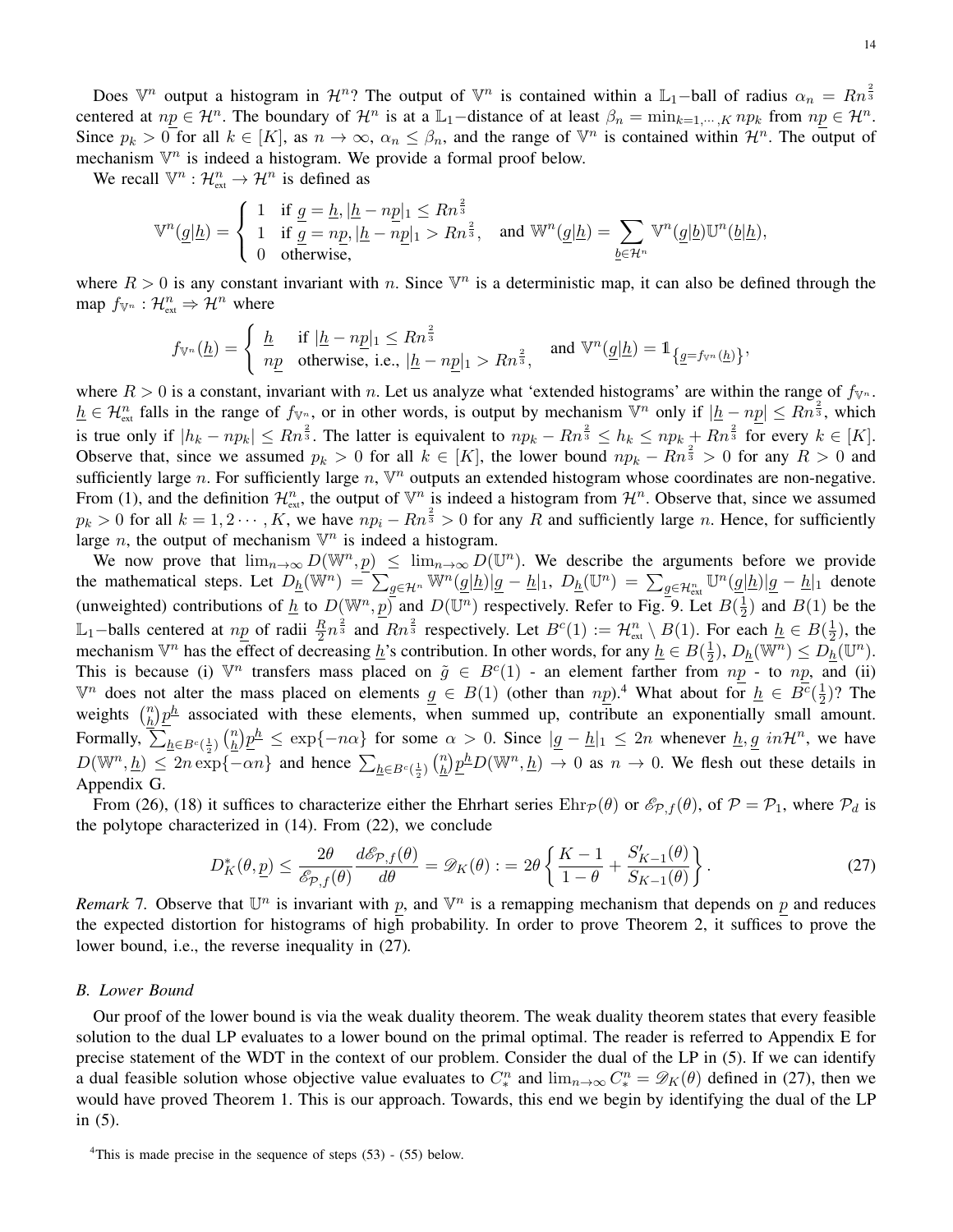Does  $\mathbb{V}^n$  output a histogram in  $\mathcal{H}^n$ ? The output of  $\mathbb{V}^n$  is contained within a  $\mathbb{L}_1$ -ball of radius  $\alpha_n = Rn^{\frac{2}{3}}$ centered at  $np \in \mathcal{H}^n$ . The boundary of  $\mathcal{H}^n$  is at a  $\mathbb{L}_1$ -distance of at least  $\beta_n = \min_{k=1,\dots,K} np_k$  from  $np \in \mathcal{H}^n$ . Since  $p_k > 0$  for all  $k \in [K]$ , as  $n \to \infty$ ,  $\alpha_n \le \beta_n$ , and the range of  $\mathbb{V}^n$  is contained within  $\mathcal{H}^n$ . The output of mechanism  $\mathbb{V}^n$  is indeed a histogram. We provide a formal proof below.

We recall  $\mathbb{V}^n$  :  $\mathcal{H}_{\text{ext}}^n \to \mathcal{H}^n$  is defined as

$$
\mathbb V^n(\underline g|\underline h)=\left\{\begin{array}{ll} 1 & \text{if } \underline g=\underline h, |\underline h-n\underline p|_1\le Rn^{\frac 23}\\ 1 & \text{if } \underline g=n\underline p, |\underline h-n\underline p|_1>Rn^{\frac 23}, \quad \text{and } \mathbb W^n(\underline g|\underline h)=\sum_{\underline b\in \mathcal H^n}\mathbb V^n(\underline g|\underline b)\mathbb U^n(\underline b|\underline h),\\ 0 & \text{otherwise}, \end{array}\right.
$$

where  $R > 0$  is any constant invariant with n. Since  $\mathbb{V}^n$  is a deterministic map, it can also be defined through the map  $f_{\mathbb{V}^n} : \mathcal{H}_{\text{ext}}^n \Rightarrow \mathcal{H}^n$  where

$$
f_{\mathbb{V}^n}(\underline{h}) = \begin{cases} \underline{h} & \text{if } |\underline{h} - np|_1 \le Rn^{\frac{2}{3}} \\ np & \text{otherwise, i.e., } |\underline{h} - np|_1 > Rn^{\frac{2}{3}}, \end{cases} \text{ and } \mathbb{V}^n(\underline{g}|\underline{h}) = \mathbb{1}_{\{\underline{g} = f_{\mathbb{V}^n}(\underline{h})\}},
$$

where  $R > 0$  is a constant, invariant with n. Let us analyze what 'extended histograms' are within the range of  $f_{V^n}$ .  $h \in \mathcal{H}_{\text{ext}}^n$  falls in the range of  $f_{\mathbb{V}^n}$ , or in other words, is output by mechanism  $\mathbb{V}^n$  only if  $|h - np| \leq Rn^{\frac{2}{3}}$ , which is true only if  $|h_k - np_k| \leq Rn^{\frac{2}{3}}$ . The latter is equivalent to  $np_k - Rn^{\frac{2}{3}} \leq h_k \leq np_k + Rn^{\frac{2}{3}}$  for every  $k \in [K]$ . Observe that, since we assumed  $p_k > 0$  for all  $k \in [K]$ , the lower bound  $np_k - Rn^{\frac{2}{3}} > 0$  for any  $R > 0$  and sufficiently large n. For sufficiently large n,  $\mathbb{V}^n$  outputs an extended histogram whose coordinates are non-negative. From (1), and the definition  $\mathcal{H}_{ext}^n$ , the output of  $\mathbb{V}^n$  is indeed a histogram from  $\mathcal{H}^n$ . Observe that, since we assumed  $p_k > 0$  for all  $k = 1, 2 \cdots, K$ , we have  $np_i - Rn^{\frac{2}{3}} > 0$  for any R and sufficiently large n. Hence, for sufficiently large *n*, the output of mechanism  $\mathbb{V}^n$  is indeed a histogram.

We now prove that  $\lim_{n\to\infty} D(\mathbb{W}^n, p) \leq \lim_{n\to\infty} D(\mathbb{U}^n)$ . We describe the arguments before we provide the mathematical steps. Let  $D_{\underline{h}}(\mathbb{W}^n) = \sum_{g \in \mathcal{H}^n} \mathbb{W}^n(\underline{g}|\underline{h})[\underline{g} - \underline{h}]_1$ ,  $D_{\underline{h}}(\mathbb{U}^n) = \sum_{g \in \mathcal{H}_{ext}^n} \mathbb{U}^n(\underline{g}|\underline{h})[\underline{g} - \underline{h}]_1$  denote (unweighted) contributions of  $\underline{h}$  to  $D(\mathbb{W}^n, p)$  and  $D(\mathbb{U}^n)$  respectively. Refer to Fig. 9. Let  $B(\frac{1}{2})$  $(\frac{1}{2})$  and  $B(1)$  be the L<sub>1</sub>-balls centered at  $np$  of radii  $\frac{R}{2}n^{\frac{2}{3}}$  and  $Rn^{\frac{2}{3}}$  respectively. Let  $B^c(1) := \mathcal{H}_{ext}^n \setminus B(1)$ . For each  $\underline{h} \in B(\frac{1}{2})$  $(\frac{1}{2})$ , the mechanism  $\mathbb{V}^n$  has the effect of decreasing  $\underline{h}$ 's contribution. In other words, for any  $\underline{h} \in B(\frac{1}{2})$  $\frac{1}{2}$ ),  $D_{\underline{h}}(\mathbb{W}^n) \leq D_{\underline{h}}(\mathbb{U}^n)$ . This is because (i)  $\mathbb{V}^n$  transfers mass placed on  $\tilde{g} \in B^c(1)$  - an element farther from  $np$  - to  $np$ , and (ii)  $\mathbb{V}^n$  does not alter the mass placed on elements  $g \in B(1)$  (other than  $np$ ).<sup>4</sup> What about for  $h \in B^c(\frac{1}{2})$  $\frac{1}{2}$ )? The weights  $\binom{n}{h}$  $\frac{n}{h}$  $\frac{p}{h}$  associated with these elements, when summed up, contribute an exponentially small amount. Formally,  $\sum_{\underline{h}\in B^c(\frac{1}{2})} \binom{n}{\underline{h}}$  $\frac{n}{\hbar} \cdot p \frac{h}{\hbar} \leq \exp\{-n\alpha\}$  for some  $\alpha > 0$ . Since  $|g - h|_1 \leq 2n$  whenever  $h, g \in \mathcal{H}^n$ , we have  $D(\mathbb{W}^n, \underline{h}) \leq 2n \exp\{-\alpha n\}$  and hence  $\sum_{\underline{h} \in B^c(\frac{1}{2})} {n \choose \underline{h}}$  $\frac{n}{h}$  $\frac{h}{p}$  $\frac{h}{p}$  $D(\mathbb{W}^n, \underline{h}) \to 0$  as  $n \to 0$ . We flesh out these details in Appendix G.

From (26), (18) it suffices to characterize either the Ehrhart series  $\text{Ehr}_p(\theta)$  or  $\mathcal{E}_{p,f}(\theta)$ , of  $\mathcal{P} = \mathcal{P}_1$ , where  $\mathcal{P}_d$  is the polytope characterized in (14). From (22), we conclude

$$
D_K^*(\theta, \underline{p}) \le \frac{2\theta}{\mathcal{E}_{\mathcal{P},f}(\theta)} \frac{d\mathcal{E}_{\mathcal{P},f}(\theta)}{d\theta} = \mathcal{D}_K(\theta) := 2\theta \left\{ \frac{K-1}{1-\theta} + \frac{S'_{K-1}(\theta)}{S_{K-1}(\theta)} \right\}.
$$
 (27)

*Remark* 7. Observe that  $\mathbb{U}^n$  is invariant with p, and  $\mathbb{V}^n$  is a remapping mechanism that depends on p and reduces the expected distortion for histograms of high probability. In order to prove Theorem 2, it suffices to prove the lower bound, i.e., the reverse inequality in (27)*.*

## *B. Lower Bound*

Our proof of the lower bound is via the weak duality theorem. The weak duality theorem states that every feasible solution to the dual LP evaluates to a lower bound on the primal optimal. The reader is referred to Appendix E for precise statement of the WDT in the context of our problem. Consider the dual of the LP in (5). If we can identify a dual feasible solution whose objective value evaluates to  $C_*^n$  and  $\lim_{n\to\infty} C_*^n = \mathscr{D}_K(\theta)$  defined in (27), then we would have proved Theorem 1. This is our approach. Towards, this end we begin by identifying the dual of the LP in (5).

<sup>&</sup>lt;sup>4</sup>This is made precise in the sequence of steps  $(53)$  -  $(55)$  below.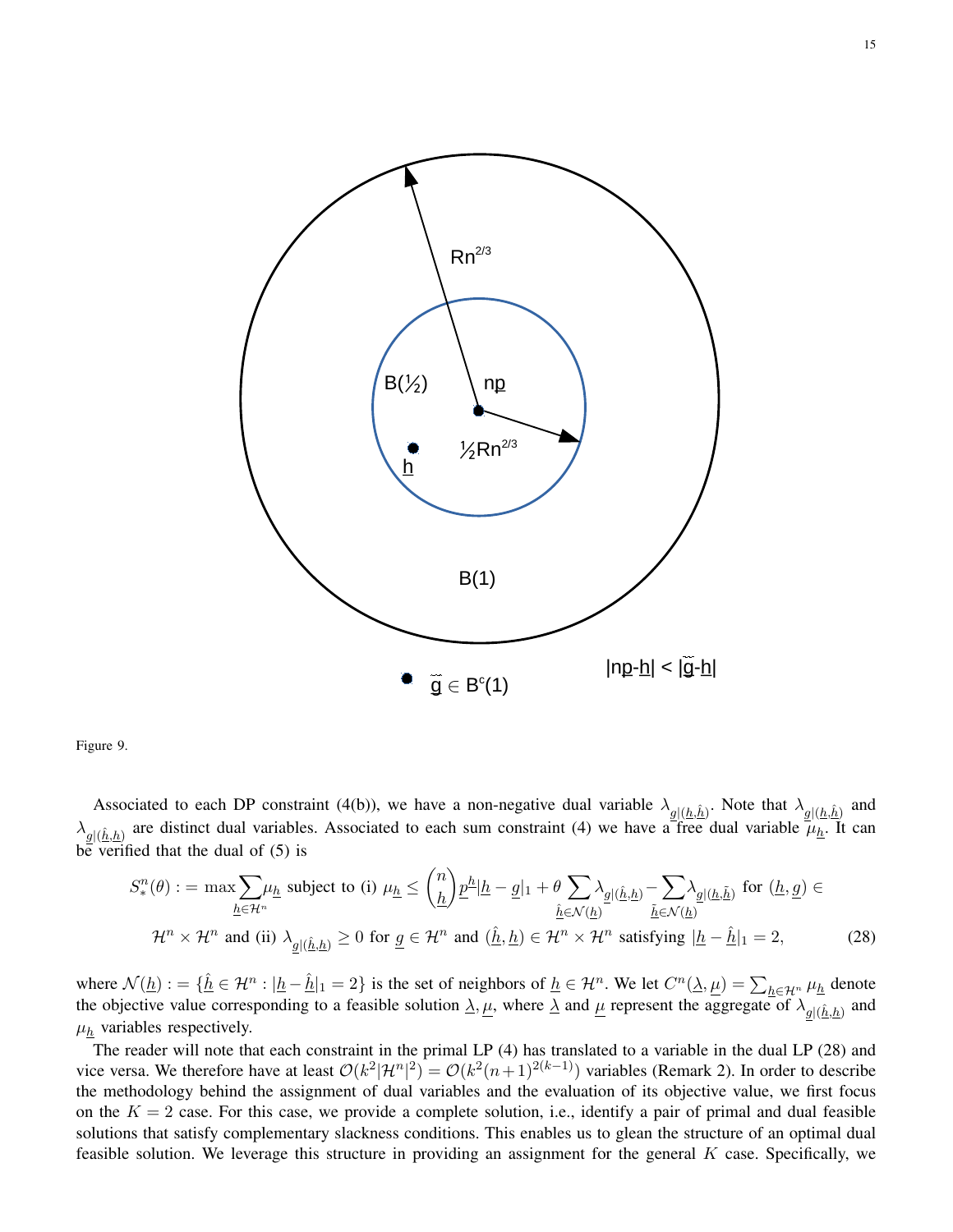

Figure 9.

Associated to each DP constraint (4(b)), we have a non-negative dual variable  $\lambda_{g|(\underline{h},\hat{\underline{h}})}$ . Note that  $\lambda_{g|(\underline{h},\hat{\underline{h}})}$  and  $\lambda_{g|(\hat{h},h)}$  are distinct dual variables. Associated to each sum constraint (4) we have a free dual variable  $\mu_{\underline{h}}$ . It can be verified that the dual of  $(5)$  is

$$
S_{*}^{n}(\theta) := \max \sum_{\underline{h} \in \mathcal{H}^{n}} \mu_{\underline{h}} \text{ subject to (i) } \mu_{\underline{h}} \le {n \choose \underline{h}} \underline{p}^{\underline{h}} |\underline{h} - \underline{g}|_{1} + \theta \sum_{\underline{\hat{h}} \in \mathcal{N}(\underline{h})} \lambda_{\underline{g} | (\underline{\hat{h}}, \underline{h})} - \sum_{\underline{\tilde{h}} \in \mathcal{N}(\underline{h})} \lambda_{\underline{g} | (\underline{h}, \underline{\tilde{h}})} \text{ for } (\underline{h}, \underline{g}) \in
$$
  

$$
\mathcal{H}^{n} \times \mathcal{H}^{n} \text{ and (ii) } \lambda_{\underline{g} | (\underline{\hat{h}}, \underline{h})} \ge 0 \text{ for } \underline{g} \in \mathcal{H}^{n} \text{ and } (\underline{\hat{h}}, \underline{h}) \in \mathcal{H}^{n} \times \mathcal{H}^{n} \text{ satisfying } |\underline{h} - \underline{\hat{h}}|_{1} = 2,
$$
 (28)

where  $\mathcal{N}(\underline{h}) := \{ \hat{\underline{h}} \in \mathcal{H}^n : |\underline{h} - \hat{\underline{h}}|_1 = 2 \}$  is the set of neighbors of  $\underline{h} \in \mathcal{H}^n$ . We let  $C^n(\underline{\lambda}, \underline{\mu}) = \sum_{\underline{h} \in \mathcal{H}^n} \mu_{\underline{h}}$  denote the objective value corresponding to a feasible solution  $\underline{\lambda}, \underline{\mu}$ , where  $\underline{\lambda}$  and  $\underline{\mu}$  represent the aggregate of  $\lambda_{g|(\hat{h},h)}$  and  $\mu_h$  variables respectively.

The reader will note that each constraint in the primal LP (4) has translated to a variable in the dual LP (28) and vice versa. We therefore have at least  $O(k^2|\mathcal{H}^n|^2) = O(k^2(n+1)^{2(k-1)})$  variables (Remark 2). In order to describe the methodology behind the assignment of dual variables and the evaluation of its objective value, we first focus on the  $K = 2$  case. For this case, we provide a complete solution, i.e., identify a pair of primal and dual feasible solutions that satisfy complementary slackness conditions. This enables us to glean the structure of an optimal dual feasible solution. We leverage this structure in providing an assignment for the general  $K$  case. Specifically, we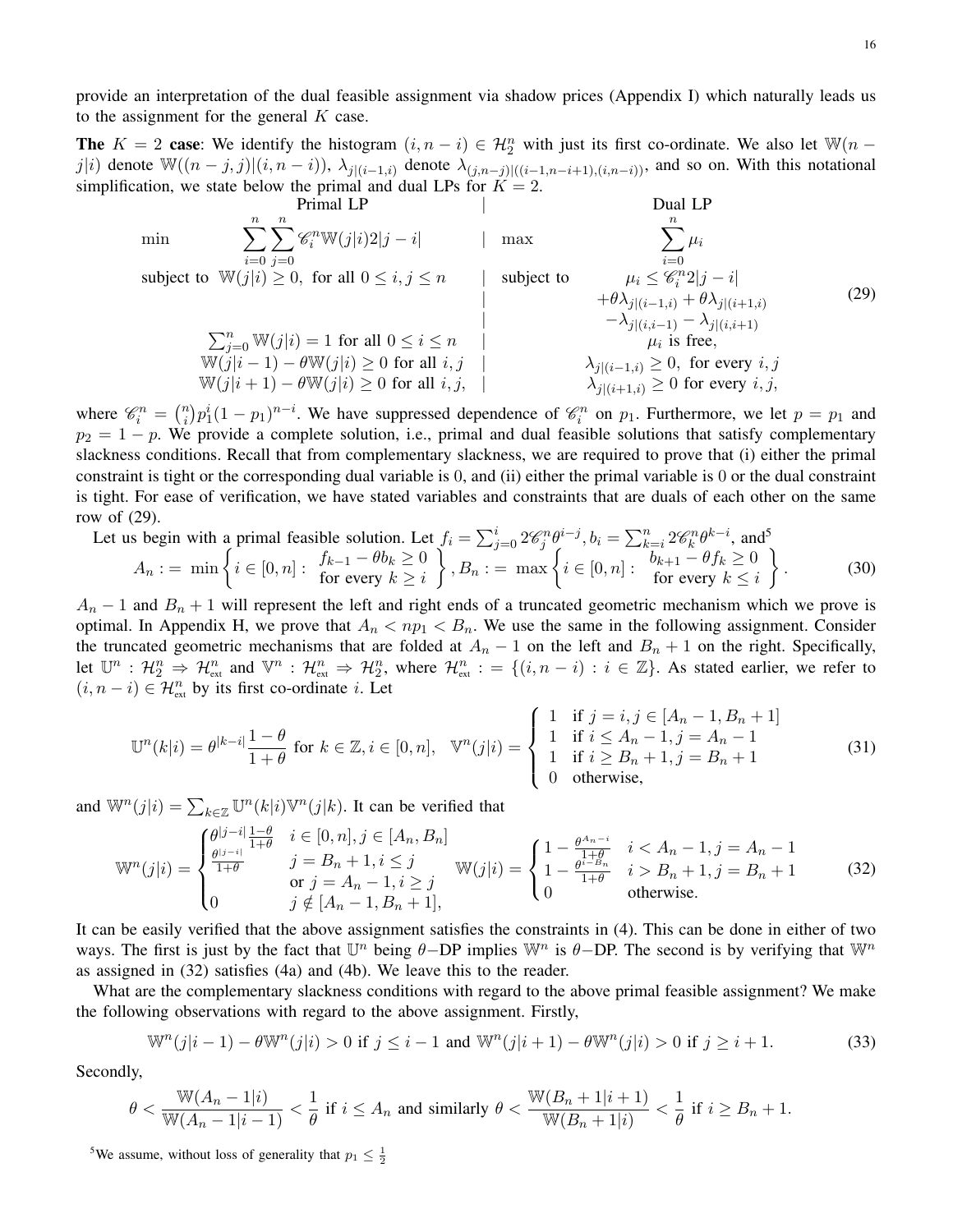provide an interpretation of the dual feasible assignment via shadow prices (Appendix I) which naturally leads us to the assignment for the general  $K$  case.

**The**  $K = 2$  case: We identify the histogram  $(i, n - i) \in \mathcal{H}_2^n$  with just its first co-ordinate. We also let  $\mathbb{W}(n - i)$ j|i) denote  $\mathbb{W}((n-j, j)|(i, n-i)), \lambda_{j|(i-1, i)}$  denote  $\lambda_{(j, n-j)|((i-1, n-i+1), (i, n-i))}$ , and so on. With this notational simplification, we state below the primal and dual LPs for  $K = 2$ .

| Primal LP                                                                 | Dual LP                                                                         |                                                                  |                                                                             |                                 |                                 |
|---------------------------------------------------------------------------|---------------------------------------------------------------------------------|------------------------------------------------------------------|-----------------------------------------------------------------------------|---------------------------------|---------------------------------|
| min                                                                       | \n $\sum_{i=0}^{n} \sum_{j=0}^{n} \mathcal{C}_{i}^{n} \mathbb{W}(j i) 2 j-i$ \n | \n $ \max \sum_{i=0}^{n} \mu_{i}$ \n                             |                                                                             |                                 |                                 |
| subject to $\mathbb{W}(j i) \geq 0$ , for all $0 \leq i, j \leq n$        | \n $ \text{subject to } \mu_{i} \leq \mathcal{C}_{i}^{n} 2 j-i $ \n             | \n $+\theta \lambda_{j (i-1,i)} + \theta \lambda_{j (i+1,i)}$ \n | \n $\sum_{j=0}^{n} \mathbb{W}(j i) = 1 \text{ for all } 0 \leq i \leq n$ \n | \n $\mu_{i} \text{ is free}$ \n | \n $\mu_{i} \text{ is free}$ \n |
| $\mathbb{W}(j i-1) - \theta \mathbb{W}(j i) \geq 0 \text{ for all } i, j$ | \n $\lambda_{j (i-1,i)} \geq 0, \text{ for every } i, j$ \n                     |                                                                  |                                                                             |                                 |                                 |
| $\mathbb{W}(j i+1) - \theta \mathbb{W}(j i) \geq 0 \text{ for all } i, j$ | \n $\lambda_{j (i+1,i)} \geq 0 \text{ for every } i, j$ \n                      |                                                                  |                                                                             |                                 |                                 |

where  $\mathcal{C}_i^n = \binom{n}{i}$  $\mathcal{P}_i^n(n)$   $p_1^i(1-p_1)^{n-i}$ . We have suppressed dependence of  $\mathcal{C}_i^n$  on  $p_1$ . Furthermore, we let  $p = p_1$  and  $p_2 = 1 - p$ . We provide a complete solution, i.e., primal and dual feasible solutions that satisfy complementary slackness conditions. Recall that from complementary slackness, we are required to prove that (i) either the primal constraint is tight or the corresponding dual variable is 0, and (ii) either the primal variable is 0 or the dual constraint is tight. For ease of verification, we have stated variables and constraints that are duals of each other on the same row of (29).

Let us begin with a primal feasible solution. Let 
$$
f_i = \sum_{j=0}^{i} 2\mathscr{C}_{j}^{n} \theta^{i-j}
$$
,  $b_i = \sum_{k=i}^{n} 2\mathscr{C}_{k}^{n} \theta^{k-i}$ , and<sup>5</sup>

$$
A_n := \min\left\{i \in [0, n]: \begin{array}{l} f_{k-1} - \theta b_k \ge 0 \\ \text{for every } k \ge i \end{array}\right\}, B_n := \max\left\{i \in [0, n]: \begin{array}{l} b_{k+1} - \theta f_k \ge 0 \\ \text{for every } k \le i \end{array}\right\}.
$$
 (30)

 $A_n - 1$  and  $B_n + 1$  will represent the left and right ends of a truncated geometric mechanism which we prove is optimal. In Appendix H, we prove that  $A_n < np_1 < B_n$ . We use the same in the following assignment. Consider the truncated geometric mechanisms that are folded at  $A_n - 1$  on the left and  $B_n + 1$  on the right. Specifically, Let  $\mathbb{U}^n$  :  $\mathcal{H}_2^n \Rightarrow \mathcal{H}_{\text{ext}}^n$  and  $\mathbb{V}^n$  :  $\mathcal{H}_{\text{ext}}^n \Rightarrow \mathcal{H}_2^n$ , where  $\mathcal{H}_{\text{ext}}^n := \{(i, n - i) : i \in \mathbb{Z}\}$ . As stated earlier, we refer to  $(i, n - i) \in \mathcal{H}_{\text{ext}}^n$  by its first co-ordinate *i*. Let

$$
\mathbb{U}^{n}(k|i) = \theta^{|k-i|} \frac{1-\theta}{1+\theta} \text{ for } k \in \mathbb{Z}, i \in [0, n], \quad \mathbb{V}^{n}(j|i) = \begin{cases} 1 & \text{if } j = i, j \in [A_{n}-1, B_{n}+1] \\ 1 & \text{if } i \le A_{n}-1, j = A_{n}-1 \\ 1 & \text{if } i \ge B_{n}+1, j = B_{n}+1 \\ 0 & \text{otherwise}, \end{cases}
$$
(31)

and  $\mathbb{W}^n(j|i) = \sum_{k \in \mathbb{Z}} \mathbb{U}^n(k|i) \mathbb{V}^n(j|k)$ . It can be verified that

$$
\mathbb{W}^{n}(j|i) = \begin{cases} \frac{\theta^{|j-i|}}{1+\theta} & i \in [0,n], j \in [A_n, B_n] \\ \frac{\theta^{|j-i|}}{1+\theta} & j = B_n + 1, i \leq j \\ \text{or } j = A_n - 1, i \geq j \\ 0 & j \notin [A_n - 1, B_n + 1], \end{cases} \quad \mathbb{W}(j|i) = \begin{cases} 1 - \frac{\theta^{A_n - i}}{1+\theta} & i < A_n - 1, j = A_n - 1 \\ 1 - \frac{\theta^{i - B_n}}{1+\theta} & i > B_n + 1, j = B_n + 1 \\ 0 & \text{otherwise.} \end{cases} \tag{32}
$$

It can be easily verified that the above assignment satisfies the constraints in (4). This can be done in either of two ways. The first is just by the fact that  $\mathbb{U}^n$  being  $\theta$ -DP implies  $\mathbb{W}^n$  is  $\theta$ -DP. The second is by verifying that  $\mathbb{W}^n$ as assigned in (32) satisfies (4a) and (4b). We leave this to the reader.

What are the complementary slackness conditions with regard to the above primal feasible assignment? We make the following observations with regard to the above assignment. Firstly,

$$
\mathbb{W}^n(j|i-1) - \theta \mathbb{W}^n(j|i) > 0 \text{ if } j \leq i-1 \text{ and } \mathbb{W}^n(j|i+1) - \theta \mathbb{W}^n(j|i) > 0 \text{ if } j \geq i+1. \tag{33}
$$

Secondly,

$$
\theta < \frac{\mathbb{W}(A_n - 1|i)}{\mathbb{W}(A_n - 1|i - 1)} < \frac{1}{\theta} \text{ if } i \le A_n \text{ and similarly } \theta < \frac{\mathbb{W}(B_n + 1|i + 1)}{\mathbb{W}(B_n + 1|i)} < \frac{1}{\theta} \text{ if } i \ge B_n + 1.
$$

<sup>5</sup>We assume, without loss of generality that  $p_1 \n\t\leq \frac{1}{2}$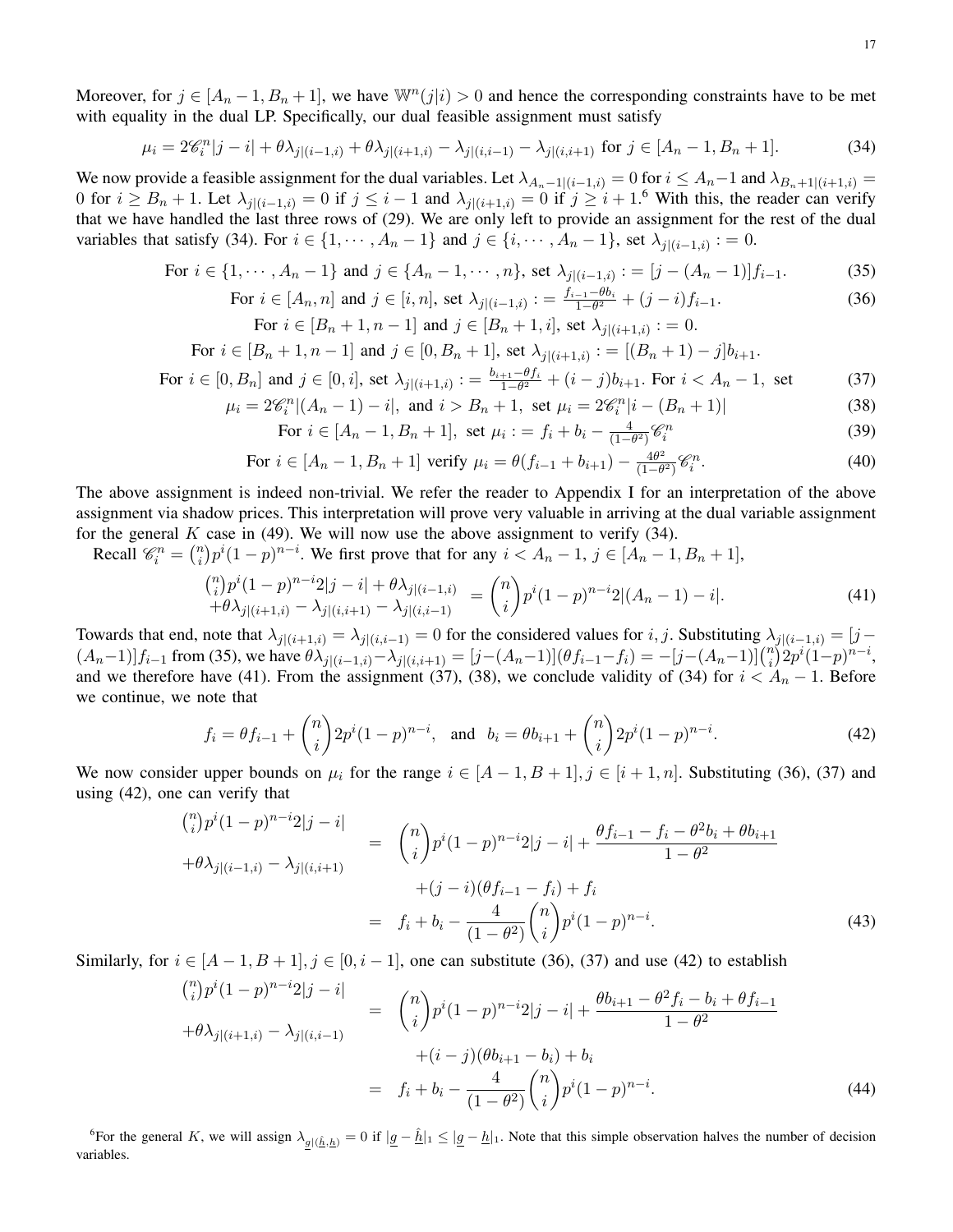Moreover, for  $j \in [A_n-1, B_n+1]$ , we have  $\mathbb{W}^n(j|i) > 0$  and hence the corresponding constraints have to be met with equality in the dual LP. Specifically, our dual feasible assignment must satisfy

$$
\mu_i = 2\mathscr{C}_i^n|j - i| + \theta\lambda_{j|(i-1,i)} + \theta\lambda_{j|(i+1,i)} - \lambda_{j|(i,i-1)} - \lambda_{j|(i,i+1)} \text{ for } j \in [A_n - 1, B_n + 1].\tag{34}
$$

We now provide a feasible assignment for the dual variables. Let  $\lambda_{A_n-1|(i-1,i)} = 0$  for  $i \leq A_n-1$  and  $\lambda_{B_n+1|(i+1,i)} =$ 0 for  $i \ge B_n + 1$ . Let  $\lambda_{j|(i-1,i)} = 0$  if  $j \le i-1$  and  $\lambda_{j|(i+1,i)} = 0$  if  $j \ge i+1$ . With this, the reader can verify that we have handled the last three rows of (29). We are only left to provide an assignment for the rest of the dual variables that satisfy (34). For  $i \in \{1, \dots, A_n - 1\}$  and  $j \in \{i, \dots, A_n - 1\}$ , set  $\lambda_{j|(i-1,i)} := 0$ .

For 
$$
i \in \{1, \dots, A_n - 1\}
$$
 and  $j \in \{A_n - 1, \dots, n\}$ , set  $\lambda_{j|(i-1,i)} := [j - (A_n - 1)]f_{i-1}.$  (35)

For 
$$
i \in [A_n, n]
$$
 and  $j \in [i, n]$ , set  $\lambda_{j|(i-1,i)} := \frac{f_{i-1} - \theta b_i}{1 - \theta^2} + (j - i)f_{i-1}.$  (36)

For 
$$
i \in [B_n + 1, n - 1]
$$
 and  $j \in [B_n + 1, i]$ , set  $\lambda_{j|(i+1,i)} := 0$ .

For 
$$
i \in [B_n + 1, n - 1]
$$
 and  $j \in [0, B_n + 1]$ , set  $\lambda_{j|(i+1,i)} := [(B_n + 1) - j]b_{i+1}$ .

For 
$$
i \in [0, B_n]
$$
 and  $j \in [0, i]$ , set  $\lambda_{j|(i+1,i)} := \frac{b_{i+1} - \theta f_i}{1 - \theta^2} + (i - j)b_{i+1}$ . For  $i < A_n - 1$ , set (37)

$$
\mu_i = 2\mathscr{C}_i^n | (A_n - 1) - i |, \text{ and } i > B_n + 1, \text{ set } \mu_i = 2\mathscr{C}_i^n | i - (B_n + 1) | \tag{38}
$$

For 
$$
i \in [A_n - 1, B_n + 1]
$$
, set  $\mu_i := f_i + b_i - \frac{4}{(1 - \theta^2)} \mathcal{C}_i^n$  (39)

For 
$$
i \in [A_n - 1, B_n + 1]
$$
 verify  $\mu_i = \theta(f_{i-1} + b_{i+1}) - \frac{4\theta^2}{(1 - \theta^2)} \mathcal{C}_i^n$ . (40)

The above assignment is indeed non-trivial. We refer the reader to Appendix I for an interpretation of the above assignment via shadow prices. This interpretation will prove very valuable in arriving at the dual variable assignment for the general  $K$  case in (49). We will now use the above assignment to verify (34).

Recall  $\mathscr{C}_i^n = \binom{n}{i}$  $\binom{n}{i} p^i (1-p)^{n-i}$ . We first prove that for any  $i < A_n - 1$ ,  $j \in [A_n - 1, B_n + 1]$ ,

$$
\begin{aligned} \binom{n}{i} p^i (1-p)^{n-i} 2|j-i| + \theta \lambda_{j|(i-1,i)} \\ + \theta \lambda_{j|(i+1,i)} - \lambda_{j|(i,i+1)} - \lambda_{j|(i,i-1)} \end{aligned} = \binom{n}{i} p^i (1-p)^{n-i} 2| (A_n - 1) - i|.
$$
 (41)

Towards that end, note that  $\lambda_{j|(i+1,i)} = \lambda_{j|(i,i-1)} = 0$  for the considered values for i, j. Substituting  $\lambda_{j|(i-1,i)} = [j-i]$  $(A_n-1)]f_{i-1}$  from (35), we have  $\theta \lambda_{j|(i-1,i)} - \lambda_{j|(i,i+1)} = [j-(A_n-1)](\theta f_{i-1}-f_i) = -[j-(A_n-1)]{n \choose i}$  $\binom{n}{i} 2p^i(1-p)^{n-i},$ and we therefore have (41). From the assignment (37), (38), we conclude validity of (34) for  $i < A_n - 1$ . Before we continue, we note that

$$
f_i = \theta f_{i-1} + {n \choose i} 2p^i (1-p)^{n-i}, \text{ and } b_i = \theta b_{i+1} + {n \choose i} 2p^i (1-p)^{n-i}.
$$
 (42)

We now consider upper bounds on  $\mu_i$  for the range  $i \in [A-1, B+1], j \in [i+1, n]$ . Substituting (36), (37) and using (42), one can verify that

$$
\begin{aligned}\n\binom{n}{i} p^i (1-p)^{n-i} 2|j-i| &= \binom{n}{i} p^i (1-p)^{n-i} 2|j-i| + \frac{\theta f_{i-1} - f_i - \theta^2 b_i + \theta b_{i+1}}{1 - \theta^2} \\
&\quad + (\dot{j} - i)(\theta f_{i-1} - f_i) + f_i \\
&= f_i + b_i - \frac{4}{(1 - \theta^2)} \binom{n}{i} p^i (1-p)^{n-i}.\n\end{aligned} \tag{43}
$$

Similarly, for  $i \in [A-1, B+1], j \in [0, i-1]$ , one can substitute (36), (37) and use (42) to establish

$$
{n \choose i} p^i (1-p)^{n-i} 2|j-i| = {n \choose i} p^i (1-p)^{n-i} 2|j-i| + \frac{\theta b_{i+1} - \theta^2 f_i - b_i + \theta f_{i-1}}{1 - \theta^2} + (i-j)(\theta b_{i+1} - b_i) + b_i
$$
  

$$
= f_i + b_i - \frac{4}{(1 - \theta^2)} {n \choose i} p^i (1-p)^{n-i}.
$$
 (44)

<sup>6</sup>For the general K, we will assign  $\lambda_{g|(\hat{h},h)} = 0$  if  $|g - \hat{h}|_1 \leq |g - h|_1$ . Note that this simple observation halves the number of decision variables.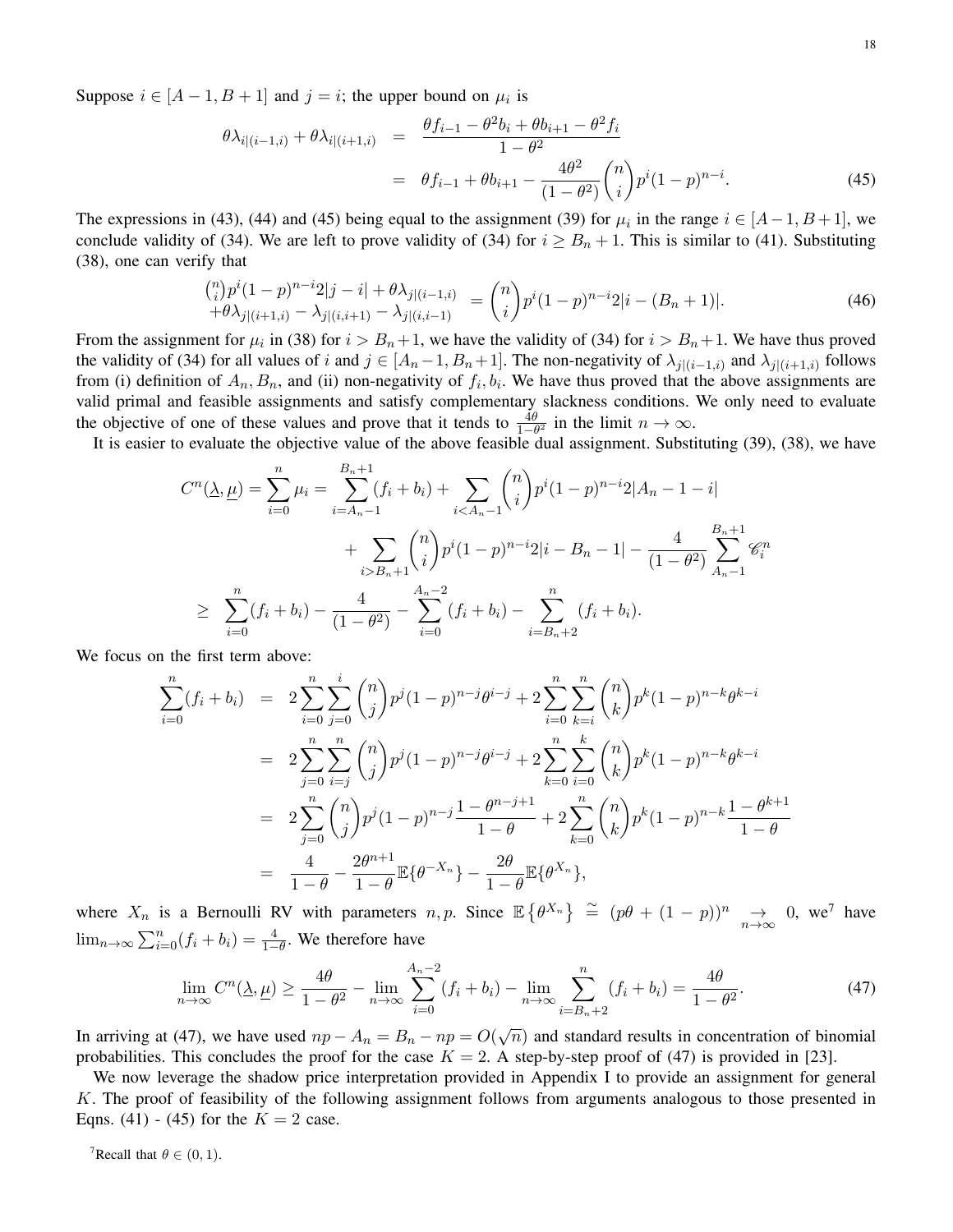Suppose  $i \in [A-1, B+1]$  and  $j = i$ ; the upper bound on  $\mu_i$  is

$$
\theta \lambda_{i|(i-1,i)} + \theta \lambda_{i|(i+1,i)} = \frac{\theta f_{i-1} - \theta^2 b_i + \theta b_{i+1} - \theta^2 f_i}{1 - \theta^2}
$$
  
= 
$$
\theta f_{i-1} + \theta b_{i+1} - \frac{4\theta^2}{(1 - \theta^2)} {n \choose i} p^i (1 - p)^{n-i}.
$$
 (45)

The expressions in (43), (44) and (45) being equal to the assignment (39) for  $\mu_i$  in the range  $i \in [A-1, B+1]$ , we conclude validity of (34). We are left to prove validity of (34) for  $i \geq B_n + 1$ . This is similar to (41). Substituting (38), one can verify that

$$
\begin{aligned}\n\binom{n}{i} p^i (1-p)^{n-i} 2|j-i| + \theta \lambda_{j|(i-1,i)} \\
+ \theta \lambda_{j|(i+1,i)} - \lambda_{j|(i,i+1)} - \lambda_{j|(i,i-1)}\n\end{aligned}\n= \n\begin{pmatrix}\n n \\
 i\n\end{pmatrix}\n\begin{aligned}\n p^i (1-p)^{n-i} 2|i - (B_n + 1)|.\n\end{aligned}\n\tag{46}
$$

From the assignment for  $\mu_i$  in (38) for  $i > B_n + 1$ , we have the validity of (34) for  $i > B_n + 1$ . We have thus proved the validity of (34) for all values of i and  $j \in [A_n-1, B_n+1]$ . The non-negativity of  $\lambda_{j|(i-1,i)}$  and  $\lambda_{j|(i+1,i)}$  follows from (i) definition of  $A_n, B_n$ , and (ii) non-negativity of  $f_i, b_i$ . We have thus proved that the above assignments are valid primal and feasible assignments and satisfy complementary slackness conditions. We only need to evaluate the objective of one of these values and prove that it tends to  $\frac{4\theta}{1-\theta^2}$  in the limit  $n \to \infty$ .

It is easier to evaluate the objective value of the above feasible dual assignment. Substituting (39), (38), we have

$$
C^{n}(\underline{\lambda}, \underline{\mu}) = \sum_{i=0}^{n} \mu_{i} = \sum_{i=A_{n}-1}^{B_{n}+1} (f_{i} + b_{i}) + \sum_{iB_{n}+1} {n \choose i} p^{i} (1-p)^{n-i} 2|i - B_{n} - 1| - \frac{4}{(1-\theta^{2})} \sum_{A_{n}-1}^{B_{n}+1} \mathcal{C}_{i}^{n}
$$
  
 
$$
\geq \sum_{i=0}^{n} (f_{i} + b_{i}) - \frac{4}{(1-\theta^{2})} - \sum_{i=0}^{A_{n}-2} (f_{i} + b_{i}) - \sum_{i=B_{n}+2}^{n} (f_{i} + b_{i}).
$$

We focus on the first term above:

$$
\sum_{i=0}^{n} (f_i + b_i) = 2 \sum_{i=0}^{n} \sum_{j=0}^{i} {n \choose j} p^j (1-p)^{n-j} \theta^{i-j} + 2 \sum_{i=0}^{n} \sum_{k=i}^{n} {n \choose k} p^k (1-p)^{n-k} \theta^{k-i}
$$
  
\n
$$
= 2 \sum_{j=0}^{n} \sum_{i=j}^{n} {n \choose j} p^j (1-p)^{n-j} \theta^{i-j} + 2 \sum_{k=0}^{n} \sum_{i=0}^{k} {n \choose k} p^k (1-p)^{n-k} \theta^{k-i}
$$
  
\n
$$
= 2 \sum_{j=0}^{n} {n \choose j} p^j (1-p)^{n-j} \frac{1-\theta^{n-j+1}}{1-\theta} + 2 \sum_{k=0}^{n} {n \choose k} p^k (1-p)^{n-k} \frac{1-\theta^{k+1}}{1-\theta}
$$
  
\n
$$
= \frac{4}{1-\theta} - \frac{2\theta^{n+1}}{1-\theta} \mathbb{E}\{\theta^{-X_n}\} - \frac{2\theta}{1-\theta} \mathbb{E}\{\theta^{X_n}\},
$$

where  $X_n$  is a Bernoulli RV with parameters  $n, p$ . Since  $\mathbb{E}\left\{\theta^{X_n}\right\} \cong (p\theta + (1-p))^n \to 0$ , we<sup>7</sup> have  $\lim_{n\to\infty}\sum_{i=0}^n(f_i+b_i)=\frac{4}{1-\theta}$ . We therefore have

$$
\lim_{n \to \infty} C^n(\underline{\lambda}, \underline{\mu}) \ge \frac{4\theta}{1 - \theta^2} - \lim_{n \to \infty} \sum_{i=0}^{A_n - 2} (f_i + b_i) - \lim_{n \to \infty} \sum_{i=B_n + 2}^n (f_i + b_i) = \frac{4\theta}{1 - \theta^2}.
$$
\n(47)

In arriving at (47), we have used  $np - A_n = B_n - np = O(\sqrt{\pi n})$  $\overline{n}$ ) and standard results in concentration of binomial probabilities. This concludes the proof for the case  $K = 2$ . A step-by-step proof of (47) is provided in [23].

We now leverage the shadow price interpretation provided in Appendix I to provide an assignment for general K. The proof of feasibility of the following assignment follows from arguments analogous to those presented in Eqns. (41) - (45) for the  $K = 2$  case.

<sup>7</sup>Recall that  $\theta \in (0, 1)$ .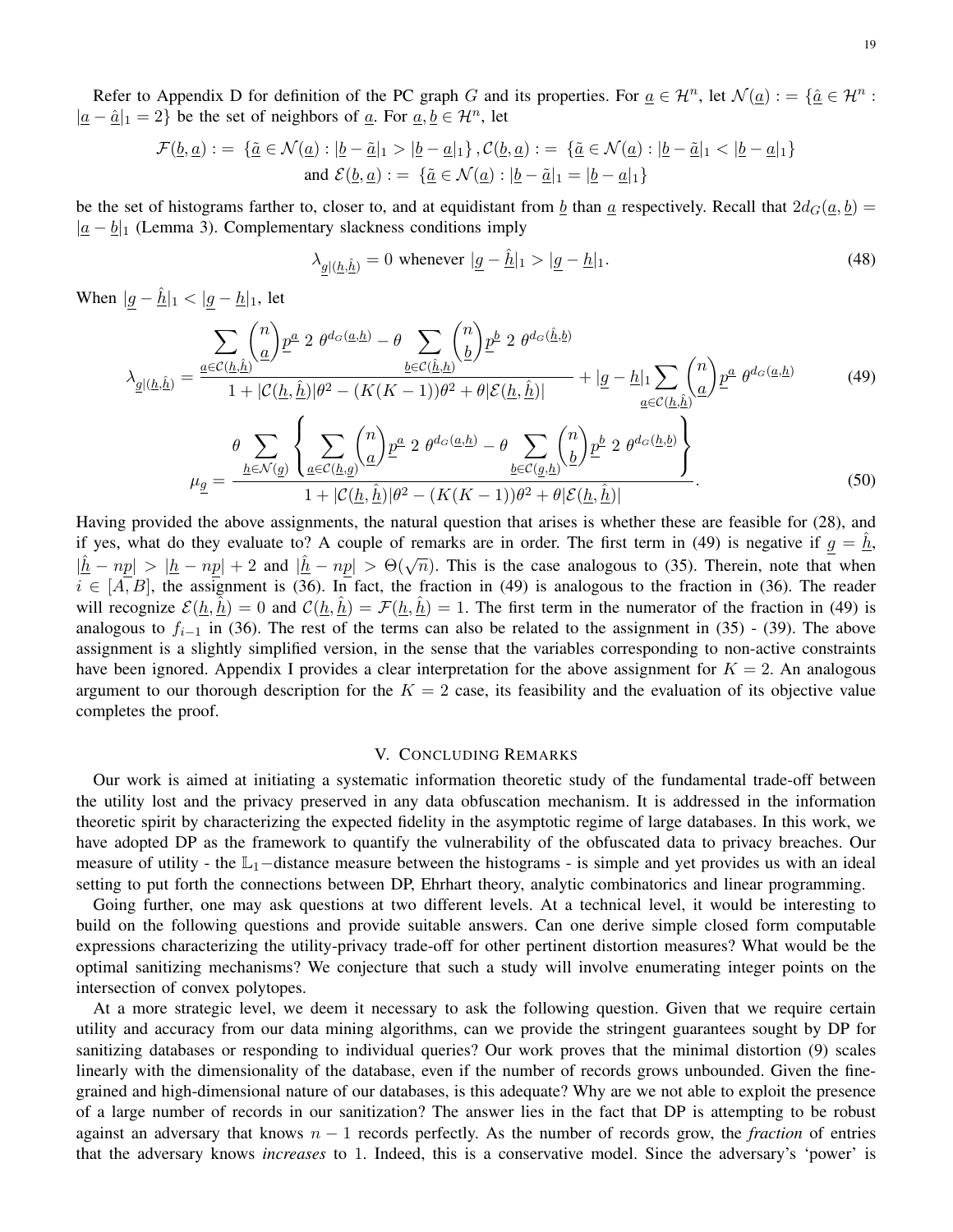Refer to Appendix D for definition of the PC graph G and its properties. For  $\underline{a} \in \mathcal{H}^n$ , let  $\mathcal{N}(\underline{a}) := \{ \underline{\hat{a}} \in \mathcal{H}^n :$  $|\underline{a} - \hat{\underline{a}}|_1 = 2$ } be the set of neighbors of  $\underline{a}$ . For  $\underline{a}$ ,  $\underline{b} \in \mathcal{H}^n$ , let

$$
\mathcal{F}(\underline{b}, \underline{a}) := \{ \underline{\tilde{a}} \in \mathcal{N}(\underline{a}) : |\underline{b} - \underline{\tilde{a}}|_1 > |\underline{b} - \underline{a}|_1 \}, \mathcal{C}(\underline{b}, \underline{a}) := \{ \underline{\tilde{a}} \in \mathcal{N}(\underline{a}) : |\underline{b} - \underline{\tilde{a}}|_1 < |\underline{b} - \underline{a}|_1 \}
$$
  
and  $\mathcal{E}(\underline{b}, \underline{a}) := \{ \underline{\tilde{a}} \in \mathcal{N}(\underline{a}) : |\underline{b} - \underline{\tilde{a}}|_1 = |\underline{b} - \underline{a}|_1 \}$ 

be the set of histograms farther to, closer to, and at equidistant from b than a respectively. Recall that  $2d_G(a, b)$  =  $|\underline{a} - \underline{b}|_1$  (Lemma 3). Complementary slackness conditions imply

$$
\lambda_{\underline{g}|\underline{(h,\hat{h})}} = 0 \text{ whenever } |\underline{g} - \hat{\underline{h}}|_1 > |\underline{g} - \underline{h}|_1. \tag{48}
$$

When  $|g - \hat{h}|_1 < |g - h|_1$ , let

$$
\lambda_{\underline{g}|\underline{h},\underline{\hat{h}}\underline{h}} = \frac{\sum_{\underline{a}\in\mathcal{C}(\underline{h},\underline{\hat{h}})} \binom{n}{\underline{a}} \underline{p}^{\underline{a}} \cdot 2 \ \theta^{d_G(\underline{a},\underline{h})} - \theta \sum_{\underline{b}\in\mathcal{C}(\underline{\hat{h}},\underline{h})} \binom{n}{\underline{b}} \underline{p}^{\underline{b}} \cdot 2 \ \theta^{d_G(\underline{\hat{h}},\underline{b})} + |\underline{g} - \underline{h}|_1 \sum_{\underline{a}\in\mathcal{C}(\underline{h},\underline{\hat{h}})} \binom{n}{\underline{a}} \underline{p}^{\underline{a}} \ \theta^{d_G(\underline{a},\underline{h})} \tag{49}
$$
\n
$$
\lambda_{\underline{g}|\underline{h},\underline{\hat{h}}\underline{h}} = \frac{\theta \sum_{\underline{h}\in\mathcal{N}(\underline{g})} \left\{ \sum_{\underline{a}\in\mathcal{C}(\underline{h},\underline{\hat{g}})} \binom{n}{\underline{a}} \underline{p}^{\underline{a}} \cdot 2 \ \theta^{d_G(\underline{a},\underline{h})} - \theta \sum_{\underline{b}\in\mathcal{C}(\underline{g},\underline{h})} \binom{n}{\underline{b}} \underline{p}^{\underline{b}} \cdot 2 \ \theta^{d_G(\underline{h},\underline{b})} \right\}}{\frac{\sum_{\underline{h}\in\mathcal{N}(\underline{g})} \left\{ \sum_{\underline{a}\in\mathcal{C}(\underline{h},\underline{\hat{g}})} \binom{n}{\underline{a}} \underline{p}^{\underline{a}} \cdot 2 \ \theta^{d_G(\underline{a},\underline{h})} - \theta \sum_{\underline{b}\in\mathcal{C}(\underline{g},\underline{h})} \binom{n}{\underline{b}} \underline{p}^{\underline{b}} \cdot 2 \ \theta^{d_G(\underline{h},\underline{b})} \right\}}{\frac{\sum_{\underline{h}\in\mathcal{N}(\underline{g})} \left\{ \sum_{\underline{a}\in\mathcal{C}(\underline{h},\underline{\hat{h}})} \binom{n}{\underline{a}} \underline{p}^{\underline{a}} - (K(K-1))\theta^2 + \theta|\mathcal{E}(\underline{h},\underline{\hat{h}})|} \right\}}.
$$
\n(50

Having provided the above assignments, the natural question that arises is whether these are feasible for (28), and if yes, what do they evaluate to? A couple of remarks are in order. The first term in (49) is negative if  $g = h$ ,  $|h - np| > |h - np| + 2$  and  $|h - np| > \Theta(\sqrt{n})$ . This is the case analogous to (35). Therein, note that when  $i \in [A, B]$ , the assignment is (36). In fact, the fraction in (49) is analogous to the fraction in (36). The reader will recognize  $\mathcal{E}(\underline{h}, \hat{\underline{h}}) = 0$  and  $\mathcal{C}(\underline{h}, \hat{\underline{h}}) = \mathcal{F}(\underline{h}, \hat{\underline{h}}) = 1$ . The first term in the numerator of the fraction in (49) is analogous to  $f_{i-1}$  in (36). The rest of the terms can also be related to the assignment in (35) - (39). The above assignment is a slightly simplified version, in the sense that the variables corresponding to non-active constraints have been ignored. Appendix I provides a clear interpretation for the above assignment for  $K = 2$ . An analogous argument to our thorough description for the  $K = 2$  case, its feasibility and the evaluation of its objective value completes the proof.

## V. CONCLUDING REMARKS

Our work is aimed at initiating a systematic information theoretic study of the fundamental trade-off between the utility lost and the privacy preserved in any data obfuscation mechanism. It is addressed in the information theoretic spirit by characterizing the expected fidelity in the asymptotic regime of large databases. In this work, we have adopted DP as the framework to quantify the vulnerability of the obfuscated data to privacy breaches. Our measure of utility - the  $\mathbb{L}_1$ -distance measure between the histograms - is simple and yet provides us with an ideal setting to put forth the connections between DP, Ehrhart theory, analytic combinatorics and linear programming.

Going further, one may ask questions at two different levels. At a technical level, it would be interesting to build on the following questions and provide suitable answers. Can one derive simple closed form computable expressions characterizing the utility-privacy trade-off for other pertinent distortion measures? What would be the optimal sanitizing mechanisms? We conjecture that such a study will involve enumerating integer points on the intersection of convex polytopes.

At a more strategic level, we deem it necessary to ask the following question. Given that we require certain utility and accuracy from our data mining algorithms, can we provide the stringent guarantees sought by DP for sanitizing databases or responding to individual queries? Our work proves that the minimal distortion (9) scales linearly with the dimensionality of the database, even if the number of records grows unbounded. Given the finegrained and high-dimensional nature of our databases, is this adequate? Why are we not able to exploit the presence of a large number of records in our sanitization? The answer lies in the fact that DP is attempting to be robust against an adversary that knows  $n - 1$  records perfectly. As the number of records grow, the *fraction* of entries that the adversary knows *increases* to 1. Indeed, this is a conservative model. Since the adversary's 'power' is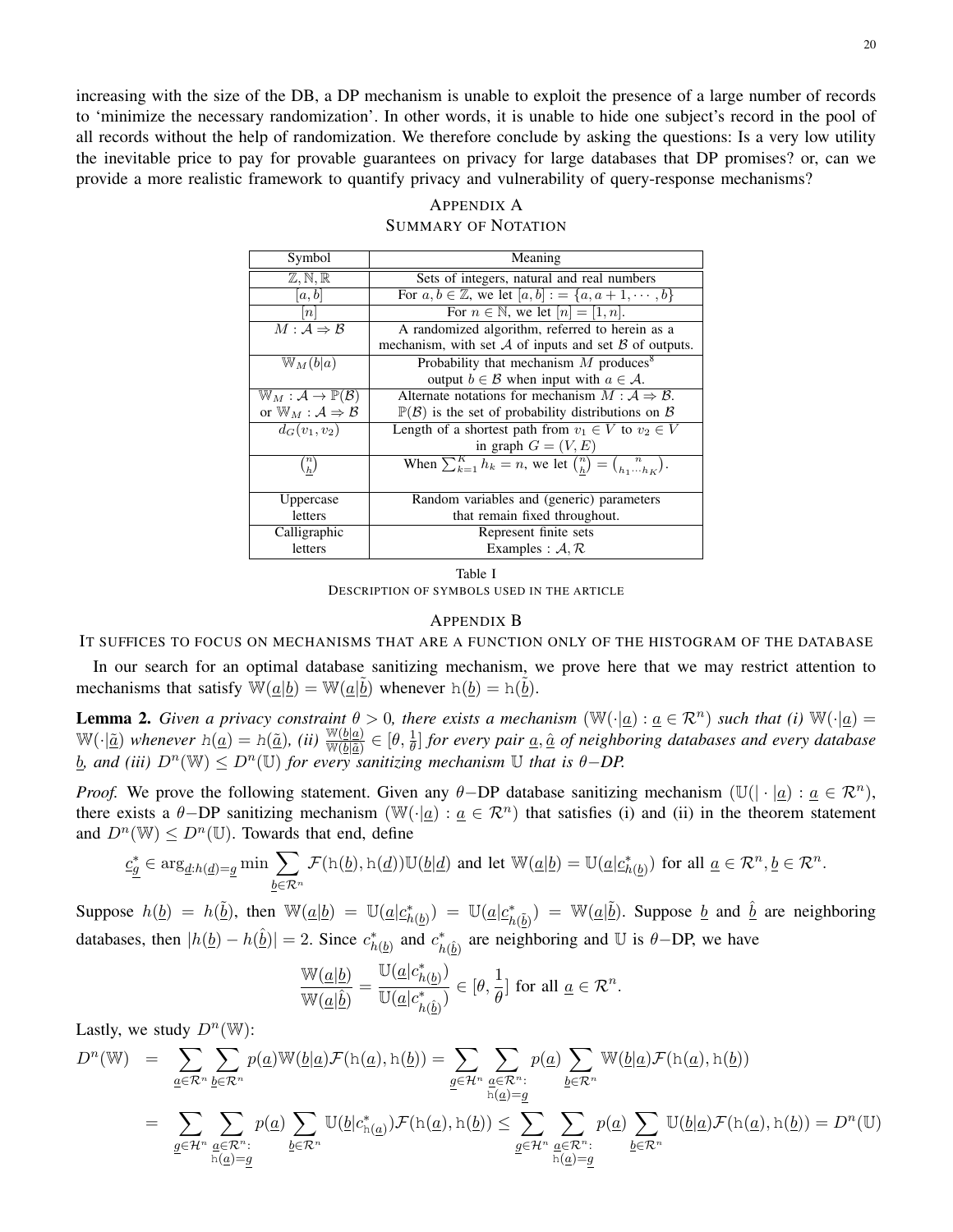increasing with the size of the DB, a DP mechanism is unable to exploit the presence of a large number of records to 'minimize the necessary randomization'. In other words, it is unable to hide one subject's record in the pool of all records without the help of randomization. We therefore conclude by asking the questions: Is a very low utility the inevitable price to pay for provable guarantees on privacy for large databases that DP promises? or, can we provide a more realistic framework to quantify privacy and vulnerability of query-response mechanisms?

| Symbol                                                   | Meaning                                                                             |  |  |
|----------------------------------------------------------|-------------------------------------------------------------------------------------|--|--|
| $\mathbb{Z}, \mathbb{N}, \mathbb{R}$                     | Sets of integers, natural and real numbers                                          |  |  |
| [a, b]                                                   | For $a, b \in \mathbb{Z}$ , we let $[a, b] := \{a, a + 1, \dots, b\}$               |  |  |
| n                                                        | For $n \in \mathbb{N}$ , we let $[n] = [1, n]$ .                                    |  |  |
| $M: \mathcal{A} \Rightarrow \mathcal{B}$                 | A randomized algorithm, referred to herein as a                                     |  |  |
|                                                          | mechanism, with set $A$ of inputs and set $B$ of outputs.                           |  |  |
| $\mathbb{W}_M(b a)$                                      | Probability that mechanism $M$ produces <sup>8</sup>                                |  |  |
|                                                          | output $b \in \mathcal{B}$ when input with $a \in \mathcal{A}$ .                    |  |  |
| $\mathbb{W}_M : \mathcal{A} \to \mathbb{P}(\mathcal{B})$ | Alternate notations for mechanism $M : A \Rightarrow B$ .                           |  |  |
| or $\mathbb{W}_M : A \Rightarrow B$                      | $\mathbb{P}(\mathcal{B})$ is the set of probability distributions on $\mathcal{B}$  |  |  |
| $\overline{d_G}(v_1,v_2)$                                | Length of a shortest path from $v_1 \in V$ to $v_2 \in V$                           |  |  |
|                                                          | in graph $G = (V, E)$                                                               |  |  |
| $\binom{n}{h}$                                           | When $\sum_{k=1}^{K} h_k = n$ , we let $\binom{n}{h} = \binom{n}{h_1 \cdots h_K}$ . |  |  |
| Uppercase                                                | Random variables and (generic) parameters                                           |  |  |
| letters                                                  | that remain fixed throughout.                                                       |  |  |
| Calligraphic                                             | Represent finite sets                                                               |  |  |
| letters                                                  | Examples : $A, R$                                                                   |  |  |

# APPENDIX A SUMMARY OF NOTATION

Table I DESCRIPTION OF SYMBOLS USED IN THE ARTICLE

## APPENDIX B

IT SUFFICES TO FOCUS ON MECHANISMS THAT ARE A FUNCTION ONLY OF THE HISTOGRAM OF THE DATABASE

In our search for an optimal database sanitizing mechanism, we prove here that we may restrict attention to mechanisms that satisfy  $\overline{W}(\underline{a}|\underline{b}) = \overline{W}(\underline{a}|\underline{\tilde{b}})$  whenever  $h(\underline{b}) = h(\underline{\tilde{b}})$ .

**Lemma 2.** Given a privacy constraint  $\theta > 0$ , there exists a mechanism  $(\mathbb{W}(\cdot|a): a \in \mathcal{R}^n)$  such that (i)  $\mathbb{W}(\cdot|a)$  =  $\mathbb{W}(\cdot|\underline{\tilde{a}})$  whenever  $h(\underline{a}) = h(\underline{\tilde{a}})$ , (ii)  $\frac{\mathbb{W}(b|\underline{a})}{\mathbb{W}(b|\underline{\tilde{a}})} \in [\theta, \frac{1}{\theta}]$  for every pair  $\underline{a}, \underline{\hat{a}}$  of neighboring databases and every database  $\underline{b}$ , and (iii)  $D^n(\mathbb{W}) \leq D^n(\mathbb{U})$  for every sanitizing mechanism  $\mathbb U$  that is  $\theta - D$ P.

*Proof.* We prove the following statement. Given any  $\theta$ -DP database sanitizing mechanism ( $\mathbb{U}(|\cdot|\underline{a}) : \underline{a} \in \mathbb{R}^n$ ), there exists a  $\theta$ -DP sanitizing mechanism (W(·|<u>a</u>) :  $\underline{a} \in \mathbb{R}^n$ ) that satisfies (i) and (ii) in the theorem statement and  $D^n(\mathbb{W}) \leq D^n(\mathbb{U})$ . Towards that end, define

$$
\underline{c}_{\underline{g}}^* \in \arg_{\underline{d}:h(\underline{d})=\underline{g}} \min \sum_{\underline{b}\in\mathcal{R}^n} \mathcal{F}(\mathrm{h}(\underline{b}),\mathrm{h}(\underline{d})) \mathbb{U}(\underline{b}|\underline{d}) \text{ and let } \mathbb{W}(\underline{a}|\underline{b})=\mathbb{U}(\underline{a}|\underline{c}_{h(\underline{b})}^*) \text{ for all } \underline{a}\in\mathcal{R}^n, \underline{b}\in\mathcal{R}^n.
$$

Suppose  $h(\underline{b}) = h(\underline{\tilde{b}})$ , then  $\mathbb{W}(\underline{a}|\underline{b}) = \mathbb{U}(\underline{a}|\underline{c}_{h(\underline{b})}^*) = \mathbb{U}(\underline{a}|\underline{c}_{h(\underline{\tilde{b}})}^*) = \mathbb{W}(\underline{a}|\underline{\tilde{b}})$ . Suppose  $\underline{b}$  and  $\underline{\hat{b}}$  are neighboring databases, then  $|h(\underline{b}) - h(\hat{b})| = 2$ . Since  $c^*_{h(\underline{b})}$  and  $c^*_{h(\hat{b})}$  are neighboring and U is  $\theta$ -DP, we have

$$
\frac{\mathbb{W}(\underline{a}|\underline{b})}{\mathbb{W}(\underline{a}|\underline{\hat{b}})} = \frac{\mathbb{U}(\underline{a}|c^*_{h(\underline{b})})}{\mathbb{U}(\underline{a}|c^*_{h(\underline{\hat{b}})})} \in [\theta, \frac{1}{\theta}] \text{ for all } \underline{a} \in \mathcal{R}^n.
$$

Lastly, we study  $D^n(\mathbb{W})$ :

$$
D^{n}(\mathbb{W}) = \sum_{\underline{a} \in \mathcal{R}^{n}} \sum_{\underline{b} \in \mathcal{R}^{n}} p(\underline{a}) \mathbb{W}(\underline{b}|\underline{a}) \mathcal{F}(\mathbf{h}(\underline{a}), \mathbf{h}(\underline{b})) = \sum_{\underline{g} \in \mathcal{H}^{n}} \sum_{\underline{a} \in \mathcal{R}^{n}} p(\underline{a}) \sum_{\underline{b} \in \mathcal{R}^{n}} \mathbb{W}(\underline{b}|\underline{a}) \mathcal{F}(\mathbf{h}(\underline{a}), \mathbf{h}(\underline{b}))
$$
  

$$
= \sum_{\underline{g} \in \mathcal{H}^{n}} \sum_{\underline{a} \in \mathcal{R}^{n}} p(\underline{a}) \sum_{\underline{b} \in \mathcal{R}^{n}} \mathbb{U}(\underline{b}|c_{\mathbf{h}(\underline{a})}^{*}) \mathcal{F}(\mathbf{h}(\underline{a}), \mathbf{h}(\underline{b})) \leq \sum_{\underline{g} \in \mathcal{H}^{n}} \sum_{\underline{a} \in \mathcal{R}^{n}} p(\underline{a}) \sum_{\underline{b} \in \mathcal{R}^{n}} \mathbb{U}(\underline{b}|\underline{a}) \mathcal{F}(\mathbf{h}(\underline{a}), \mathbf{h}(\underline{b})) = D^{n}(\mathbb{U})
$$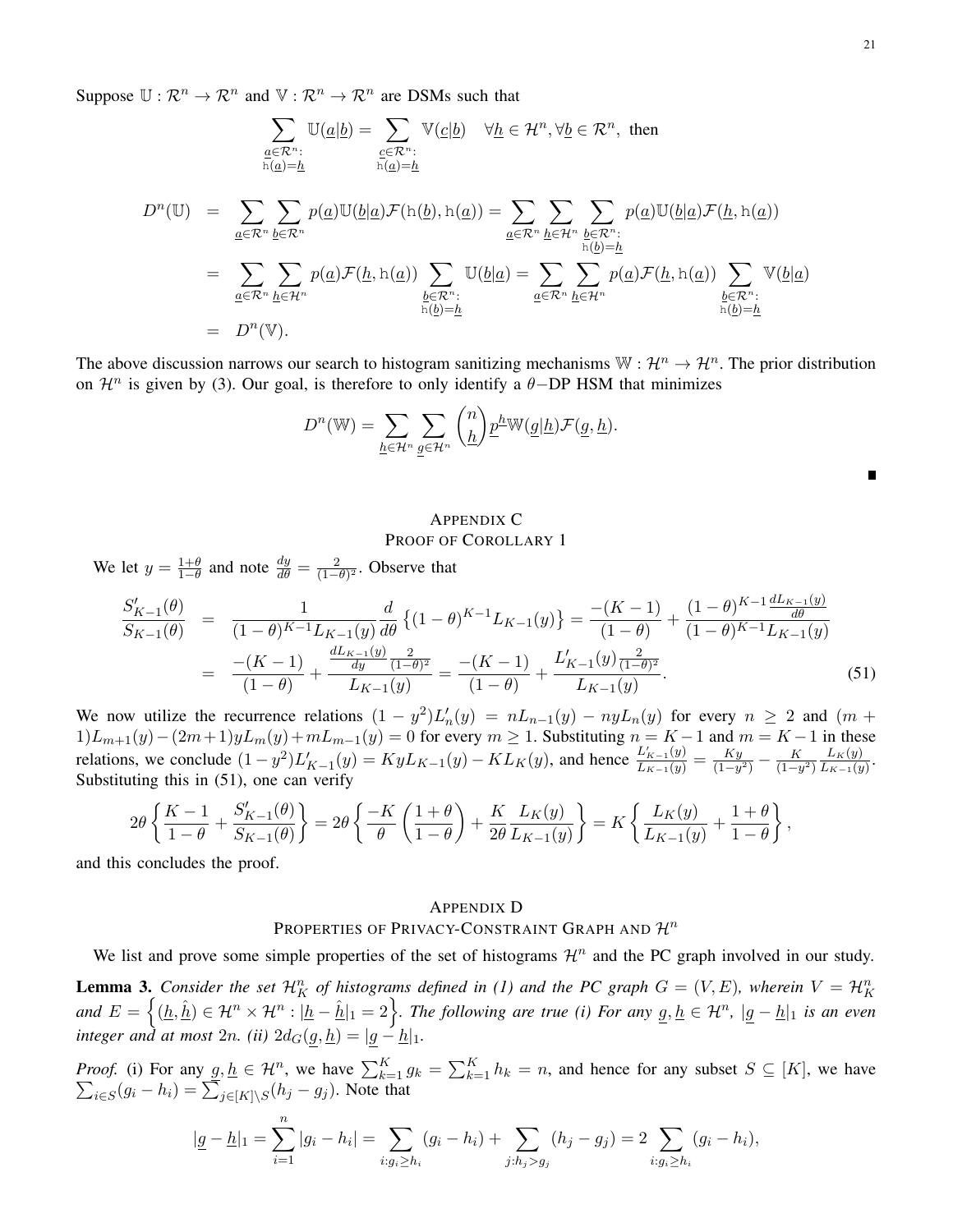Suppose  $\mathbb{U}: \mathbb{R}^n \to \mathbb{R}^n$  and  $\mathbb{V}: \mathbb{R}^n \to \mathbb{R}^n$  are DSMs such that

$$
\sum_{\substack{\underline{a}\in\mathcal{R}^n:\ \underline{h}(\underline{a}|\underline{b})=\sum_{\underline{c}\in\mathcal{R}^n:\ \underline{h}(\underline{a})=\underline{h}\\\underline{h}(\underline{a})=\underline{h}}} \mathbb{V}(\underline{c}|\underline{b}) \quad \forall \underline{h}\in\mathcal{H}^n, \forall \underline{b}\in\mathcal{R}^n, \text{ then}
$$
\n
$$
D^n(\mathbb{U}) = \sum_{\underline{a}\in\mathcal{R}^n}\sum_{\underline{b}\in\mathcal{R}^n} p(\underline{a})\mathbb{U}(\underline{b}|\underline{a})\mathcal{F}(\underline{h}(\underline{b}), \underline{h}(\underline{a})) = \sum_{\underline{a}\in\mathcal{R}^n}\sum_{\substack{\underline{h}\in\mathcal{H}^n:\ \underline{h}(\underline{b})=\underline{h}\\\underline{h}(\underline{b})=\underline{h}}} p(\underline{a})\mathcal{F}(\underline{h}, \underline{h}(\underline{a})) \sum_{\substack{\underline{h}\in\mathcal{R}^n:\ \underline{h}(\underline{b})=\underline{h}\\\underline{h}(\underline{b})=\underline{h}}} \mathbb{U}(\underline{b}|\underline{a}) = \sum_{\substack{\underline{a}\in\mathcal{R}^n:\ \underline{h}(\underline{a})=\underline{h}\\\underline{h}(\underline{b})=\underline{h}}} \sum_{\substack{\underline{h}(\underline{a})=\underline{h}\\\underline{h}(\underline{b})=\underline{h}}} p(\underline{a})\mathcal{F}(\underline{h}, \underline{h}(\underline{a})) \sum_{\substack{\underline{h}(\underline{a})=\underline{h}\\\underline{h}(\underline{b})=\underline{h}}} \mathbb{V}(\underline{b}|\underline{a})
$$
\n
$$
= D^n(\mathbb{V}).
$$

The above discussion narrows our search to histogram sanitizing mechanisms  $\mathbb{W}:\mathcal{H}^n\to\mathcal{H}^n$ . The prior distribution on  $\mathcal{H}^n$  is given by (3). Our goal, is therefore to only identify a  $\theta$ -DP HSM that minimizes

$$
D^{n}(\mathbb{W}) = \sum_{\underline{h} \in \mathcal{H}^{n}} \sum_{\underline{g} \in \mathcal{H}^{n}} {n \choose \underline{h}} \underline{p}^{\underline{h}} \mathbb{W}(\underline{g} | \underline{h}) \mathcal{F}(\underline{g}, \underline{h}).
$$

# APPENDIX C PROOF OF COROLLARY 1

We let  $y = \frac{1+\theta}{1-\theta}$  and note  $\frac{dy}{d\theta} = \frac{2}{(1-\theta)^{1-\theta}}$  $\frac{2}{(1-\theta)^2}$ . Observe that

$$
\frac{S'_{K-1}(\theta)}{S_{K-1}(\theta)} = \frac{1}{(1-\theta)^{K-1}L_{K-1}(y)}\frac{d}{d\theta}\left\{(1-\theta)^{K-1}L_{K-1}(y)\right\} = \frac{-(K-1)}{(1-\theta)} + \frac{(1-\theta)^{K-1}\frac{dL_{K-1}(y)}{d\theta}}{(1-\theta)^{K-1}L_{K-1}(y)}
$$
\n
$$
= \frac{-(K-1)}{(1-\theta)} + \frac{\frac{dL_{K-1}(y)}{dy}\frac{2}{(1-\theta)^2}}{L_{K-1}(y)} = \frac{-(K-1)}{(1-\theta)} + \frac{L'_{K-1}(y)\frac{2}{(1-\theta)^2}}{L_{K-1}(y)}.
$$
\n(51)

We now utilize the recurrence relations  $(1 - y^2)L'_n(y) = nL_{n-1}(y) - nyL_n(y)$  for every  $n \ge 2$  and  $(m +$  $1)L_{m+1}(y)-(2m+1)yL_m(y)+mL_{m-1}(y)=0$  for every  $m\geq 1$ . Substituting  $n = K-1$  and  $m = K-1$  in these relations, we conclude  $(1 - y^2)L'_{K-1}(y) = KyL_{K-1}(y) - KL_{K}(y)$ , and hence  $\frac{L'_{K-1}(y)}{L_{K-1}(y)} = \frac{Ky}{(1 - y^2)}$  $\frac{Ky}{(1-y^2)} - \frac{K}{(1-y^2)}$  $(1-y^2)$  $L_K(y)$  $rac{L_K(y)}{L_{K-1}(y)}$ . Substituting this in (51), one can verify

$$
2\theta \left\{ \frac{K-1}{1-\theta} + \frac{S'_{K-1}(\theta)}{S_{K-1}(\theta)} \right\} = 2\theta \left\{ \frac{-K}{\theta} \left( \frac{1+\theta}{1-\theta} \right) + \frac{K}{2\theta} \frac{L_K(y)}{L_{K-1}(y)} \right\} = K \left\{ \frac{L_K(y)}{L_{K-1}(y)} + \frac{1+\theta}{1-\theta} \right\},\,
$$

and this concludes the proof.

## APPENDIX D

## PROPERTIES OF PRIVACY-CONSTRAINT GRAPH AND  $\mathcal{H}^n$

We list and prove some simple properties of the set of histograms  $\mathcal{H}^n$  and the PC graph involved in our study.

**Lemma 3.** Consider the set  $\mathcal{H}_K^n$  of histograms defined in (1) and the PC graph  $G = (V, E)$ , wherein  $V = \mathcal{H}_K^n$  $and E = \left\{ (\underline{h}, \hat{\underline{h}}) \in \mathcal{H}^n \times \mathcal{H}^n : |\underline{h} - \hat{\underline{h}}|_1 = 2 \right\}$ . The following are true (i) For any  $g, \underline{h} \in \mathcal{H}^n$ ,  $|g - \underline{h}|_1$  is an even *integer and at most* 2n. (*ii*)  $2d_G(g, \underline{h}) = |g - \underline{h}|_1$ .

*Proof.* (i) For any  $g, h \in \mathcal{H}^n$ , we have  $\sum_{k=1}^K g_k = \sum_{k=1}^K \sum_{k=1}^K g_k$ ,  $\sum_{i \in S} (g_i - h_i) = \sum_{i \in [K] \setminus S} (h_i - g_i)$ . Note that  $h_k = n$ , and hence for any subset  $S \subseteq [K]$ , we have  $\sum_{i \in S} (g_i - h_i) = \sum_{j \in [K] \setminus S} (h_j - g_j)$ . Note that

$$
|\underline{g}-\underline{h}|_1 = \sum_{i=1}^n |g_i - h_i| = \sum_{i:g_i \geq h_i} (g_i - h_i) + \sum_{j:h_j > g_j} (h_j - g_j) = 2 \sum_{i:g_i \geq h_i} (g_i - h_i),
$$

Г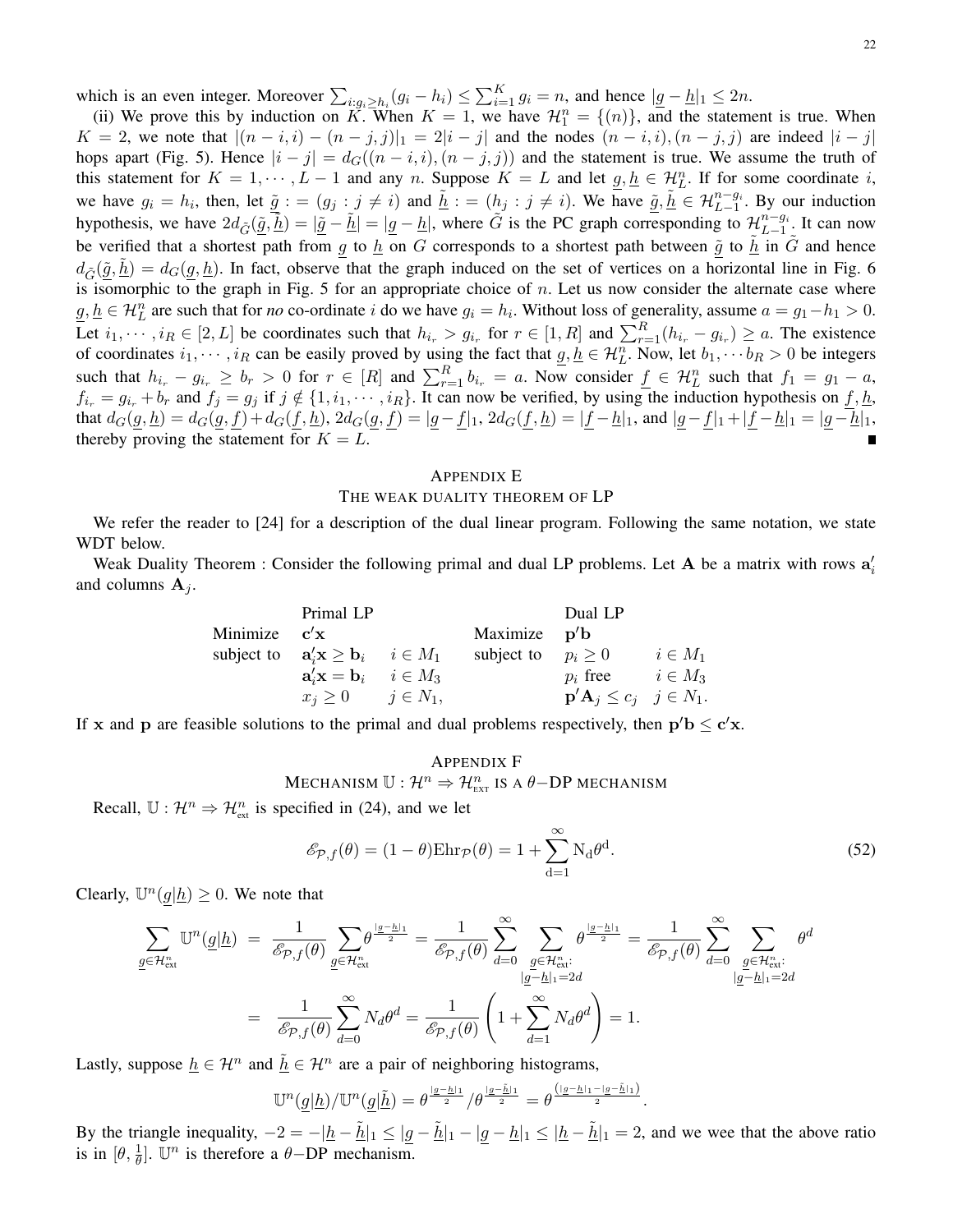which is an even integer. Moreover  $\sum_{i:g_i\geq h_i}(g_i-h_i) \leq \sum_{i=1}^{K} g_i = n$ , and hence  $|g-h|_1 \leq 2n$ .

(ii) We prove this by induction on K. When  $K = 1$ , we have  $\mathcal{H}_1^n = \{(n)\}\$ , and the statement is true. When  $K = 2$ , we note that  $|(n-i,i) - (n-j,j)|_1 = 2|i-j|$  and the nodes  $(n-i,i)$ ,  $(n-j,j)$  are indeed  $|i-j|$ hops apart (Fig. 5). Hence  $|i - j| = d_G((n - i, i), (n - j, j))$  and the statement is true. We assume the truth of this statement for  $K = 1, \dots, L-1$  and any n. Suppose  $K = L$  and let  $\underline{g}, \underline{h} \in \mathcal{H}_{L}^{n}$ . If for some coordinate i, we have  $g_i = h_i$ , then, let  $\underline{\tilde{g}} := (g_j : j \neq i)$  and  $\underline{\tilde{h}} := (h_j : j \neq i)$ . We have  $\underline{\tilde{g}}$ ,  $\underline{\tilde{h}} \in \mathcal{H}_{L-1}^{n-g_i}$ . By our induction hypothesis, we have  $2d_{\tilde{G}}(\underline{\tilde{g}}, \underline{\tilde{h}}) = |\underline{\tilde{g}} - \underline{\tilde{h}}| = |\underline{g} - \underline{h}|$ , where  $\tilde{G}$  is the PC graph corresponding to  $\mathcal{H}_{L-1}^{n-g_i}$  $\frac{n-g_i}{L-1}$ . It can now be verified that a shortest path from g to  $\frac{h}{g}$  on G corresponds to a shortest path between  $\frac{\tilde{g}}{g}$  to  $\tilde{h}$  in  $\tilde{G}$  and hence  $d_{\tilde{G}}(\tilde{g}, \underline{h}) = d_G(g, \underline{h})$ . In fact, observe that the graph induced on the set of vertices on a horizontal line in Fig. 6 is isomorphic to the graph in Fig. 5 for an appropriate choice of  $n$ . Let us now consider the alternate case where  $\underline{g}, \underline{h} \in \mathcal{H}_L^n$  are such that for *no* co-ordinate i do we have  $g_i = h_i$ . Without loss of generality, assume  $a = g_1 - h_1 > 0$ . Let  $i_1, \dots, i_R \in [2, L]$  be coordinates such that  $h_{i_r} > g_{i_r}$  for  $r \in [1, R]$  and  $\sum_{r=1}^R (h_{i_r} - g_{i_r}) \ge a$ . The existence of coordinates  $i_1, \dots, i_R$  can be easily proved by using the fact that  $\underline{g}, \underline{h} \in \mathcal{H}_L^n$ . Now, let  $b_1, \dots, b_R > 0$  be integers such that  $h_{i_r} - g_{i_r} \ge b_r > 0$  for  $r \in [R]$  and  $\sum_{r=1}^R b_{i_r} = a$ . Now consider  $\underline{f} \in \mathcal{H}_L^n$  such that  $f_1 = g_1 - a$ ,  $f_{i_r} = g_{i_r} + b_r$  and  $f_j = g_j$  if  $j \notin \{1, i_1, \dots, i_R\}$ . It can now be verified, by using the induction hypothesis on  $f, \underline{h}$ , that  $d_G(g, \underline{h}) = d_G(g, \underline{f}) + d_G(\underline{f}, \underline{h})$ ,  $2d_G(g, \underline{f}) = |\underline{g} - \underline{f}|_1$ ,  $2d_G(\underline{f}, \underline{h}) = |\underline{f} - \underline{h}|_1$ , and  $|\underline{g} - \underline{f}|_1 + |\underline{f} - \underline{h}|_1 = |\underline{g} - \underline{h}|_1$ , thereby proving the statement for  $K = L$ .

#### APPENDIX E

#### THE WEAK DUALITY THEOREM OF LP

We refer the reader to [24] for a description of the dual linear program. Following the same notation, we state WDT below.

Weak Duality Theorem : Consider the following primal and dual LP problems. Let A be a matrix with rows  $a_i$ and columns  $A_i$ .

|                | Primal LP                                                           |                         | Dual LP                                             |             |
|----------------|---------------------------------------------------------------------|-------------------------|-----------------------------------------------------|-------------|
| Minimize $c'x$ |                                                                     | Maximize $p'b$          |                                                     |             |
|                | subject to $\mathbf{a}'_i \mathbf{x} \geq \mathbf{b}_i$ $i \in M_1$ | subject to $p_i \geq 0$ |                                                     | $i\in M_1$  |
|                | $\mathbf{a}_i' \mathbf{x} = \mathbf{b}_i \quad i \in M_3$           |                         | $p_i$ free                                          | $i \in M_3$ |
|                | $x_j \geq 0$ $j \in N_1$ ,                                          |                         | $\mathbf{p}'\mathbf{A}_j \leq c_j \quad j \in N_1.$ |             |

If x and p are feasible solutions to the primal and dual problems respectively, then  $p'b \leq c'x$ .

APPENDIX F  
MECHANISM 
$$
\mathbb{U}: \mathcal{H}^n \Rightarrow \mathcal{H}_{\text{ext}}^n
$$
 is a  $\theta$ -DP MECHANISM

Recall,  $\mathbb{U}: \mathcal{H}^n \Rightarrow \mathcal{H}_{\text{ext}}^n$  is specified in (24), and we let

$$
\mathcal{E}_{\mathcal{P},f}(\theta) = (1 - \theta) \text{Ehr}_{\mathcal{P}}(\theta) = 1 + \sum_{d=1}^{\infty} N_d \theta^d.
$$
 (52)

Clearly,  $\mathbb{U}^n(g|\underline{h}) \geq 0$ . We note that

$$
\sum_{\underline{g} \in \mathcal{H}_{\text{ext}}^n} \mathbb{U}^n(\underline{g}|\underline{h}) = \frac{1}{\mathscr{E}_{\mathcal{P},f}(\theta)} \sum_{\underline{g} \in \mathcal{H}_{\text{ext}}^n} \theta^{\frac{|\underline{g}-\underline{h}|_1}{2}} = \frac{1}{\mathscr{E}_{\mathcal{P},f}(\theta)} \sum_{d=0}^{\infty} \sum_{\substack{\underline{g} \in \mathcal{H}_{\text{ext}}^n : \\ |\underline{g}-\underline{h}|_1 = 2d}} \theta^{\frac{|\underline{g}-\underline{h}|_1}{2}} = \frac{1}{\mathscr{E}_{\mathcal{P},f}(\theta)} \sum_{d=0}^{\infty} \sum_{\substack{\underline{g} \in \mathcal{H}_{\text{ext}}^n : \\ |\underline{g}-\underline{h}|_1 = 2d}} \theta^d
$$
\n
$$
= \frac{1}{\mathscr{E}_{\mathcal{P},f}(\theta)} \sum_{d=0}^{\infty} N_d \theta^d = \frac{1}{\mathscr{E}_{\mathcal{P},f}(\theta)} \left( 1 + \sum_{d=1}^{\infty} N_d \theta^d \right) = 1.
$$

Lastly, suppose  $\underline{h} \in \mathcal{H}^n$  and  $\underline{\tilde{h}} \in \mathcal{H}^n$  are a pair of neighboring histograms,

$$
\mathbb{U}^n(\underline{g}|\underline{h})/\mathbb{U}^n(\underline{g}|\underline{\tilde{h}})=\theta^{\frac{|g-\underline{h}|_1}{2}}/\theta^{\frac{|g-\underline{\tilde{h}}|_1}{2}}=\theta^{\frac{(|g-\underline{h}|_1-|g-\underline{\tilde{h}}|_1)}{2}}.
$$

By the triangle inequality,  $-2 = -|\underline{h} - \underline{\tilde{h}}|_1 \leq |\underline{g} - \underline{\tilde{h}}|_1 - |\underline{g} - \underline{h}|_1 \leq |\underline{h} - \underline{\tilde{h}}|_1 = 2$ , and we wee that the above ratio is in  $[\theta, \frac{1}{\theta}]$ . U<sup>n</sup> is therefore a  $\theta$ -DP mechanism.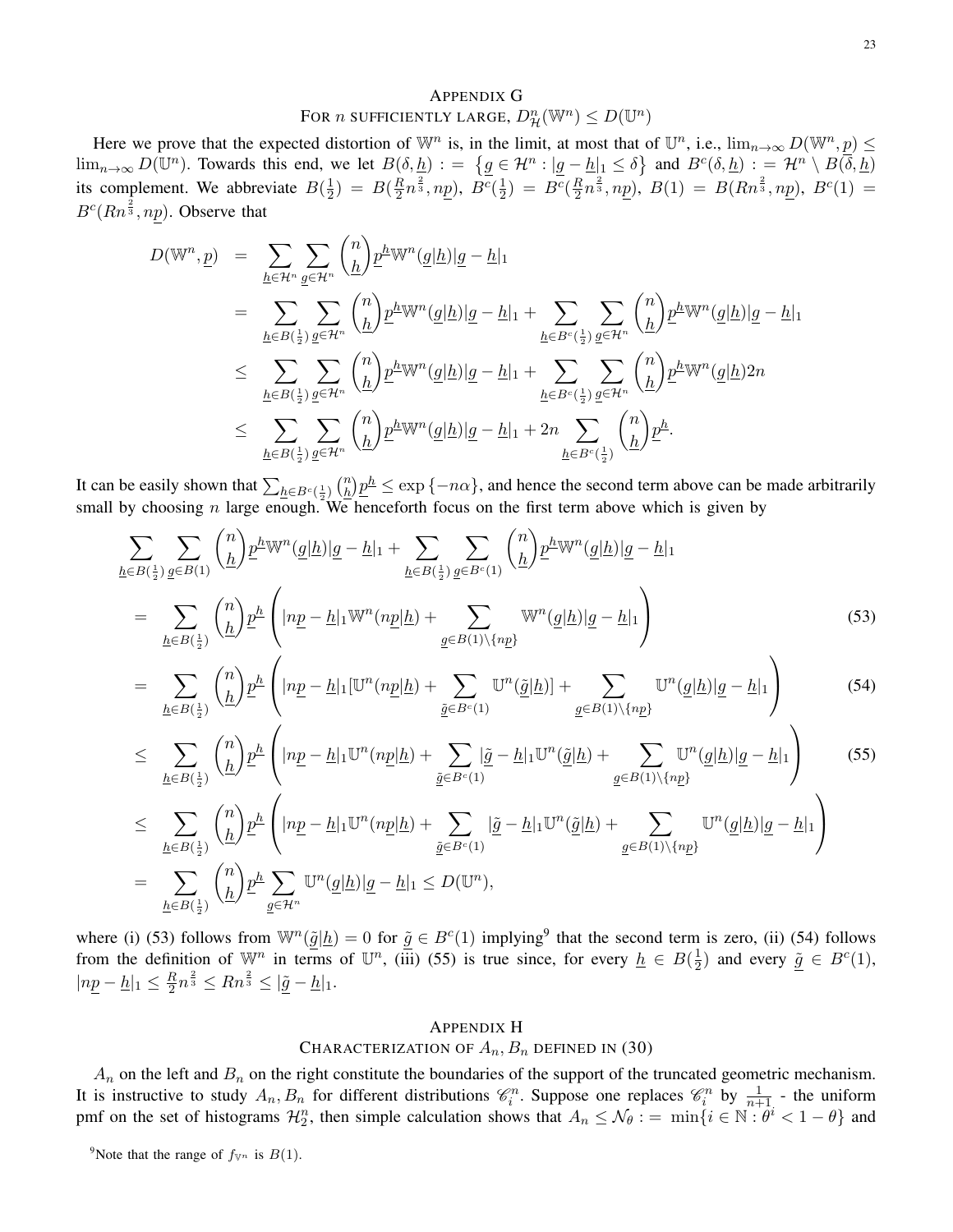# APPENDIX G For n sufficiently large,  $D_{\mathcal{H}}^n(\mathbb{W}^n) \leq D(\mathbb{U}^n)$

Here we prove that the expected distortion of  $\mathbb{W}^n$  is, in the limit, at most that of  $\mathbb{U}^n$ , i.e.,  $\lim_{n\to\infty} D(\mathbb{W}^n, p) \leq$  $\lim_{n\to\infty} D(\mathbb{U}^n)$ . Towards this end, we let  $B(\delta, \underline{h}) := \{g \in \mathcal{H}^n : |g - \underline{h}|_1 \leq \delta\}$  and  $B^c(\delta, \underline{h}) := \mathcal{H}^n \setminus B(\overline{\delta}, \underline{h})$ its complement. We abbreviate  $B(\frac{1}{2})$  $(\frac{1}{2}) = B(\frac{R}{2})$  $(\frac{R}{2}n^{\frac{2}{3}},n\underline{p}),\ \overline{B^c}(\frac{1}{2})$  $(\frac{1}{2}) = B^c(\frac{R}{2})$ plement. We abbreviate  $B(\frac{1}{2}) = B(\frac{R}{2}n^{\frac{2}{3}}, np)$ ,  $B^{\overline{c}}(\frac{1}{2}) = B^{\overline{c}}(\frac{R}{2}n^{\frac{2}{3}}, np)$ ,  $B(1) = B(Rn^{\frac{2}{3}}, np)$ ,  $B^{\overline{c}}(1) =$  $B^c(Rn^{\frac{2}{3}}, np)$ . Observe that

$$
D(\mathbb{W}^n, \underline{p}) = \sum_{\underline{h} \in \mathcal{H}^n} \sum_{\underline{g} \in \mathcal{H}^n} {n \choose \underline{h}} \underline{p}^{\underline{h}} \mathbb{W}^n(\underline{g}|\underline{h}) |\underline{g} - \underline{h}|_1
$$
  
\n
$$
= \sum_{\underline{h} \in B(\frac{1}{2})} \sum_{\underline{g} \in \mathcal{H}^n} {n \choose \underline{h}} \underline{p}^{\underline{h}} \mathbb{W}^n(\underline{g}|\underline{h}) |\underline{g} - \underline{h}|_1 + \sum_{\underline{h} \in B^c(\frac{1}{2})} \sum_{\underline{g} \in \mathcal{H}^n} {n \choose \underline{h}} \underline{p}^{\underline{h}} \mathbb{W}^n(\underline{g}|\underline{h}) |\underline{g} - \underline{h}|_1
$$
  
\n
$$
\leq \sum_{\underline{h} \in B(\frac{1}{2})} \sum_{\underline{g} \in \mathcal{H}^n} {n \choose \underline{h}} \underline{p}^{\underline{h}} \mathbb{W}^n(\underline{g}|\underline{h}) |\underline{g} - \underline{h}|_1 + \sum_{\underline{h} \in B^c(\frac{1}{2})} \sum_{\underline{g} \in \mathcal{H}^n} {n \choose \underline{h}} \underline{p}^{\underline{h}} \mathbb{W}^n(\underline{g}|\underline{h}) 2n
$$
  
\n
$$
\leq \sum_{\underline{h} \in B(\frac{1}{2})} \sum_{\underline{g} \in \mathcal{H}^n} {n \choose \underline{h}} \underline{p}^{\underline{h}} \mathbb{W}^n(\underline{g}|\underline{h}) |\underline{g} - \underline{h}|_1 + 2n \sum_{\underline{h} \in B^c(\frac{1}{2})} {n \choose \underline{h}} \underline{p}^{\underline{h}}.
$$

It can be easily shown that  $\sum_{h \in B^c(\frac{1}{2})} {n \choose h}$ small by choosing n large enough. We henceforth focus on the first term above which is given by  $\frac{n}{h}$ ) $\frac{p^h}{\sqrt{2}} \leq \exp\{-n\alpha\}$ , and hence the second term above can be made arbitrarily

$$
\sum_{\underline{h}\in B(\frac{1}{2})}\sum_{\underline{g}\in B(1)}\binom{n}{\underline{h}}\underline{p}^{\underline{h}}\mathbb{W}^{n}(\underline{g}|\underline{h})|\underline{g}-\underline{h}|_{1} + \sum_{\underline{h}\in B(\frac{1}{2})}\sum_{\underline{g}\in B^{c}(1)}\binom{n}{\underline{h}}\underline{p}^{\underline{h}}\mathbb{W}^{n}(\underline{g}|\underline{h})|\underline{g}-\underline{h}|_{1}
$$
\n
$$
= \sum_{\underline{h}\in B(\frac{1}{2})}\binom{n}{\underline{h}}\underline{p}^{\underline{h}}\left(\vert np-\underline{h}\vert_{1}\mathbb{W}^{n}(np|\underline{h})+\sum_{\underline{g}\in B(1)\backslash\{np\}}\mathbb{W}^{n}(\underline{g}|\underline{h})|\underline{g}-\underline{h}|_{1}\right) \tag{53}
$$

$$
= \sum_{\underline{h}\in B\left(\frac{1}{2}\right)} \binom{n}{\underline{h}} \underline{p}^{\underline{h}} \left( |n\underline{p} - \underline{h}|_1 [\mathbb{U}^n(n\underline{p}|\underline{h}) + \sum_{\underline{\tilde{g}}\in B^c(1)} \mathbb{U}^n(\underline{\tilde{g}}|\underline{h})] + \sum_{\underline{g}\in B(1)\setminus \{np\}} \mathbb{U}^n(\underline{g}|\underline{h})|\underline{g} - \underline{h}|_1 \right) \tag{54}
$$

$$
\leq \sum_{\underline{h}\in B(\frac{1}{2})} {n \choose \underline{h}} \underline{p}^{\underline{h}} \left( |n\underline{p} - \underline{h}|_1 \mathbb{U}^n (n\underline{p}|\underline{h}) + \sum_{\underline{\tilde{g}}\in B^c(1)} |\underline{\tilde{g}} - \underline{h}|_1 \mathbb{U}^n (\underline{\tilde{g}}|\underline{h}) + \sum_{\underline{g}\in B(1)\backslash\{np\}} \mathbb{U}^n (\underline{g}|\underline{h})|\underline{g} - \underline{h}|_1 \right) \tag{55}
$$
\n
$$
\leq \sum_{\underline{h}\in B(\frac{1}{2})} {n \choose \underline{h}} \underline{p}^{\underline{h}} \left( |n\underline{p} - \underline{h}|_1 \mathbb{U}^n (n\underline{p}|\underline{h}) + \sum_{\underline{\tilde{g}}\in B^c(1)} |\underline{\tilde{g}} - \underline{h}|_1 \mathbb{U}^n (\underline{\tilde{g}}|\underline{h}) + \sum_{\underline{g}\in B(1)\backslash\{np\}} \mathbb{U}^n (\underline{g}|\underline{h})|\underline{g} - \underline{h}|_1 \right)
$$
\n
$$
= \sum_{\underline{h}\in B(\frac{1}{2})} {n \choose \underline{h}} \underline{p}^{\underline{h}} \sum_{\underline{g}\in \mathcal{H}^n} \mathbb{U}^n (\underline{g}|\underline{h})|\underline{g} - \underline{h}|_1 \leq D(\mathbb{U}^n),
$$

where (i) (53) follows from  $\mathbb{W}^n(\tilde{g}|\underline{h}) = 0$  for  $\tilde{g} \in B^c(1)$  implying<sup>9</sup> that the second term is zero, (ii) (54) follows from the definition of  $\mathbb{W}^n$  in terms of  $\mathbb{U}^n$ , (iii) (55) is true since, for every  $\underline{h} \in B(\frac{1}{2})$  $\frac{1}{2}$ ) and every  $\underline{\tilde{g}} \in B^c(1)$ ,  $|np - \underline{h}|_1 \leq \frac{R}{2}$  $\frac{R}{2}n^{\frac{2}{3}} \leq R n^{\frac{2}{3}} \leq |\underline{\tilde{g}} - \underline{h}|_1.$ 

## APPENDIX H

# CHARACTERIZATION OF  $A_n$ ,  $B_n$  defined in (30)

 $A_n$  on the left and  $B_n$  on the right constitute the boundaries of the support of the truncated geometric mechanism. It is instructive to study  $A_n, B_n$  for different distributions  $\mathcal{C}_i^n$ . Suppose one replaces  $\mathcal{C}_i^n$  by  $\frac{1}{n+1}$  - the uniform pmf on the set of histograms  $\mathcal{H}_2^n$ , then simple calculation shows that  $A_n \leq \mathcal{N}_{\theta} := \min\{i \in \mathbb{N} : \theta^i < 1 - \theta\}$  and

<sup>9</sup>Note that the range of  $f_{\mathbb{V}^n}$  is  $B(1)$ .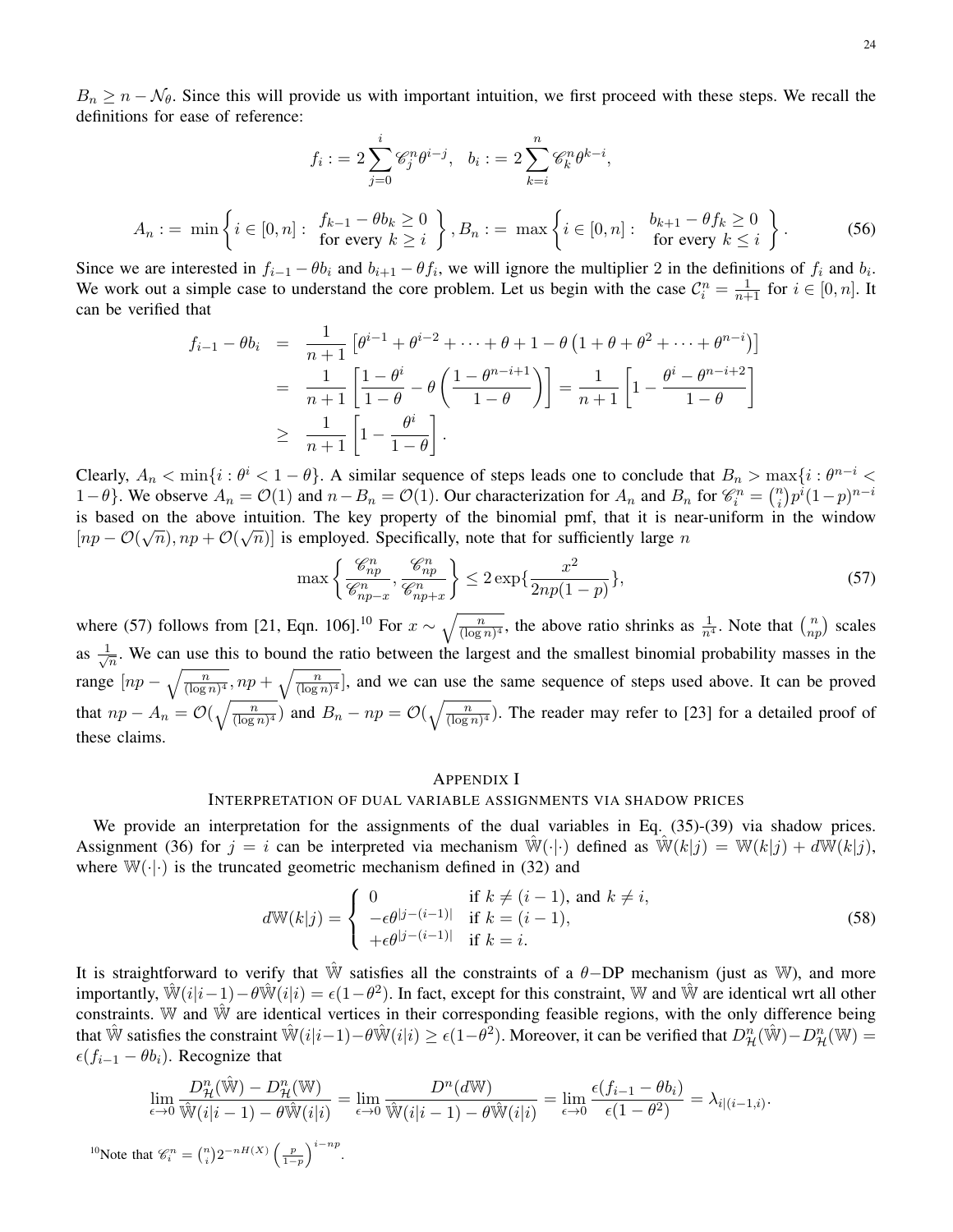$B_n \geq n - \mathcal{N}_{\theta}$ . Since this will provide us with important intuition, we first proceed with these steps. We recall the definitions for ease of reference:

$$
f_i := 2\sum_{j=0}^i \mathcal{C}_j^n \theta^{i-j}, \quad b_i := 2\sum_{k=i}^n \mathcal{C}_k^n \theta^{k-i},
$$

$$
A_n := \min\left\{i \in [0, n]: \begin{array}{l}\nf_{k-1} - \theta b_k \ge 0 \\
\text{for every } k \ge i\n\end{array}\right\}, B_n := \max\left\{i \in [0, n]: \begin{array}{l}\nb_{k+1} - \theta f_k \ge 0 \\
\text{for every } k \le i\n\end{array}\right\}.
$$
(56)

Since we are interested in  $f_{i-1} - \theta b_i$  and  $b_{i+1} - \theta f_i$ , we will ignore the multiplier 2 in the definitions of  $f_i$  and  $b_i$ . We work out a simple case to understand the core problem. Let us begin with the case  $C_i^n = \frac{1}{n+1}$  for  $i \in [0, n]$ . It can be verified that

$$
f_{i-1} - \theta b_i = \frac{1}{n+1} \left[ \theta^{i-1} + \theta^{i-2} + \dots + \theta + 1 - \theta \left( 1 + \theta + \theta^2 + \dots + \theta^{n-i} \right) \right]
$$
  
= 
$$
\frac{1}{n+1} \left[ \frac{1 - \theta^i}{1 - \theta} - \theta \left( \frac{1 - \theta^{n-i+1}}{1 - \theta} \right) \right] = \frac{1}{n+1} \left[ 1 - \frac{\theta^i - \theta^{n-i+2}}{1 - \theta} \right]
$$
  

$$
\geq \frac{1}{n+1} \left[ 1 - \frac{\theta^i}{1 - \theta} \right].
$$

Clearly,  $A_n < \min\{i : \theta^i < 1-\theta\}$ . A similar sequence of steps leads one to conclude that  $B_n > \max\{i : \theta^{n-i} <$ 1−θ}. We observe  $A_n = \mathcal{O}(1)$  and  $n - B_n = \mathcal{O}(1)$ . Our characterization for  $A_n$  and  $B_n$  for  $\mathcal{C}_i^n = \binom{n}{i}$  $\binom{n}{i} p^i (1-p)^{n-i}$ is based on the above intuition. The key property of the binomial pmf, that it is near-uniform in the window  $[np - \mathcal{O}(\sqrt{n}), np + \mathcal{O}(\sqrt{n})]$  is employed. Specifically, note that for sufficiently large n

$$
\max\left\{\frac{\mathcal{C}_{np}^n}{\mathcal{C}_{np-x}^n}, \frac{\mathcal{C}_{np}^n}{\mathcal{C}_{np+x}^n}\right\} \le 2\exp\{\frac{x^2}{2np(1-p)}\},\tag{57}
$$

where (57) follows from [21, Eqn. 106].<sup>10</sup> For  $x \sim \sqrt{\frac{n}{(\log n)^4}}$ , the above ratio shrinks as  $\frac{1}{n^4}$ . Note that  $\binom{n}{np}$  scales as  $\frac{1}{\sqrt{2}}$  $\frac{1}{n}$ . We can use this to bound the ratio between the largest and the smallest binomial probability masses in the range  $[np - \sqrt{\frac{n}{(\log n)^4}}, np + \sqrt{\frac{n}{(\log n)^4}}]$ , and we can use the same sequence of steps used above. It can be proved that  $np - A_n = \mathcal{O}(\sqrt{\frac{n}{(\log n)^4}})$  and  $B_n - np = \mathcal{O}(\sqrt{\frac{n}{(\log n)^4}})$ . The reader may refer to [23] for a detailed proof of these claims.

## APPENDIX I

## INTERPRETATION OF DUAL VARIABLE ASSIGNMENTS VIA SHADOW PRICES

We provide an interpretation for the assignments of the dual variables in Eq. (35)-(39) via shadow prices. Assignment (36) for  $j = i$  can be interpreted via mechanism  $\mathbb{W}(\cdot | \cdot)$  defined as  $\mathbb{W}(k|j) = \mathbb{W}(k|j) + d\mathbb{W}(k|j)$ , where  $\mathbb{W}(\cdot|\cdot)$  is the truncated geometric mechanism defined in (32) and

$$
d\mathbb{W}(k|j) = \begin{cases} 0 & \text{if } k \neq (i-1), \text{ and } k \neq i, \\ -\epsilon \theta^{|j-(i-1)|} & \text{if } k = (i-1), \\ +\epsilon \theta^{|j-(i-1)|} & \text{if } k = i. \end{cases}
$$
(58)

It is straightforward to verify that  $\hat{W}$  satisfies all the constraints of a  $\theta$ -DP mechanism (just as W), and more importantly,  $\hat{W}(i|i-1) - \theta \hat{W}(i|i) = \epsilon(1-\theta^2)$ . In fact, except for this constraint, W and  $\hat{W}$  are identical wrt all other constraints. W and  $\hat{W}$  are identical vertices in their corresponding feasible regions, with the only difference being that  $\hat{W}$  satisfies the constraint  $\hat{W}(i|i-1) - \theta \hat{W}(i|i) \ge \epsilon(1-\hat{\theta}^2)$ . Moreover, it can be verified that  $D_{\mathcal{H}}^n(\hat{W}) - D_{\mathcal{H}}^n(\mathbb{W}) =$  $\epsilon(f_{i-1} - \theta b_i)$ . Recognize that

$$
\lim_{\epsilon \to 0} \frac{D_{\mathcal{H}}^n(\hat{\mathbb{W}}) - D_{\mathcal{H}}^n(\mathbb{W})}{\hat{\mathbb{W}}(i|i-1) - \theta \hat{\mathbb{W}}(i|i)} = \lim_{\epsilon \to 0} \frac{D^n(d\mathbb{W})}{\hat{\mathbb{W}}(i|i-1) - \theta \hat{\mathbb{W}}(i|i)} = \lim_{\epsilon \to 0} \frac{\epsilon(f_{i-1} - \theta b_i)}{\epsilon(1 - \theta^2)} = \lambda_{i|(i-1,i)}.
$$

<sup>10</sup>Note that  $\mathcal{C}_i^n = \binom{n}{i} 2^{-nH(X)} \left( \frac{p}{1-p} \right)^{i-np}$ .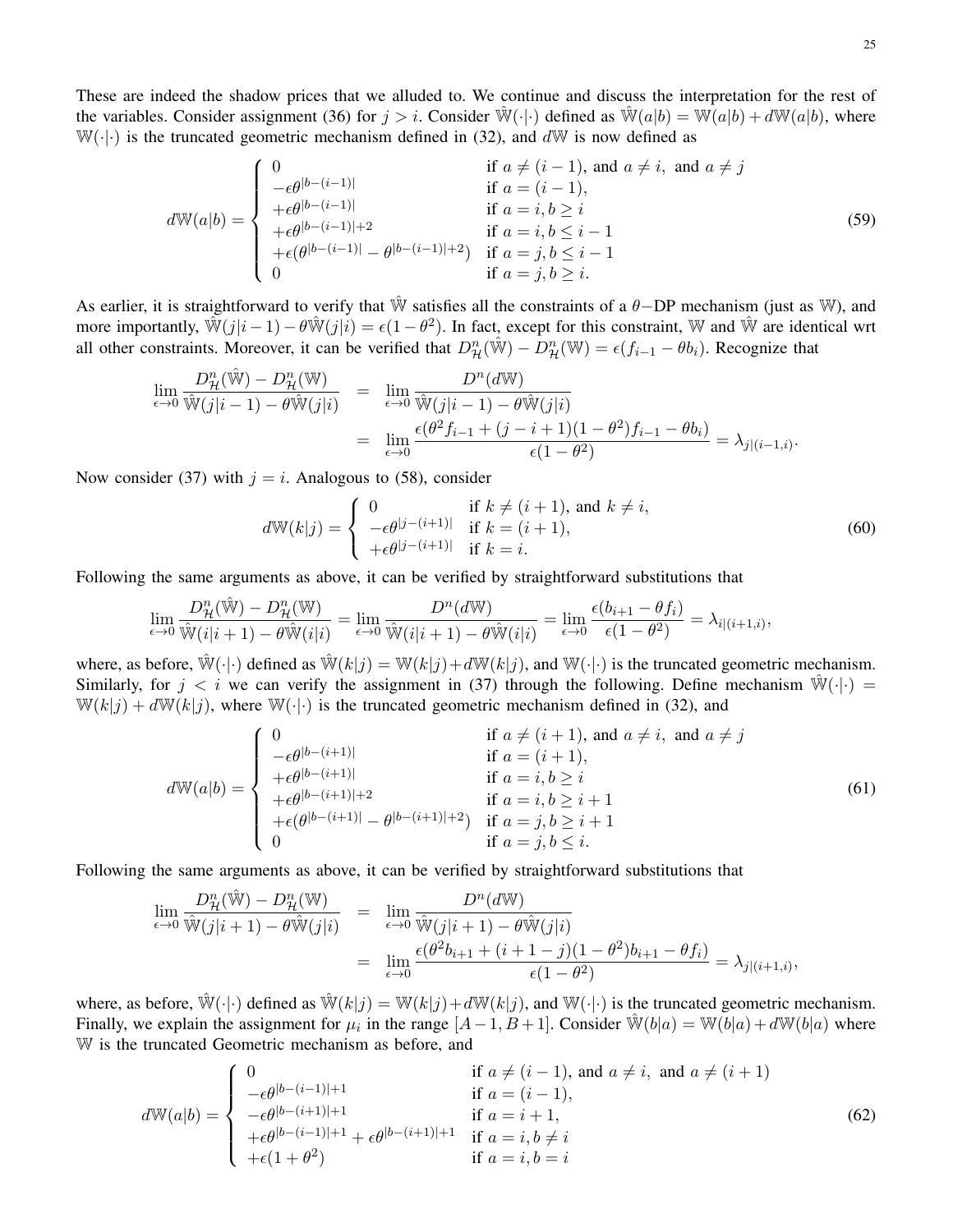These are indeed the shadow prices that we alluded to. We continue and discuss the interpretation for the rest of the variables. Consider assignment (36) for  $j > i$ . Consider  $\mathbb{W}(\cdot | \cdot)$  defined as  $\mathbb{W}(a|b) = \mathbb{W}(a|b) + d\mathbb{W}(a|b)$ , where  $W(\cdot|\cdot)$  is the truncated geometric mechanism defined in (32), and  $dW$  is now defined as

$$
d\mathbb{W}(a|b) = \begin{cases} 0 & \text{if } a \neq (i-1), \text{ and } a \neq i, \text{ and } a \neq j \\ -\epsilon \theta^{|b-(i-1)|} & \text{if } a = (i-1), \\ +\epsilon \theta^{|b-(i-1)|} & \text{if } a = i, b \ge i \\ +\epsilon \theta^{|b-(i-1)|} - \theta^{|b-(i-1)|+2} & \text{if } a = i, b \le i-1 \\ 0 & \text{if } a = j, b \le i-1 \end{cases}
$$
(59)

As earlier, it is straightforward to verify that  $\hat{W}$  satisfies all the constraints of a  $\theta$ -DP mechanism (just as W), and more importantly,  $\mathbb{W}(j|i-1) - \theta \mathbb{W}(j|i) = \epsilon(1-\theta^2)$ . In fact, except for this constraint, W and  $\mathbb{W}$  are identical wrt all other constraints. Moreover, it can be verified that  $D_{\mathcal{H}}^n(\hat{\mathbb{W}}) - D_{\mathcal{H}}^n(\mathbb{W}) = \epsilon(f_{i-1} - \theta b_i)$ . Recognize that

$$
\lim_{\epsilon \to 0} \frac{D_{\mathcal{H}}^n(\hat{\mathbb{W}}) - D_{\mathcal{H}}^n(\mathbb{W})}{\hat{\mathbb{W}}(j|i-1) - \theta \hat{\mathbb{W}}(j|i)} = \lim_{\epsilon \to 0} \frac{D^n(d\mathbb{W})}{\hat{\mathbb{W}}(j|i-1) - \theta \hat{\mathbb{W}}(j|i)} \n= \lim_{\epsilon \to 0} \frac{\epsilon(\theta^2 f_{i-1} + (j-i+1)(1-\theta^2)f_{i-1} - \theta b_i)}{\epsilon(1-\theta^2)} = \lambda_{j|(i-1,i)}.
$$

Now consider (37) with  $j = i$ . Analogous to (58), consider

$$
d\mathbb{W}(k|j) = \begin{cases} 0 & \text{if } k \neq (i+1), \text{ and } k \neq i, \\ -\epsilon \theta^{|j - (i+1)|} & \text{if } k = (i+1), \\ +\epsilon \theta^{|j - (i+1)|} & \text{if } k = i. \end{cases}
$$
(60)

Following the same arguments as above, it can be verified by straightforward substitutions that

$$
\lim_{\epsilon \to 0} \frac{D^n_{\mathcal{H}}(\hat{\mathbb{W}}) - D^n_{\mathcal{H}}(\mathbb{W})}{\hat{\mathbb{W}}(i|i+1) - \theta \hat{\mathbb{W}}(i|i)} = \lim_{\epsilon \to 0} \frac{D^n(d\mathbb{W})}{\hat{\mathbb{W}}(i|i+1) - \theta \hat{\mathbb{W}}(i|i)} = \lim_{\epsilon \to 0} \frac{\epsilon(b_{i+1} - \theta f_i)}{\epsilon(1 - \theta^2)} = \lambda_{i|(i+1,i)},
$$

where, as before,  $\hat{\mathbb{W}}(\cdot|\cdot)$  defined as  $\hat{\mathbb{W}}(k|j) = \mathbb{W}(k|j) + d\mathbb{W}(k|j)$ , and  $\mathbb{W}(\cdot|\cdot)$  is the truncated geometric mechanism. Similarly, for  $j < i$  we can verify the assignment in (37) through the following. Define mechanism  $\hat{W}(\cdot|\cdot)$  =  $W(k|j) + dW(k|j)$ , where  $W(\cdot|\cdot)$  is the truncated geometric mechanism defined in (32), and

$$
d\mathbb{W}(a|b) = \begin{cases} 0 & \text{if } a \neq (i+1), \text{ and } a \neq i, \text{ and } a \neq j \\ -\epsilon \theta^{|b-(i+1)|} & \text{if } a = (i+1), \\ +\epsilon \theta^{|b-(i+1)|} & \text{if } a = i, b \geq i \\ +\epsilon \theta^{|b-(i+1)|+2} & \text{if } a = i, b \geq i+1 \\ +\epsilon (\theta^{|b-(i+1)|} - \theta^{|b-(i+1)|+2}) & \text{if } a = j, b \geq i+1 \\ 0 & \text{if } a = j, b \leq i. \end{cases}
$$
(61)

Following the same arguments as above, it can be verified by straightforward substitutions that

$$
\lim_{\epsilon \to 0} \frac{D_{\mathcal{H}}^n(\hat{\mathbb{W}}) - D_{\mathcal{H}}^n(\mathbb{W})}{\hat{\mathbb{W}}(j|i+1) - \theta \hat{\mathbb{W}}(j|i)} = \lim_{\epsilon \to 0} \frac{D^n(d\mathbb{W})}{\hat{\mathbb{W}}(j|i+1) - \theta \hat{\mathbb{W}}(j|i)} \n= \lim_{\epsilon \to 0} \frac{\epsilon(\theta^2 b_{i+1} + (i+1-j)(1-\theta^2)b_{i+1} - \theta f_i)}{\epsilon(1-\theta^2)} = \lambda_{j|(i+1,i)},
$$

where, as before,  $\hat{\mathbb{W}}(\cdot|\cdot)$  defined as  $\hat{\mathbb{W}}(k|j) = \mathbb{W}(k|j) + d\mathbb{W}(k|j)$ , and  $\mathbb{W}(\cdot|\cdot)$  is the truncated geometric mechanism. Finally, we explain the assignment for  $\mu_i$  in the range  $[A-1, B+1]$ . Consider  $\hat{W}(b|a) = W(b|a) + dW(b|a)$  where W is the truncated Geometric mechanism as before, and

$$
d\mathbb{W}(a|b) = \begin{cases} 0 & \text{if } a \neq (i-1), \text{ and } a \neq i, \text{ and } a \neq (i+1) \\ -\epsilon \theta^{|b-(i-1)|+1} & \text{if } a = (i-1), \\ -\epsilon \theta^{|b-(i+1)|+1} & \text{if } a = i+1, \\ +\epsilon \theta^{|b-(i-1)|+1} + \epsilon \theta^{|b-(i+1)|+1} & \text{if } a = i, b \neq i \\ +\epsilon (1+\theta^2) & \text{if } a = i, b = i \end{cases}
$$
(62)